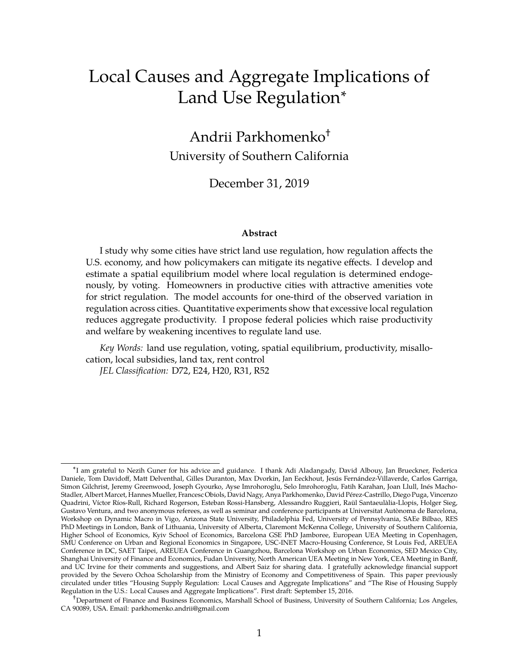# Local Causes and Aggregate Implications of Land Use Regulation<sup>∗</sup>

Andrii Parkhomenko† University of Southern California

December 31, 2019

#### **Abstract**

I study why some cities have strict land use regulation, how regulation affects the U.S. economy, and how policymakers can mitigate its negative effects. I develop and estimate a spatial equilibrium model where local regulation is determined endogenously, by voting. Homeowners in productive cities with attractive amenities vote for strict regulation. The model accounts for one-third of the observed variation in regulation across cities. Quantitative experiments show that excessive local regulation reduces aggregate productivity. I propose federal policies which raise productivity and welfare by weakening incentives to regulate land use.

*Key Words:* land use regulation, voting, spatial equilibrium, productivity, misallocation, local subsidies, land tax, rent control

*JEL Classification:* D72, E24, H20, R31, R52

<sup>∗</sup> I am grateful to Nezih Guner for his advice and guidance. I thank Adi Aladangady, David Albouy, Jan Brueckner, Federica Daniele, Tom Davidoff, Matt Delventhal, Gilles Duranton, Max Dvorkin, Jan Eeckhout, Jesús Fernández-Villaverde, Carlos Garriga, Simon Gilchrist, Jeremy Greenwood, Joseph Gyourko, Ayse Imrohoroglu, Selo Imrohoroglu, Fatih Karahan, Joan Llull, Inés Macho-Stadler, Albert Marcet, Hannes Mueller, Francesc Obiols, David Nagy, Anya Parkhomenko, David Pérez-Castrillo, Diego Puga, Vincenzo Quadrini, Víctor Ríos-Rull, Richard Rogerson, Esteban Rossi-Hansberg, Alessandro Ruggieri, Raül Santaeulàlia-Llopis, Holger Sieg, Gustavo Ventura, and two anonymous referees, as well as seminar and conference participants at Universitat Autònoma de Barcelona, Workshop on Dynamic Macro in Vigo, Arizona State University, Philadelphia Fed, University of Pennsylvania, SAEe Bilbao, RES PhD Meetings in London, Bank of Lithuania, University of Alberta, Claremont McKenna College, University of Southern California, Higher School of Economics, Kyiv School of Economics, Barcelona GSE PhD Jamboree, European UEA Meeting in Copenhagen, SMU Conference on Urban and Regional Economics in Singapore, USC-INET Macro-Housing Conference, St Louis Fed, AREUEA Conference in DC, SAET Taipei, AREUEA Conference in Guangzhou, Barcelona Workshop on Urban Economics, SED Mexico City, Shanghai University of Finance and Economics, Fudan University, North American UEA Meeting in New York, CEA Meeting in Banff, and UC Irvine for their comments and suggestions, and Albert Saiz for sharing data. I gratefully acknowledge financial support provided by the Severo Ochoa Scholarship from the Ministry of Economy and Competitiveness of Spain. This paper previously circulated under titles "Housing Supply Regulation: Local Causes and Aggregate Implications" and "The Rise of Housing Supply Regulation in the U.S.: Local Causes and Aggregate Implications". First draft: September 15, 2016.

<sup>&</sup>lt;sup>†</sup>Department of Finance and Business Economics, Marshall School of Business, University of Southern California; Los Angeles, CA 90089, USA. Email: [parkhomenko.andrii@gmail.com](mailto:parkhomenko.andrii@gmail.com)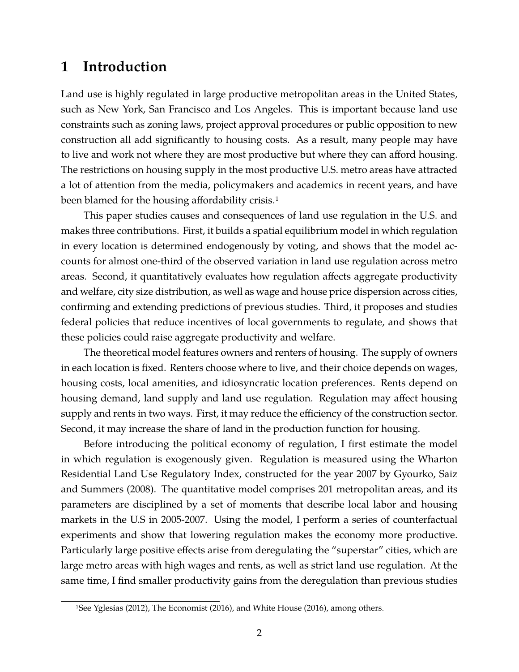## **1 Introduction**

Land use is highly regulated in large productive metropolitan areas in the United States, such as New York, San Francisco and Los Angeles. This is important because land use constraints such as zoning laws, project approval procedures or public opposition to new construction all add significantly to housing costs. As a result, many people may have to live and work not where they are most productive but where they can afford housing. The restrictions on housing supply in the most productive U.S. metro areas have attracted a lot of attention from the media, policymakers and academics in recent years, and have been blamed for the housing affordability crisis.<sup>1</sup>

This paper studies causes and consequences of land use regulation in the U.S. and makes three contributions. First, it builds a spatial equilibrium model in which regulation in every location is determined endogenously by voting, and shows that the model accounts for almost one-third of the observed variation in land use regulation across metro areas. Second, it quantitatively evaluates how regulation affects aggregate productivity and welfare, city size distribution, as well as wage and house price dispersion across cities, confirming and extending predictions of previous studies. Third, it proposes and studies federal policies that reduce incentives of local governments to regulate, and shows that these policies could raise aggregate productivity and welfare.

The theoretical model features owners and renters of housing. The supply of owners in each location is fixed. Renters choose where to live, and their choice depends on wages, housing costs, local amenities, and idiosyncratic location preferences. Rents depend on housing demand, land supply and land use regulation. Regulation may affect housing supply and rents in two ways. First, it may reduce the efficiency of the construction sector. Second, it may increase the share of land in the production function for housing.

Before introducing the political economy of regulation, I first estimate the model in which regulation is exogenously given. Regulation is measured using the Wharton Residential Land Use Regulatory Index, constructed for the year 2007 by [Gyourko, Saiz](#page-41-0) [and Summers \(2008\).](#page-41-0) The quantitative model comprises 201 metropolitan areas, and its parameters are disciplined by a set of moments that describe local labor and housing markets in the U.S in 2005-2007. Using the model, I perform a series of counterfactual experiments and show that lowering regulation makes the economy more productive. Particularly large positive effects arise from deregulating the "superstar" cities, which are large metro areas with high wages and rents, as well as strict land use regulation. At the same time, I find smaller productivity gains from the deregulation than previous studies

<sup>1</sup>See [Yglesias \(2012\),](#page-42-0) [The Economist \(2016\),](#page-42-1) and [White House \(2016\),](#page-42-2) among others.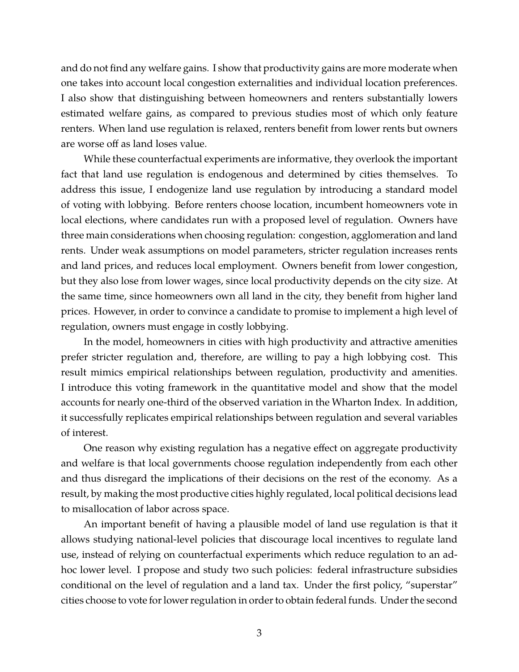and do not find any welfare gains. I show that productivity gains are more moderate when one takes into account local congestion externalities and individual location preferences. I also show that distinguishing between homeowners and renters substantially lowers estimated welfare gains, as compared to previous studies most of which only feature renters. When land use regulation is relaxed, renters benefit from lower rents but owners are worse off as land loses value.

While these counterfactual experiments are informative, they overlook the important fact that land use regulation is endogenous and determined by cities themselves. To address this issue, I endogenize land use regulation by introducing a standard model of voting with lobbying. Before renters choose location, incumbent homeowners vote in local elections, where candidates run with a proposed level of regulation. Owners have three main considerations when choosing regulation: congestion, agglomeration and land rents. Under weak assumptions on model parameters, stricter regulation increases rents and land prices, and reduces local employment. Owners benefit from lower congestion, but they also lose from lower wages, since local productivity depends on the city size. At the same time, since homeowners own all land in the city, they benefit from higher land prices. However, in order to convince a candidate to promise to implement a high level of regulation, owners must engage in costly lobbying.

In the model, homeowners in cities with high productivity and attractive amenities prefer stricter regulation and, therefore, are willing to pay a high lobbying cost. This result mimics empirical relationships between regulation, productivity and amenities. I introduce this voting framework in the quantitative model and show that the model accounts for nearly one-third of the observed variation in the Wharton Index. In addition, it successfully replicates empirical relationships between regulation and several variables of interest.

One reason why existing regulation has a negative effect on aggregate productivity and welfare is that local governments choose regulation independently from each other and thus disregard the implications of their decisions on the rest of the economy. As a result, by making the most productive cities highly regulated, local political decisions lead to misallocation of labor across space.

An important benefit of having a plausible model of land use regulation is that it allows studying national-level policies that discourage local incentives to regulate land use, instead of relying on counterfactual experiments which reduce regulation to an adhoc lower level. I propose and study two such policies: federal infrastructure subsidies conditional on the level of regulation and a land tax. Under the first policy, "superstar" cities choose to vote for lower regulation in order to obtain federal funds. Under the second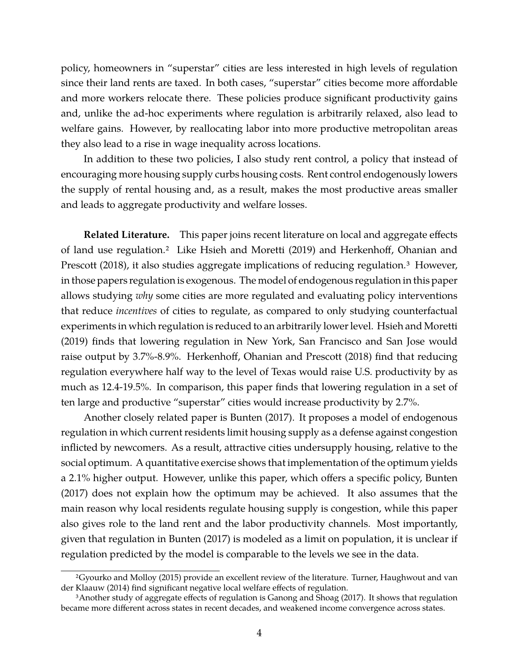policy, homeowners in "superstar" cities are less interested in high levels of regulation since their land rents are taxed. In both cases, "superstar" cities become more affordable and more workers relocate there. These policies produce significant productivity gains and, unlike the ad-hoc experiments where regulation is arbitrarily relaxed, also lead to welfare gains. However, by reallocating labor into more productive metropolitan areas they also lead to a rise in wage inequality across locations.

In addition to these two policies, I also study rent control, a policy that instead of encouraging more housing supply curbs housing costs. Rent control endogenously lowers the supply of rental housing and, as a result, makes the most productive areas smaller and leads to aggregate productivity and welfare losses.

**Related Literature.** This paper joins recent literature on local and aggregate effects of land use regulation.2 Like [Hsieh and Moretti \(2019\)](#page-41-1) and [Herkenhoff, Ohanian and](#page-41-2) [Prescott \(2018\),](#page-41-2) it also studies aggregate implications of reducing regulation.<sup>3</sup> However, in those papers regulation is exogenous. The model of endogenous regulation in this paper allows studying *why* some cities are more regulated and evaluating policy interventions that reduce *incentives* of cities to regulate, as compared to only studying counterfactual experiments in which regulation is reduced to an arbitrarily lower level. [Hsieh and Moretti](#page-41-1) [\(2019\)](#page-41-1) finds that lowering regulation in New York, San Francisco and San Jose would raise output by 3.7%-8.9%. [Herkenhoff, Ohanian and Prescott \(2018\)](#page-41-2) find that reducing regulation everywhere half way to the level of Texas would raise U.S. productivity by as much as 12.4-19.5%. In comparison, this paper finds that lowering regulation in a set of ten large and productive "superstar" cities would increase productivity by 2.7%.

Another closely related paper is [Bunten \(2017\).](#page-38-0) It proposes a model of endogenous regulation in which current residents limit housing supply as a defense against congestion inflicted by newcomers. As a result, attractive cities undersupply housing, relative to the social optimum. A quantitative exercise shows that implementation of the optimum yields a 2.1% higher output. However, unlike this paper, which offers a specific policy, [Bunten](#page-38-0) [\(2017\)](#page-38-0) does not explain how the optimum may be achieved. It also assumes that the main reason why local residents regulate housing supply is congestion, while this paper also gives role to the land rent and the labor productivity channels. Most importantly, given that regulation in [Bunten \(2017\)](#page-38-0) is modeled as a limit on population, it is unclear if regulation predicted by the model is comparable to the levels we see in the data.

[<sup>2</sup>Gyourko and Molloy \(2015\)](#page-40-0) provide an excellent review of the literature. [Turner, Haughwout and van](#page-42-3) [der Klaauw \(2014\)](#page-42-3) find significant negative local welfare effects of regulation.

<sup>3</sup>Another study of aggregate effects of regulation is [Ganong and Shoag \(2017\).](#page-40-1) It shows that regulation became more different across states in recent decades, and weakened income convergence across states.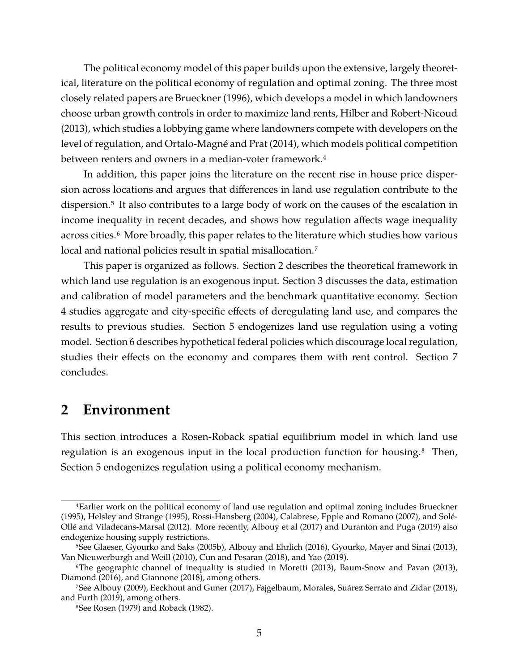The political economy model of this paper builds upon the extensive, largely theoretical, literature on the political economy of regulation and optimal zoning. The three most closely related papers are [Brueckner \(1996\),](#page-38-1) which develops a model in which landowners choose urban growth controls in order to maximize land rents, [Hilber and Robert-Nicoud](#page-41-3) [\(2013\),](#page-41-3) which studies a lobbying game where landowners compete with developers on the level of regulation, and [Ortalo-Magné and Prat \(2014\),](#page-41-4) which models political competition between renters and owners in a median-voter framework.<sup>4</sup>

In addition, this paper joins the literature on the recent rise in house price dispersion across locations and argues that differences in land use regulation contribute to the dispersion.5 It also contributes to a large body of work on the causes of the escalation in income inequality in recent decades, and shows how regulation affects wage inequality across cities.<sup>6</sup> More broadly, this paper relates to the literature which studies how various local and national policies result in spatial misallocation.<sup>7</sup>

This paper is organized as follows. Section [2](#page-4-0) describes the theoretical framework in which land use regulation is an exogenous input. Section [3](#page-10-0) discusses the data, estimation and calibration of model parameters and the benchmark quantitative economy. Section [4](#page-17-0) studies aggregate and city-specific effects of deregulating land use, and compares the results to previous studies. Section [5](#page-25-0) endogenizes land use regulation using a voting model. Section [6](#page-30-0) describes hypothetical federal policies which discourage local regulation, studies their effects on the economy and compares them with rent control. Section [7](#page-37-0) concludes.

## <span id="page-4-0"></span>**2 Environment**

This section introduces a Rosen-Roback spatial equilibrium model in which land use regulation is an exogenous input in the local production function for housing.<sup>8</sup> Then, Section [5](#page-25-0) endogenizes regulation using a political economy mechanism.

<sup>4</sup>Earlier work on the political economy of land use regulation and optimal zoning includes [Brueckner](#page-38-2) [\(1995\),](#page-38-2) [Helsley and Strange \(1995\),](#page-41-5) [Rossi-Hansberg \(2004\),](#page-42-4) [Calabrese, Epple and Romano \(2007\),](#page-38-3) and [Solé-](#page-42-5)[Ollé and Viladecans-Marsal \(2012\).](#page-42-5) More recently, [Albouy et al \(2017\)](#page-38-4) and [Duranton and Puga \(2019\)](#page-39-0) also endogenize housing supply restrictions.

<sup>5</sup>See [Glaeser, Gyourko and Saks \(2005b\),](#page-40-2) [Albouy and Ehrlich \(2016\),](#page-38-5) [Gyourko, Mayer and Sinai \(2013\),](#page-40-3) [Van Nieuwerburgh and Weill \(2010\),](#page-42-6) [Cun and Pesaran \(2018\),](#page-39-1) and [Yao \(2019\).](#page-42-7)

<sup>6</sup>The geographic channel of inequality is studied in [Moretti \(2013\),](#page-41-6) [Baum-Snow and Pavan \(2013\),](#page-38-6) [Diamond \(2016\),](#page-39-2) and [Giannone \(2018\),](#page-40-4) among others.

<sup>7</sup>See [Albouy \(2009\),](#page-38-7) [Eeckhout and Guner \(2017\),](#page-39-3) [Fajgelbaum, Morales, Suárez Serrato and Zidar \(2018\),](#page-40-5) and [Furth \(2019\),](#page-40-6) among others.

<sup>8</sup>See [Rosen \(1979\)](#page-42-8) and [Roback \(1982\).](#page-42-9)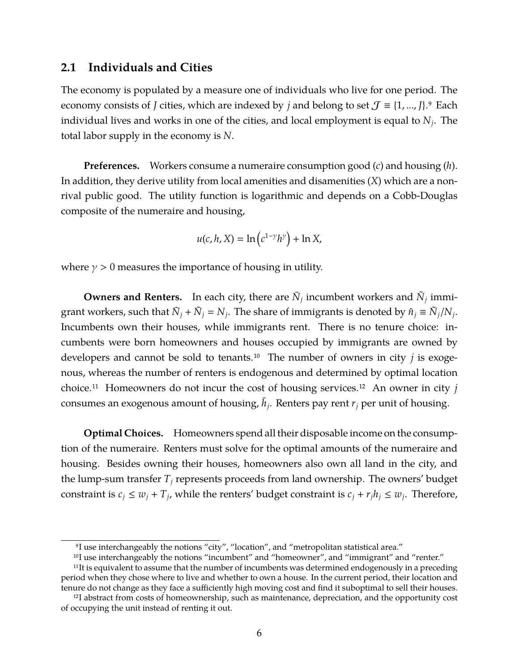## **2.1 Individuals and Cities**

The economy is populated by a measure one of individuals who live for one period. The economy consists of *J* cities, which are indexed by *j* and belong to set  $\mathcal{J} \equiv \{1, ..., J\}$ .<sup>9</sup> Each individual lives and works in one of the cities, and local employment is equal to *N<sup>j</sup>* . The total labor supply in the economy is *N*.

**Preferences.** Workers consume a numeraire consumption good (*c*) and housing (*h*). In addition, they derive utility from local amenities and disamenities (*X*) which are a nonrival public good. The utility function is logarithmic and depends on a Cobb-Douglas composite of the numeraire and housing,

$$
u(c, h, X) = \ln\left(c^{1-\gamma}h^{\gamma}\right) + \ln X,
$$

where  $\gamma > 0$  measures the importance of housing in utility.

**Owners and Renters.** In each city, there are  $\bar{N}_j$  incumbent workers and  $\tilde{N}_j$  immigrant workers, such that  $\bar{N}_j + \tilde{N}_j = N_j$ . The share of immigrants is denoted by  $\hat{n}_j \equiv \tilde{N}_j/N_j$ . Incumbents own their houses, while immigrants rent. There is no tenure choice: incumbents were born homeowners and houses occupied by immigrants are owned by developers and cannot be sold to tenants.10 The number of owners in city *j* is exogenous, whereas the number of renters is endogenous and determined by optimal location choice.11 Homeowners do not incur the cost of housing services.12 An owner in city *j* consumes an exogenous amount of housing,  $\bar{h}_j$ . Renters pay rent  $r_j$  per unit of housing.

**Optimal Choices.** Homeowners spend all their disposable income on the consumption of the numeraire. Renters must solve for the optimal amounts of the numeraire and housing. Besides owning their houses, homeowners also own all land in the city, and the lump-sum transfer  $T_j$  represents proceeds from land ownership. The owners' budget constraint is  $c_j \leq w_j + T_j$ , while the renters' budget constraint is  $c_j + r_j h_j \leq w_j$ . Therefore,

<sup>&</sup>lt;sup>9</sup>I use interchangeably the notions "city", "location", and "metropolitan statistical area."

<sup>10</sup>I use interchangeably the notions "incumbent" and "homeowner", and "immigrant" and "renter."

 $11$ It is equivalent to assume that the number of incumbents was determined endogenously in a preceding period when they chose where to live and whether to own a house. In the current period, their location and tenure do not change as they face a sufficiently high moving cost and find it suboptimal to sell their houses.

<sup>12</sup>I abstract from costs of homeownership, such as maintenance, depreciation, and the opportunity cost of occupying the unit instead of renting it out.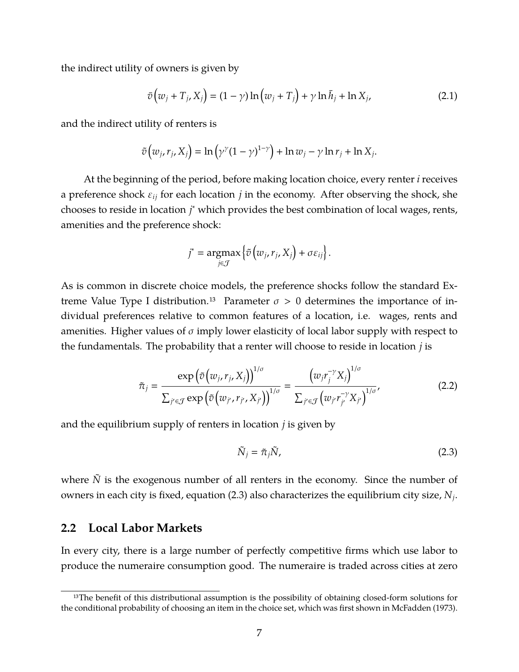the indirect utility of owners is given by

<span id="page-6-1"></span>
$$
\bar{v}(w_j + T_j, X_j) = (1 - \gamma) \ln (w_j + T_j) + \gamma \ln \bar{h}_j + \ln X_j,
$$
\n(2.1)

and the indirect utility of renters is

$$
\tilde{v}(w_j, r_j, X_j) = \ln(\gamma^{\gamma}(1-\gamma)^{1-\gamma}) + \ln w_j - \gamma \ln r_j + \ln X_j.
$$

At the beginning of the period, before making location choice, every renter *i* receives a preference shock ε*ij* for each location *j* in the economy. After observing the shock, she chooses to reside in location *j* <sup>∗</sup> which provides the best combination of local wages, rents, amenities and the preference shock:

$$
j^* = \underset{j \in \mathcal{J}}{\operatorname{argmax}} \left\{ \tilde{v} \left( w_j, r_j, X_j \right) + \sigma \varepsilon_{ij} \right\}.
$$

As is common in discrete choice models, the preference shocks follow the standard Extreme Value Type I distribution.<sup>13</sup> Parameter  $\sigma > 0$  determines the importance of individual preferences relative to common features of a location, i.e. wages, rents and amenities. Higher values of  $\sigma$  imply lower elasticity of local labor supply with respect to the fundamentals. The probability that a renter will choose to reside in location *j* is

$$
\tilde{\pi}_j = \frac{\exp\left(\tilde{v}\left(w_j, r_j, X_j\right)\right)^{1/\sigma}}{\sum_{j' \in \mathcal{J}} \exp\left(\tilde{v}\left(w_{j'}, r_{j'}, X_{j'}\right)\right)^{1/\sigma}} = \frac{\left(w_j r_j^{-\gamma} X_j\right)^{1/\sigma}}{\sum_{j' \in \mathcal{J}} \left(w_{j'} r_{j'}^{-\gamma} X_{j'}\right)^{1/\sigma}},\tag{2.2}
$$

and the equilibrium supply of renters in location *j* is given by

<span id="page-6-2"></span><span id="page-6-0"></span>
$$
\tilde{N}_j = \tilde{\pi}_j \tilde{N},\tag{2.3}
$$

where *N* is the exogenous number of all renters in the economy. Since the number of owners in each city is fixed, equation [\(2.3\)](#page-6-0) also characterizes the equilibrium city size,  $N_j$ .

### **2.2 Local Labor Markets**

In every city, there is a large number of perfectly competitive firms which use labor to produce the numeraire consumption good. The numeraire is traded across cities at zero

<sup>&</sup>lt;sup>13</sup>The benefit of this distributional assumption is the possibility of obtaining closed-form solutions for the conditional probability of choosing an item in the choice set, which was first shown in [McFadden \(1973\).](#page-41-7)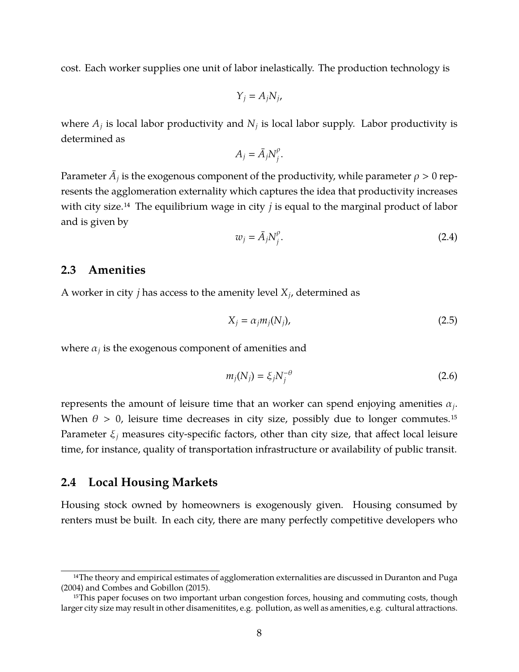cost. Each worker supplies one unit of labor inelastically. The production technology is

$$
Y_j = A_j N_j,
$$

where  $A_j$  is local labor productivity and  $N_j$  is local labor supply. Labor productivity is determined as

$$
A_j = \bar{A}_j N_j^{\rho}.
$$

<span id="page-7-0"></span>Parameter  $\bar{A}_j$  is the exogenous component of the productivity, while parameter  $\rho > 0$  represents the agglomeration externality which captures the idea that productivity increases with city size.14 The equilibrium wage in city *j* is equal to the marginal product of labor and is given by

<span id="page-7-1"></span>
$$
w_j = \bar{A}_j N_j^{\rho}.
$$
 (2.4)

### **2.3 Amenities**

A worker in city *j* has access to the amenity level  $X_j$ , determined as

<span id="page-7-2"></span>
$$
X_j = \alpha_j m_j(N_j), \tag{2.5}
$$

where  $\alpha_j$  is the exogenous component of amenities and

$$
m_j(N_j) = \xi_j N_j^{-\theta} \tag{2.6}
$$

represents the amount of leisure time that an worker can spend enjoying amenities  $\alpha_j$ . When  $\theta > 0$ , leisure time decreases in city size, possibly due to longer commutes.<sup>15</sup> Parameter ξ*<sup>j</sup>* measures city-specific factors, other than city size, that affect local leisure time, for instance, quality of transportation infrastructure or availability of public transit.

### **2.4 Local Housing Markets**

Housing stock owned by homeowners is exogenously given. Housing consumed by renters must be built. In each city, there are many perfectly competitive developers who

<sup>&</sup>lt;sup>14</sup>The theory and empirical estimates of agglomeration externalities are discussed in [Duranton and Puga](#page-39-4) [\(2004\)](#page-39-4) and [Combes and Gobillon \(2015\).](#page-39-5)

<sup>&</sup>lt;sup>15</sup>This paper focuses on two important urban congestion forces, housing and commuting costs, though larger city size may result in other disamenitites, e.g. pollution, as well as amenities, e.g. cultural attractions.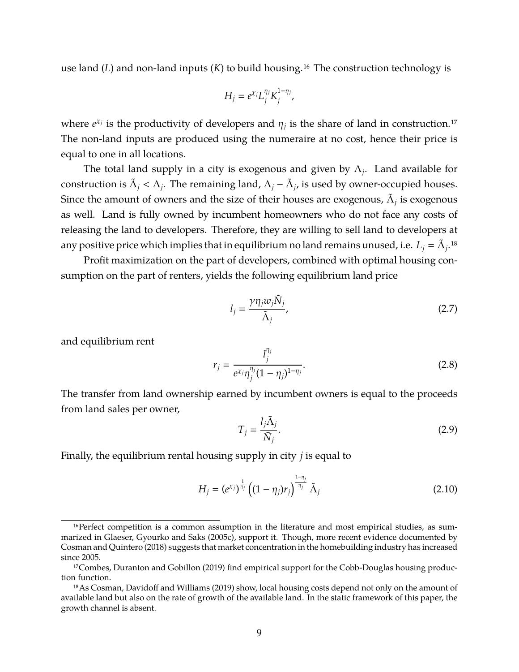use land (*L*) and non-land inputs (*K*) to build housing.16 The construction technology is

$$
H_j = e^{\chi_j} L_j^{\eta_j} K_j^{1-\eta_j},
$$

where  $e^{x_j}$  is the productivity of developers and  $\eta_j$  is the share of land in construction.<sup>17</sup> The non-land inputs are produced using the numeraire at no cost, hence their price is equal to one in all locations.

The total land supply in a city is exogenous and given by  $\Lambda_j$ . Land available for construction is  $\tilde{\Lambda}_j < \Lambda_j$ . The remaining land,  $\Lambda_j - \tilde{\Lambda}_j$ , is used by owner-occupied houses. Since the amount of owners and the size of their houses are exogenous,  $\tilde{\Lambda}_j$  is exogenous as well. Land is fully owned by incumbent homeowners who do not face any costs of releasing the land to developers. Therefore, they are willing to sell land to developers at any positive price which implies that in equilibrium no land remains unused, i.e.  $L_j = \tilde{\Lambda}_j$ .18

Profit maximization on the part of developers, combined with optimal housing consumption on the part of renters, yields the following equilibrium land price

<span id="page-8-0"></span>
$$
l_j = \frac{\gamma \eta_j w_j \tilde{N}_j}{\tilde{\Lambda}_j},\tag{2.7}
$$

and equilibrium rent

<span id="page-8-2"></span><span id="page-8-1"></span>
$$
r_j = \frac{l_j^{\eta_j}}{e^{\chi_j} \eta_j^{\eta_j} (1 - \eta_j)^{1 - \eta_j}}.
$$
\n(2.8)

The transfer from land ownership earned by incumbent owners is equal to the proceeds from land sales per owner,

<span id="page-8-3"></span>
$$
T_j = \frac{l_j \tilde{\Lambda}_j}{\bar{N}_j}.
$$
\n(2.9)

Finally, the equilibrium rental housing supply in city *j* is equal to

$$
H_j = (e^{\chi_j})^{\frac{1}{\eta_j}} \left( (1 - \eta_j) r_j \right)^{\frac{1 - \eta_j}{\eta_j}} \tilde{\Lambda}_j
$$
 (2.10)

<sup>&</sup>lt;sup>16</sup>Perfect competition is a common assumption in the literature and most empirical studies, as summarized in [Glaeser, Gyourko and Saks \(2005c\),](#page-40-7) support it. Though, more recent evidence documented by [Cosman and Quintero \(2018\)](#page-39-6) suggests that market concentration in the homebuilding industry has increased since 2005.

<sup>&</sup>lt;sup>17</sup>Combes, Duranton and Gobillon (2019) find empirical support for the Cobb-Douglas housing production function.

<sup>18</sup>As [Cosman, Davidoff and Williams \(2019\)](#page-39-8) show, local housing costs depend not only on the amount of available land but also on the rate of growth of the available land. In the static framework of this paper, the growth channel is absent.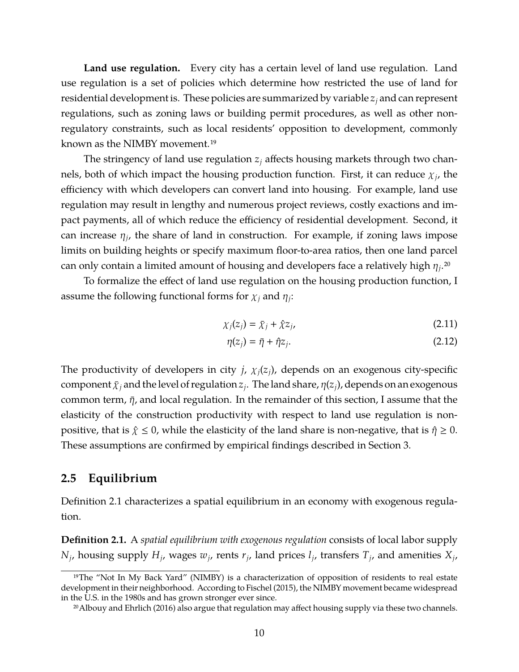**Land use regulation.** Every city has a certain level of land use regulation. Land use regulation is a set of policies which determine how restricted the use of land for residential development is. These policies are summarized by variable *z<sup>j</sup>* and can represent regulations, such as zoning laws or building permit procedures, as well as other nonregulatory constraints, such as local residents' opposition to development, commonly known as the NIMBY movement.19

The stringency of land use regulation *z<sup>j</sup>* affects housing markets through two channels, both of which impact the housing production function. First, it can reduce  $\chi_{j}$ , the efficiency with which developers can convert land into housing. For example, land use regulation may result in lengthy and numerous project reviews, costly exactions and impact payments, all of which reduce the efficiency of residential development. Second, it can increase  $\eta_j$ , the share of land in construction. For example, if zoning laws impose limits on building heights or specify maximum floor-to-area ratios, then one land parcel can only contain a limited amount of housing and developers face a relatively high  $\eta_j$ .<sup>20</sup>

To formalize the effect of land use regulation on the housing production function, I assume the following functional forms for  $\chi_j$  and  $\eta_j$ :

$$
\chi_j(z_j) = \bar{\chi}_j + \hat{\chi} z_j,\tag{2.11}
$$

<span id="page-9-2"></span><span id="page-9-1"></span>
$$
\eta(z_j) = \bar{\eta} + \hat{\eta} z_j. \tag{2.12}
$$

The productivity of developers in city *j*,  $\chi_i(z_i)$ , depends on an exogenous city-specific  $\c{component} \bar{\chi}_j$  and the level of regulation  $z_j$ . The land share,  $\eta(z_j)$ , depends on an exogenous common term,  $\bar{\eta}$ , and local regulation. In the remainder of this section, I assume that the elasticity of the construction productivity with respect to land use regulation is nonpositive, that is  $\hat{\chi} \leq 0$ , while the elasticity of the land share is non-negative, that is  $\hat{\eta} \geq 0$ . These assumptions are confirmed by empirical findings described in Section [3.](#page-10-0)

### <span id="page-9-3"></span>**2.5 Equilibrium**

Definition [2.1](#page-9-0) characterizes a spatial equilibrium in an economy with exogenous regulation.

<span id="page-9-0"></span>**Definition 2.1.** A *spatial equilibrium with exogenous regulation* consists of local labor supply  $N_j$ , housing supply  $H_j$ , wages  $w_j$ , rents  $r_j$ , land prices  $l_j$ , transfers  $T_j$ , and amenities  $X_j$ ,

<sup>&</sup>lt;sup>19</sup>The "Not In My Back Yard" (NIMBY) is a characterization of opposition of residents to real estate development in their neighborhood. According to [Fischel \(2015\),](#page-40-8) the NIMBY movement became widespread in the U.S. in the 1980s and has grown stronger ever since.

<sup>2</sup>[0Albouy and Ehrlich \(2016\)](#page-38-5) also argue that regulation may affect housing supply via these two channels.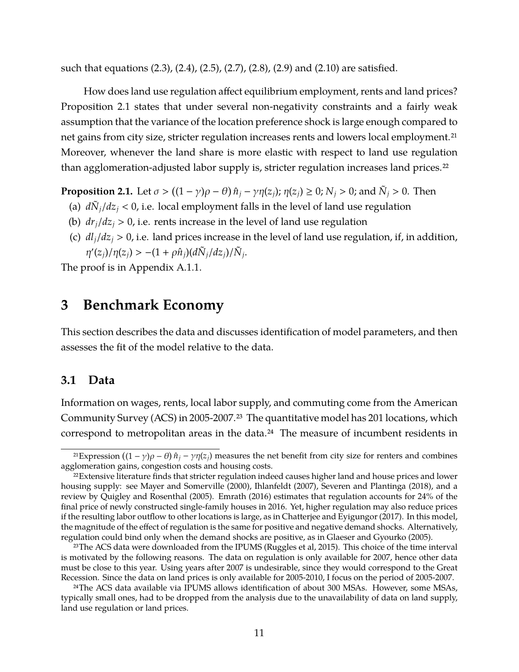such that equations [\(2.3\)](#page-6-0), [\(2.4\)](#page-7-0), [\(2.5\)](#page-7-1), [\(2.7\)](#page-8-0), [\(2.8\)](#page-8-1), [\(2.9\)](#page-8-2) and [\(2.10\)](#page-8-3) are satisfied.

How does land use regulation affect equilibrium employment, rents and land prices? Proposition [2.1](#page-10-1) states that under several non-negativity constraints and a fairly weak assumption that the variance of the location preference shock is large enough compared to net gains from city size, stricter regulation increases rents and lowers local employment.<sup>21</sup> Moreover, whenever the land share is more elastic with respect to land use regulation than agglomeration-adjusted labor supply is, stricter regulation increases land prices.<sup>22</sup>

<span id="page-10-1"></span>**Proposition 2.1.** Let  $\sigma > ((1 - \gamma)\rho - \theta)\hat{n}_j - \gamma\eta(z_j)$ ;  $\eta(z_j) \ge 0$ ;  $N_j > 0$ ; and  $\tilde{N}_j > 0$ . Then

- (a)  $\frac{d\tilde{N}_j}{dz_j}$  < 0, i.e. local employment falls in the level of land use regulation
- (b)  $dr_i/dz_i > 0$ , i.e. rents increase in the level of land use regulation
- (c)  $dl_i/dz_i > 0$ , i.e. land prices increase in the level of land use regulation, if, in addition,  $\eta'(z_j)/\eta(z_j) > -(1+\rho\hat{n}_j)(d\tilde{N}_j/dz_j)/\tilde{N}_j$ .

The proof is in Appendix [A.1.1.](#page-43-0)

## <span id="page-10-0"></span>**3 Benchmark Economy**

This section describes the data and discusses identification of model parameters, and then assesses the fit of the model relative to the data.

## **3.1 Data**

Information on wages, rents, local labor supply, and commuting come from the American Community Survey (ACS) in 2005-2007.23 The quantitative model has 201 locations, which correspond to metropolitan areas in the data.<sup>24</sup> The measure of incumbent residents in

<sup>&</sup>lt;sup>21</sup>Expression  $((1 - \gamma)\rho - \theta)\hat{n}_j - \gamma\eta(z_j)$  measures the net benefit from city size for renters and combines agglomeration gains, congestion costs and housing costs.

 $22$ Extensive literature finds that stricter regulation indeed causes higher land and house prices and lower housing supply: see [Mayer and Somerville \(2000\),](#page-41-8) [Ihlanfeldt \(2007\),](#page-41-9) [Severen and Plantinga \(2018\),](#page-42-10) and a review by [Quigley and Rosenthal \(2005\).](#page-42-11) [Emrath \(2016\)](#page-40-9) estimates that regulation accounts for 24% of the final price of newly constructed single-family houses in 2016. Yet, higher regulation may also reduce prices if the resulting labor outflow to other locations is large, as in [Chatterjee and Eyigungor \(2017\).](#page-38-8) In this model, the magnitude of the effect of regulation is the same for positive and negative demand shocks. Alternatively, regulation could bind only when the demand shocks are positive, as in [Glaeser and Gyourko \(2005\).](#page-40-10)

<sup>&</sup>lt;sup>23</sup>The ACS data were downloaded from the IPUMS [\(Ruggles et al, 2015\)](#page-42-12). This choice of the time interval is motivated by the following reasons. The data on regulation is only available for 2007, hence other data must be close to this year. Using years after 2007 is undesirable, since they would correspond to the Great Recession. Since the data on land prices is only available for 2005-2010, I focus on the period of 2005-2007.

<sup>&</sup>lt;sup>24</sup>The ACS data available via IPUMS allows identification of about 300 MSAs. However, some MSAs, typically small ones, had to be dropped from the analysis due to the unavailability of data on land supply, land use regulation or land prices.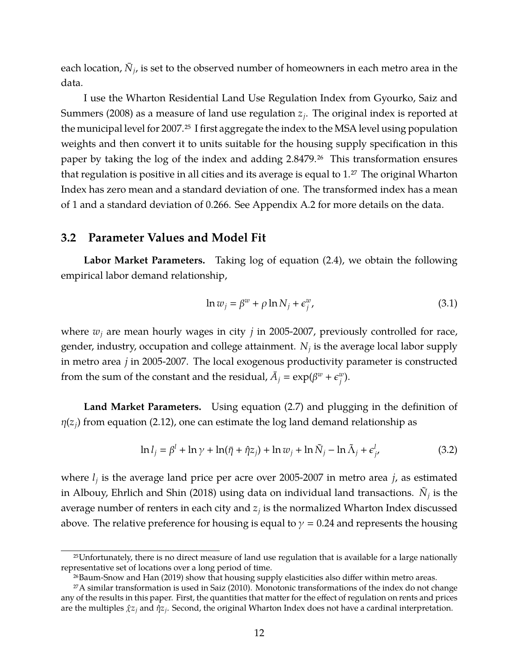each location*,*  $\bar{N}_j$ *,* is set to the observed number of homeowners in each metro area in the data.

I use the Wharton Residential Land Use Regulation Index from [Gyourko, Saiz and](#page-41-0) [Summers \(2008\)](#page-41-0) as a measure of land use regulation *z<sup>j</sup>* . The original index is reported at the municipal level for 2007.<sup>25</sup> I first aggregate the index to the MSA level using population weights and then convert it to units suitable for the housing supply specification in this paper by taking the log of the index and adding 2.8479.<sup>26</sup> This transformation ensures that regulation is positive in all cities and its average is equal to  $1.^{27}$  The original Wharton Index has zero mean and a standard deviation of one. The transformed index has a mean of 1 and a standard deviation of 0.266. See Appendix [A.2](#page-53-0) for more details on the data.

### <span id="page-11-2"></span>**3.2 Parameter Values and Model Fit**

**Labor Market Parameters.** Taking log of equation [\(2.4\)](#page-7-0), we obtain the following empirical labor demand relationship,

<span id="page-11-1"></span><span id="page-11-0"></span>
$$
\ln w_j = \beta^w + \rho \ln N_j + \epsilon^w_j,\tag{3.1}
$$

where  $w_i$  are mean hourly wages in city  $j$  in 2005-2007, previously controlled for race, gender, industry, occupation and college attainment. *N<sup>j</sup>* is the average local labor supply in metro area *j* in 2005-2007. The local exogenous productivity parameter is constructed from the sum of the constant and the residual,  $\bar{A}_j = \exp(\beta^w + \epsilon^w_j)$ *j* ).

**Land Market Parameters.** Using equation [\(2.7\)](#page-8-0) and plugging in the definition of  $\eta(z_i)$  from equation [\(2.12\)](#page-9-1), one can estimate the log land demand relationship as

$$
\ln l_j = \beta^l + \ln \gamma + \ln(\bar{\eta} + \hat{\eta} z_j) + \ln w_j + \ln \tilde{N}_j - \ln \tilde{\Lambda}_j + \epsilon^l_j,
$$
\n(3.2)

where *l<sup>j</sup>* is the average land price per acre over 2005-2007 in metro area *j*, as estimated in [Albouy, Ehrlich and Shin \(2018\)](#page-38-9) using data on individual land transactions.  $\tilde{N}_j$  is the average number of renters in each city and  $z_j$  is the normalized Wharton Index discussed above. The relative preference for housing is equal to  $\gamma = 0.24$  and represents the housing

<sup>25</sup>Unfortunately, there is no direct measure of land use regulation that is available for a large nationally representative set of locations over a long period of time.

<sup>2</sup>[6Baum-Snow and Han \(2019\)](#page-38-10) show that housing supply elasticities also differ within metro areas.

<sup>27</sup>A similar transformation is used in [Saiz \(2010\).](#page-42-13) Monotonic transformations of the index do not change any of the results in this paper. First, the quantities that matter for the effect of regulation on rents and prices are the multiples χˆ*z<sup>j</sup>* and ηˆ*z<sup>j</sup>* . Second, the original Wharton Index does not have a cardinal interpretation.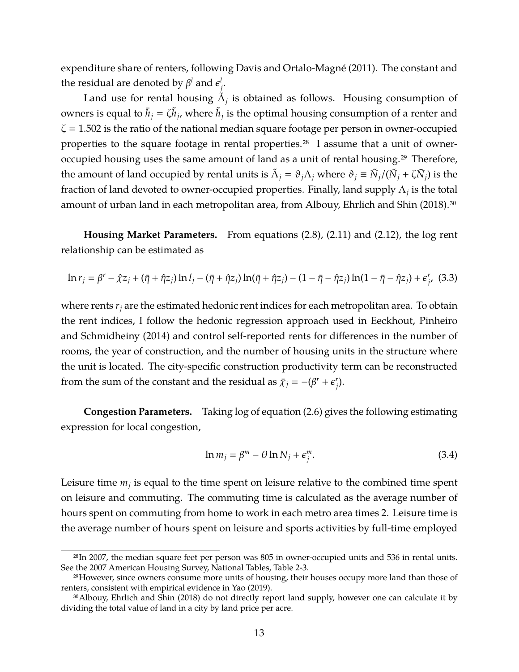expenditure share of renters, following [Davis and Ortalo-Magné \(2011\).](#page-39-9) The constant and the residual are denoted by  $\beta^l$  and  $\epsilon^l_j$ *j* .

Land use for rental housing  $\tilde{\Lambda}_j$  is obtained as follows. Housing consumption of owners is equal to  $\bar{h}_j = \zeta \tilde{h}_j$ , where  $\tilde{h}_j$  is the optimal housing consumption of a renter and  $\zeta$  = 1.502 is the ratio of the national median square footage per person in owner-occupied properties to the square footage in rental properties.<sup>28</sup> I assume that a unit of owneroccupied housing uses the same amount of land as a unit of rental housing.<sup>29</sup> Therefore, the amount of land occupied by rental units is  $\tilde{\Lambda}_j = \vartheta_j \Lambda_j$  where  $\vartheta_j \equiv \tilde{N}_j/(\tilde{N}_j + \zeta \bar{N}_j)$  is the fraction of land devoted to owner-occupied properties. Finally, land supply  $\Lambda_j$  is the total amount of urban land in each metropolitan area, from [Albouy, Ehrlich and Shin \(2018\).](#page-38-9)<sup>30</sup>

**Housing Market Parameters.** From equations [\(2.8\)](#page-8-1), [\(2.11\)](#page-9-2) and [\(2.12\)](#page-9-1), the log rent relationship can be estimated as

<span id="page-12-0"></span>
$$
\ln r_j = \beta^r - \hat{\chi} z_j + (\bar{\eta} + \hat{\eta} z_j) \ln l_j - (\bar{\eta} + \hat{\eta} z_j) \ln(\bar{\eta} + \hat{\eta} z_j) - (1 - \bar{\eta} - \hat{\eta} z_j) \ln(1 - \bar{\eta} - \hat{\eta} z_j) + \epsilon_j^r
$$
 (3.3)

where rents *r<sup>j</sup>* are the estimated hedonic rent indices for each metropolitan area. To obtain the rent indices, I follow the hedonic regression approach used in [Eeckhout, Pinheiro](#page-40-11) [and Schmidheiny \(2014\)](#page-40-11) and control self-reported rents for differences in the number of rooms, the year of construction, and the number of housing units in the structure where the unit is located. The city-specific construction productivity term can be reconstructed from the sum of the constant and the residual as  $\bar{\chi}_j = -(\beta^r + \epsilon^r_j)$ *j* ).

**Congestion Parameters.** Taking log of equation [\(2.6\)](#page-7-2) gives the following estimating expression for local congestion,

<span id="page-12-1"></span>
$$
\ln m_j = \beta^m - \theta \ln N_j + \epsilon_j^m. \tag{3.4}
$$

Leisure time  $m_j$  is equal to the time spent on leisure relative to the combined time spent on leisure and commuting. The commuting time is calculated as the average number of hours spent on commuting from home to work in each metro area times 2. Leisure time is the average number of hours spent on leisure and sports activities by full-time employed

<sup>28</sup>In 2007, the median square feet per person was 805 in owner-occupied units and 536 in rental units. See the 2007 American Housing Survey, National Tables, Table 2-3.

<sup>29</sup>However, since owners consume more units of housing, their houses occupy more land than those of renters, consistent with empirical evidence in [Yao \(2019\).](#page-42-7)

<sup>3</sup>[0Albouy, Ehrlich and Shin \(2018\)](#page-38-9) do not directly report land supply, however one can calculate it by dividing the total value of land in a city by land price per acre.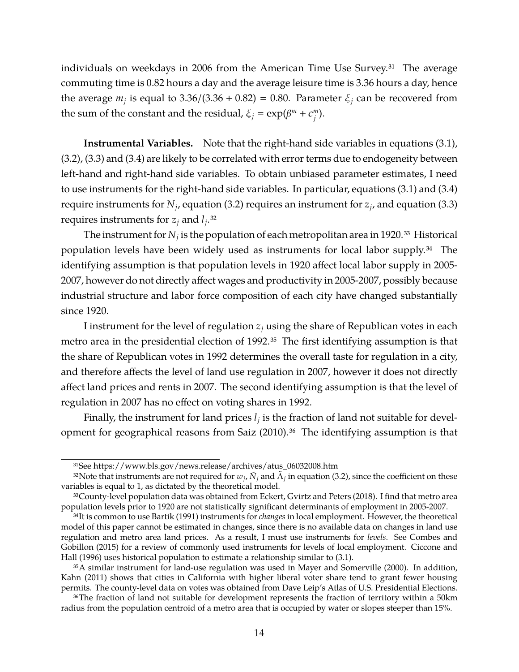individuals on weekdays in 2006 from the American Time Use Survey.<sup>31</sup> The average commuting time is 0.82 hours a day and the average leisure time is 3.36 hours a day, hence the average  $m_j$  is equal to 3.36/(3.36 + 0.82) = 0.80. Parameter  $\xi_j$  can be recovered from the sum of the constant and the residual,  $\xi_j = \exp(\beta^m + \epsilon^m_j)$ *j* ).

**Instrumental Variables.** Note that the right-hand side variables in equations [\(3.1\)](#page-11-0), [\(3.2\)](#page-11-1), [\(3.3\)](#page-12-0) and [\(3.4\)](#page-12-1) are likely to be correlated with error terms due to endogeneity between left-hand and right-hand side variables. To obtain unbiased parameter estimates, I need to use instruments for the right-hand side variables. In particular, equations [\(3.1\)](#page-11-0) and [\(3.4\)](#page-12-1) require instruments for  $N_j$ , equation [\(3.2\)](#page-11-1) requires an instrument for  $z_j$ , and equation [\(3.3\)](#page-12-0) requires instruments for *z<sup>j</sup>* and *l<sup>j</sup>* .32

The instrument for  $N_j$  is the population of each metropolitan area in 1920.<sup>33</sup> Historical population levels have been widely used as instruments for local labor supply.34 The identifying assumption is that population levels in 1920 affect local labor supply in 2005- 2007, however do not directly affect wages and productivity in 2005-2007, possibly because industrial structure and labor force composition of each city have changed substantially since 1920.

I instrument for the level of regulation *z<sup>j</sup>* using the share of Republican votes in each metro area in the presidential election of 1992.35 The first identifying assumption is that the share of Republican votes in 1992 determines the overall taste for regulation in a city, and therefore affects the level of land use regulation in 2007, however it does not directly affect land prices and rents in 2007. The second identifying assumption is that the level of regulation in 2007 has no effect on voting shares in 1992.

Finally, the instrument for land prices  $l_j$  is the fraction of land not suitable for devel-opment for geographical reasons from [Saiz \(2010\).](#page-42-13)<sup>36</sup> The identifying assumption is that

<sup>31</sup>See [https://www.bls.gov/news.release/archives/atus\\_06032008.htm](https://www.bls.gov/news.release/archives/atus_06032008.htm)

<sup>&</sup>lt;sup>32</sup>Note that instruments are not required for  $w_j$ ,  $\tilde N_j$  and  $\tilde \Lambda_j$  in equation [\(3.2\)](#page-11-1), since the coefficient on these variables is equal to 1, as dictated by the theoretical model.

<sup>33</sup>County-level population data was obtained from [Eckert, Gvirtz and Peters \(2018\).](#page-39-10) I find that metro area population levels prior to 1920 are not statistically significant determinants of employment in 2005-2007.

<sup>34</sup>It is common to use [Bartik \(1991\)](#page-38-11) instruments for *changes* in local employment. However, the theoretical model of this paper cannot be estimated in changes, since there is no available data on changes in land use regulation and metro area land prices. As a result, I must use instruments for *levels*. See [Combes and](#page-39-5) [Gobillon \(2015\)](#page-39-5) for a review of commonly used instruments for levels of local employment. [Ciccone and](#page-38-12) [Hall \(1996\)](#page-38-12) uses historical population to estimate a relationship similar to [\(3.1\)](#page-11-0).

<sup>35</sup>A similar instrument for land-use regulation was used in [Mayer and Somerville \(2000\).](#page-41-8) In addition, [Kahn \(2011\)](#page-41-10) shows that cities in California with higher liberal voter share tend to grant fewer housing permits. The county-level data on votes was obtained from Dave Leip's Atlas of U.S. Presidential Elections.

<sup>36</sup>The fraction of land not suitable for development represents the fraction of territory within a 50km radius from the population centroid of a metro area that is occupied by water or slopes steeper than 15%.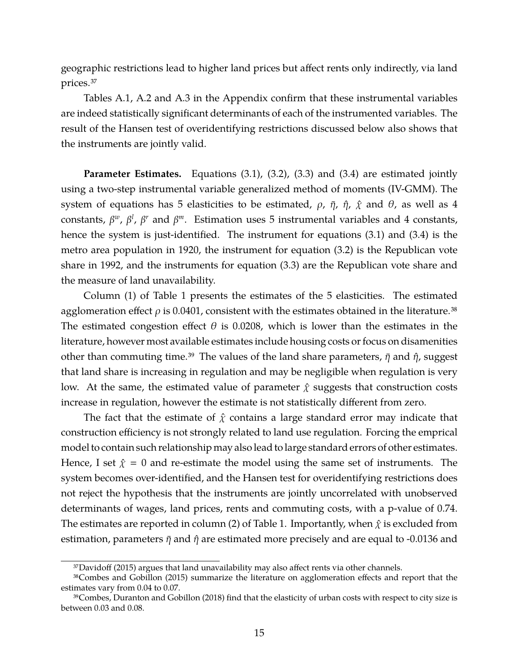geographic restrictions lead to higher land prices but affect rents only indirectly, via land prices.37

Tables [A.1,](#page-54-0) [A.2](#page-54-1) and [A.3](#page-55-0) in the Appendix confirm that these instrumental variables are indeed statistically significant determinants of each of the instrumented variables. The result of the Hansen test of overidentifying restrictions discussed below also shows that the instruments are jointly valid.

**Parameter Estimates.** Equations [\(3.1\)](#page-11-0), [\(3.2\)](#page-11-1), [\(3.3\)](#page-12-0) and [\(3.4\)](#page-12-1) are estimated jointly using a two-step instrumental variable generalized method of moments (IV-GMM). The system of equations has 5 elasticities to be estimated,  $\rho$ ,  $\bar{\eta}$ ,  $\hat{\eta}$ ,  $\hat{\chi}$  and  $\theta$ , as well as 4 constants,  $β<sup>w</sup>$ ,  $β<sup>l</sup>$ ,  $β<sup>r</sup>$  and  $β<sup>m</sup>$ . Estimation uses 5 instrumental variables and 4 constants, hence the system is just-identified. The instrument for equations [\(3.1\)](#page-11-0) and [\(3.4\)](#page-12-1) is the metro area population in 1920, the instrument for equation [\(3.2\)](#page-11-1) is the Republican vote share in 1992, and the instruments for equation [\(3.3\)](#page-12-0) are the Republican vote share and the measure of land unavailability.

Column (1) of Table [1](#page-15-0) presents the estimates of the 5 elasticities. The estimated agglomeration effect  $\rho$  is 0.0401, consistent with the estimates obtained in the literature.<sup>38</sup> The estimated congestion effect  $\theta$  is 0.0208, which is lower than the estimates in the literature, however most available estimates include housing costs or focus on disamenities other than commuting time.<sup>39</sup> The values of the land share parameters,  $\bar{\eta}$  and  $\hat{\eta}$ , suggest that land share is increasing in regulation and may be negligible when regulation is very low. At the same, the estimated value of parameter  $\hat{\chi}$  suggests that construction costs increase in regulation, however the estimate is not statistically different from zero.

The fact that the estimate of  $\hat{\chi}$  contains a large standard error may indicate that construction efficiency is not strongly related to land use regulation. Forcing the emprical model to contain such relationship may also lead to large standard errors of other estimates. Hence, I set  $\hat{\chi} = 0$  and re-estimate the model using the same set of instruments. The system becomes over-identified, and the Hansen test for overidentifying restrictions does not reject the hypothesis that the instruments are jointly uncorrelated with unobserved determinants of wages, land prices, rents and commuting costs, with a p-value of 0.74. The estimates are reported in column (2) of Table [1.](#page-15-0) Importantly, when  $\hat{\chi}$  is excluded from estimation, parameters  $\bar{\eta}$  and  $\hat{\eta}$  are estimated more precisely and are equal to -0.0136 and

<sup>3</sup>[7Davidoff \(2015\)](#page-39-11) argues that land unavailability may also affect rents via other channels.

<sup>3</sup>[8Combes and Gobillon \(2015\)](#page-39-5) summarize the literature on agglomeration effects and report that the estimates vary from 0.04 to 0.07.

<sup>3</sup>[9Combes, Duranton and Gobillon \(2018\)](#page-39-12) find that the elasticity of urban costs with respect to city size is between 0.03 and 0.08.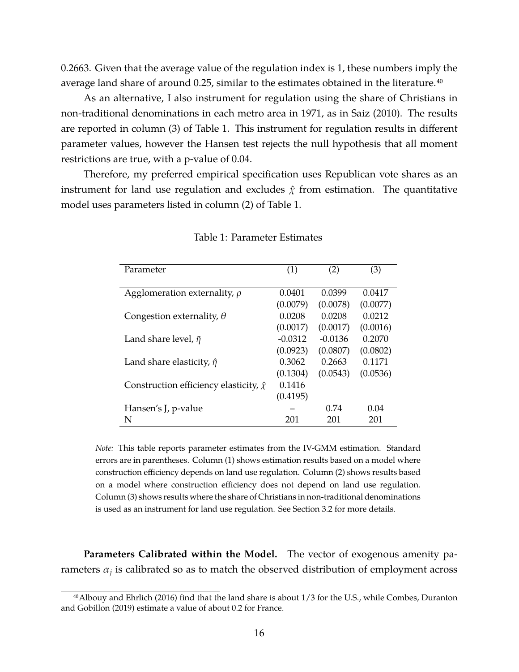0.2663. Given that the average value of the regulation index is 1, these numbers imply the average land share of around 0.25, similar to the estimates obtained in the literature.<sup>40</sup>

As an alternative, I also instrument for regulation using the share of Christians in non-traditional denominations in each metro area in 1971, as in [Saiz \(2010\).](#page-42-13) The results are reported in column (3) of Table [1.](#page-15-0) This instrument for regulation results in different parameter values, however the Hansen test rejects the null hypothesis that all moment restrictions are true, with a p-value of 0.04.

Therefore, my preferred empirical specification uses Republican vote shares as an instrument for land use regulation and excludes  $\hat{\chi}$  from estimation. The quantitative model uses parameters listed in column (2) of Table [1.](#page-15-0)

| Parameter                                        | (1)       | (2)       | (3)      |
|--------------------------------------------------|-----------|-----------|----------|
|                                                  |           |           |          |
|                                                  |           |           |          |
| Agglomeration externality, $\rho$                | 0.0401    | 0.0399    | 0.0417   |
|                                                  | (0.0079)  | (0.0078)  | (0.0077) |
| Congestion externality, $\theta$                 | 0.0208    | 0.0208    | 0.0212   |
|                                                  | (0.0017)  | (0.0017)  | (0.0016) |
| Land share level, $\bar{\eta}$                   | $-0.0312$ | $-0.0136$ | 0.2070   |
|                                                  | (0.0923)  | (0.0807)  | (0.0802) |
| Land share elasticity, $\hat{\eta}$              | 0.3062    | 0.2663    | 0.1171   |
|                                                  | (0.1304)  | (0.0543)  | (0.0536) |
| Construction efficiency elasticity, $\hat{\chi}$ | 0.1416    |           |          |
|                                                  | (0.4195)  |           |          |
| Hansen's J, p-value                              |           | 0.74      | 0.04     |
| N                                                | 201       | 201       | 201      |

<span id="page-15-0"></span>Table 1: Parameter Estimates

*Note:* This table reports parameter estimates from the IV-GMM estimation. Standard errors are in parentheses. Column (1) shows estimation results based on a model where construction efficiency depends on land use regulation. Column (2) shows results based on a model where construction efficiency does not depend on land use regulation. Column (3) shows results where the share of Christians in non-traditional denominations is used as an instrument for land use regulation. See Section [3.2](#page-11-2) for more details.

**Parameters Calibrated within the Model.** The vector of exogenous amenity parameters  $\alpha_j$  is calibrated so as to match the observed distribution of employment across

<sup>4</sup>[0Albouy and Ehrlich \(2016\)](#page-38-5) find that the land share is about 1/3 for the U.S., while [Combes, Duranton](#page-39-7) [and Gobillon \(2019\)](#page-39-7) estimate a value of about 0.2 for France.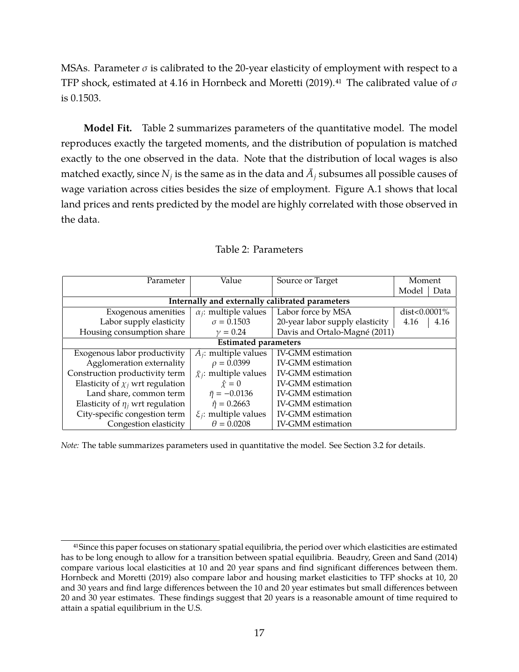MSAs. Parameter  $\sigma$  is calibrated to the 20-year elasticity of employment with respect to a TFP shock, estimated at 4.16 in [Hornbeck and Moretti \(2019\).](#page-41-11)<sup>41</sup> The calibrated value of  $\sigma$ is 0.1503.

**Model Fit.** Table [2](#page-16-0) summarizes parameters of the quantitative model. The model reproduces exactly the targeted moments, and the distribution of population is matched exactly to the one observed in the data. Note that the distribution of local wages is also matched exactly, since  $N_j$  is the same as in the data and  $\bar{A_j}$  subsumes all possible causes of wage variation across cities besides the size of employment. Figure [A.1](#page-55-1) shows that local land prices and rents predicted by the model are highly correlated with those observed in the data.

| Parameter                                       | Value                            | Source or Target                | Moment           |      |  |
|-------------------------------------------------|----------------------------------|---------------------------------|------------------|------|--|
|                                                 |                                  |                                 | Model            | Data |  |
| Internally and externally calibrated parameters |                                  |                                 |                  |      |  |
| Exogenous amenities                             | $\alpha_i$ : multiple values     | Labor force by MSA              | dist< $0.0001\%$ |      |  |
| Labor supply elasticity                         | $\sigma = 0.1503$                | 20-year labor supply elasticity | 4.16             | 4.16 |  |
| Housing consumption share                       | $\nu = 0.24$                     | Davis and Ortalo-Magné (2011)   |                  |      |  |
|                                                 | <b>Estimated parameters</b>      |                                 |                  |      |  |
| Exogenous labor productivity                    | $\bar{A}_i$ : multiple values    | <b>IV-GMM</b> estimation        |                  |      |  |
| Agglomeration externality                       | $\rho = 0.0399$                  | <b>IV-GMM</b> estimation        |                  |      |  |
| Construction productivity term                  | $\bar{\chi}_i$ : multiple values | <b>IV-GMM</b> estimation        |                  |      |  |
| Elasticity of $\chi_i$ wrt regulation           | $\hat{x} = 0$                    | <b>IV-GMM</b> estimation        |                  |      |  |
| Land share, common term                         | $\bar{\eta} = -0.0136$           | <b>IV-GMM</b> estimation        |                  |      |  |
| Elasticity of $\eta_i$ wrt regulation           | $\hat{\eta} = 0.2663$            | <b>IV-GMM</b> estimation        |                  |      |  |
| City-specific congestion term                   | $\xi_i$ : multiple values        | <b>IV-GMM</b> estimation        |                  |      |  |
| Congestion elasticity                           | $\theta = 0.0208$                | <b>IV-GMM</b> estimation        |                  |      |  |

<span id="page-16-0"></span>

*Note:* The table summarizes parameters used in quantitative the model. See Section [3.2](#page-11-2) for details.

<sup>&</sup>lt;sup>41</sup>Since this paper focuses on stationary spatial equilibria, the period over which elasticities are estimated has to be long enough to allow for a transition between spatial equilibria. [Beaudry, Green and Sand \(2014\)](#page-38-13) compare various local elasticities at 10 and 20 year spans and find significant differences between them. [Hornbeck and Moretti \(2019\)](#page-41-11) also compare labor and housing market elasticities to TFP shocks at 10, 20 and 30 years and find large differences between the 10 and 20 year estimates but small differences between 20 and 30 year estimates. These findings suggest that 20 years is a reasonable amount of time required to attain a spatial equilibrium in the U.S.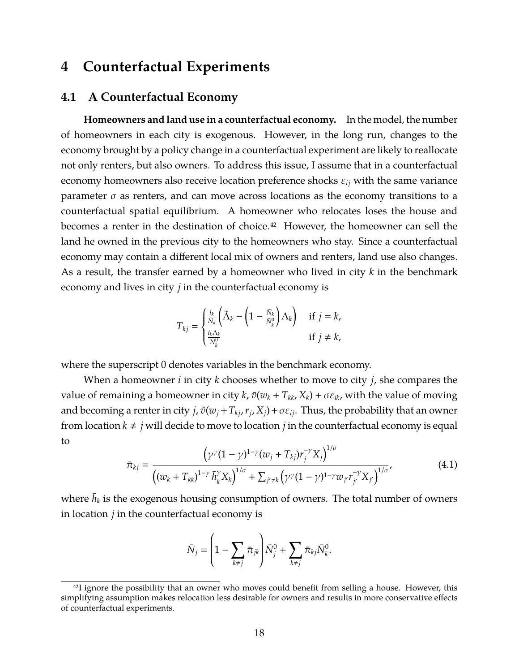## <span id="page-17-0"></span>**4 Counterfactual Experiments**

### **4.1 A Counterfactual Economy**

**Homeowners and land use in a counterfactual economy.** In the model, the number of homeowners in each city is exogenous. However, in the long run, changes to the economy brought by a policy change in a counterfactual experiment are likely to reallocate not only renters, but also owners. To address this issue, I assume that in a counterfactual economy homeowners also receive location preference shocks ε*ij* with the same variance parameter  $\sigma$  as renters, and can move across locations as the economy transitions to a counterfactual spatial equilibrium. A homeowner who relocates loses the house and becomes a renter in the destination of choice.<sup>42</sup> However, the homeowner can sell the land he owned in the previous city to the homeowners who stay. Since a counterfactual economy may contain a different local mix of owners and renters, land use also changes. As a result, the transfer earned by a homeowner who lived in city *k* in the benchmark economy and lives in city *j* in the counterfactual economy is

$$
T_{kj} = \begin{cases} \frac{l_k}{\bar{N}_k} \left( \tilde{\Lambda}_k - \left( 1 - \frac{\bar{N}_k}{\bar{N}_k^0} \right) \Lambda_k \right) & \text{if } j = k, \\ \frac{l_k \Lambda_k}{\bar{N}_k^0} & \text{if } j \neq k, \end{cases}
$$

where the superscript 0 denotes variables in the benchmark economy.

When a homeowner *i* in city *k* chooses whether to move to city *j*, she compares the value of remaining a homeowner in city *k*,  $\bar{v}(w_k + T_{kk}, X_k) + \sigma \varepsilon_{ik}$ , with the value of moving and becoming a renter in city *j*,  $\tilde{v}(w_j + T_{kj}, r_j, X_j) + \sigma \varepsilon_{ij}$ . Thus, the probability that an owner from location  $k \neq j$  will decide to move to location *j* in the counterfactual economy is equal to <sup>1</sup>/σ

$$
\bar{\pi}_{kj} = \frac{\left(\gamma^{\gamma}(1-\gamma)^{1-\gamma}(w_j+T_{kj})r_j^{-\gamma}X_j\right)^{1/\sigma}}{\left((w_k+T_{kk})^{1-\gamma}\bar{h}_k^{\gamma}X_k\right)^{1/\sigma} + \sum_{j'\neq k}\left(\gamma^{\gamma}(1-\gamma)^{1-\gamma}w_{j'}r_{j'}^{-\gamma}X_{j'}\right)^{1/\sigma}},\tag{4.1}
$$

where  $\bar{h}_k$  is the exogenous housing consumption of owners. The total number of owners in location *j* in the counterfactual economy is

$$
\bar{N}_j = \left(1 - \sum_{k \neq j} \bar{\pi}_{jk}\right) \bar{N}_j^0 + \sum_{k \neq j} \bar{\pi}_{kj} \bar{N}_k^0.
$$

<sup>&</sup>lt;sup>42</sup>I ignore the possibility that an owner who moves could benefit from selling a house. However, this simplifying assumption makes relocation less desirable for owners and results in more conservative effects of counterfactual experiments.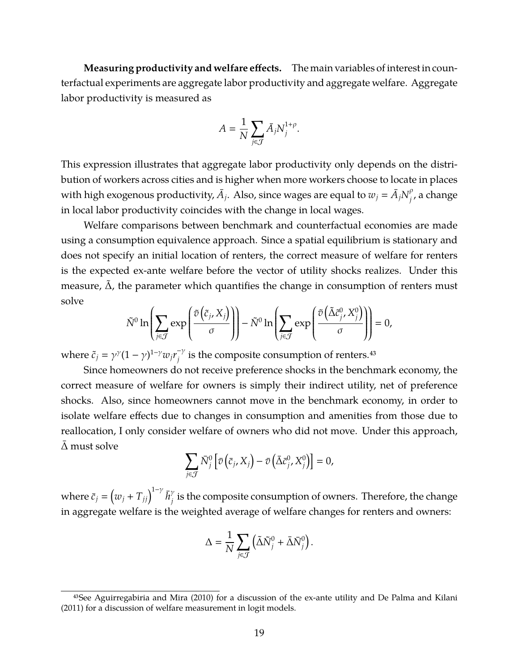**Measuring productivity and welfare effects.** The main variables of interest in counterfactual experiments are aggregate labor productivity and aggregate welfare. Aggregate labor productivity is measured as

$$
A = \frac{1}{N} \sum_{j \in \mathcal{J}} \bar{A}_j N_j^{1+\rho}.
$$

This expression illustrates that aggregate labor productivity only depends on the distribution of workers across cities and is higher when more workers choose to locate in places with high exogenous productivity,  $\bar{A}_j$ . Also, since wages are equal to  $w_j = \bar{A}_j N^{\rho}_j$  $\frac{\rho}{j}$ , a change in local labor productivity coincides with the change in local wages.

Welfare comparisons between benchmark and counterfactual economies are made using a consumption equivalence approach. Since a spatial equilibrium is stationary and does not specify an initial location of renters, the correct measure of welfare for renters is the expected ex-ante welfare before the vector of utility shocks realizes. Under this measure,  $\Delta$ , the parameter which quantifies the change in consumption of renters must solve

$$
\tilde{N}^0 \ln \left( \sum_{j \in \mathcal{J}} \exp \left( \frac{\tilde{v} \left( \tilde{c}_j, X_j \right)}{\sigma} \right) \right) - \tilde{N}^0 \ln \left( \sum_{j \in \mathcal{J}} \exp \left( \frac{\tilde{v} \left( \tilde{\Delta} \tilde{c}^0_j, X_j^0 \right)}{\sigma} \right) \right) = 0,
$$

where  $\tilde{c}_j = \gamma^{\gamma} (1 - \gamma)^{1 - \gamma} w_j r_j^{-\gamma}$  $j^{\tau \gamma}$  is the composite consumption of renters.<sup>43</sup>

Since homeowners do not receive preference shocks in the benchmark economy, the correct measure of welfare for owners is simply their indirect utility, net of preference shocks. Also, since homeowners cannot move in the benchmark economy, in order to isolate welfare effects due to changes in consumption and amenities from those due to reallocation, I only consider welfare of owners who did not move. Under this approach,  $\Delta$  must solve

$$
\sum_{j\in\mathcal{J}}\bar{N}_j^0\left[\bar{v}\left(\bar{c}_j,X_j\right)-\bar{v}\left(\bar{\Delta}\bar{c}_j^0,X_j^0\right)\right]=0,
$$

where  $\bar{c}_j = (w_j + T_{jj})^{1-\gamma} \bar{h}^{\gamma}_i$  $\hat{y}_j$  is the composite consumption of owners. Therefore, the change in aggregate welfare is the weighted average of welfare changes for renters and owners:

$$
\Delta = \frac{1}{N} \sum_{j \in \mathcal{J}} \left( \tilde{\Delta} \tilde{N}_j^0 + \bar{\Delta} \bar{N}_j^0 \right).
$$

 $43$ See [Aguirregabiria and Mira \(2010\)](#page-38-14) for a discussion of the ex-ante utility and [De Palma and Kilani](#page-39-13) [\(2011\)](#page-39-13) for a discussion of welfare measurement in logit models.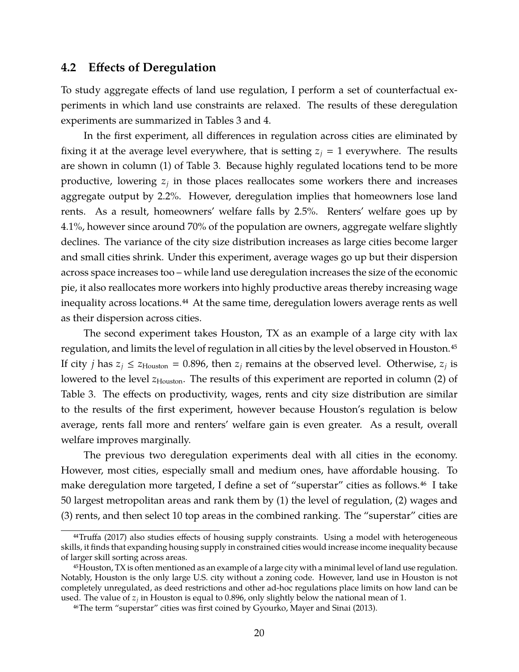### **4.2 Effects of Deregulation**

To study aggregate effects of land use regulation, I perform a set of counterfactual experiments in which land use constraints are relaxed. The results of these deregulation experiments are summarized in Tables [3](#page-20-0) and [4.](#page-22-0)

In the first experiment, all differences in regulation across cities are eliminated by fixing it at the average level everywhere, that is setting  $z_j = 1$  everywhere. The results are shown in column (1) of Table [3.](#page-20-0) Because highly regulated locations tend to be more productive, lowering *z<sup>j</sup>* in those places reallocates some workers there and increases aggregate output by 2.2%. However, deregulation implies that homeowners lose land rents. As a result, homeowners' welfare falls by 2.5%. Renters' welfare goes up by 4.1%, however since around 70% of the population are owners, aggregate welfare slightly declines. The variance of the city size distribution increases as large cities become larger and small cities shrink. Under this experiment, average wages go up but their dispersion across space increases too – while land use deregulation increases the size of the economic pie, it also reallocates more workers into highly productive areas thereby increasing wage inequality across locations.<sup>44</sup> At the same time, deregulation lowers average rents as well as their dispersion across cities.

The second experiment takes Houston, TX as an example of a large city with lax regulation, and limits the level of regulation in all cities by the level observed in Houston.<sup>45</sup> If city *j* has  $z_j \le z_{\text{Houton}} = 0.896$ , then  $z_j$  remains at the observed level. Otherwise,  $z_j$  is lowered to the level  $z_{\text{Houston}}$ . The results of this experiment are reported in column (2) of Table [3.](#page-20-0) The effects on productivity, wages, rents and city size distribution are similar to the results of the first experiment, however because Houston's regulation is below average, rents fall more and renters' welfare gain is even greater. As a result, overall welfare improves marginally.

The previous two deregulation experiments deal with all cities in the economy. However, most cities, especially small and medium ones, have affordable housing. To make deregulation more targeted, I define a set of "superstar" cities as follows.<sup>46</sup> I take 50 largest metropolitan areas and rank them by (1) the level of regulation, (2) wages and (3) rents, and then select 10 top areas in the combined ranking. The "superstar" cities are

<sup>&</sup>lt;sup>44</sup>Truffa (2017) also studies effects of housing supply constraints. Using a model with heterogeneous skills, it finds that expanding housing supply in constrained cities would increase income inequality because of larger skill sorting across areas.

<sup>45</sup>Houston, TX is often mentioned as an example of a large city with a minimal level of land use regulation. Notably, Houston is the only large U.S. city without a zoning code. However, land use in Houston is not completely unregulated, as deed restrictions and other ad-hoc regulations place limits on how land can be used. The value of *z<sup>j</sup>* in Houston is equal to 0.896, only slightly below the national mean of 1.

<sup>46</sup>The term "superstar" cities was first coined by [Gyourko, Mayer and Sinai \(2013\).](#page-40-3)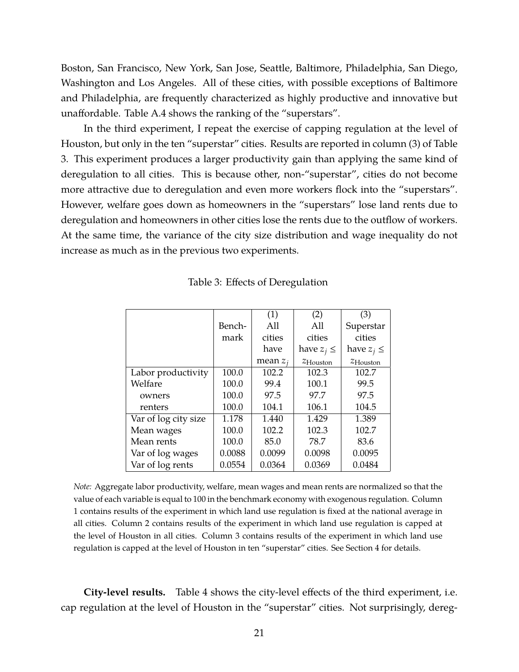Boston, San Francisco, New York, San Jose, Seattle, Baltimore, Philadelphia, San Diego, Washington and Los Angeles. All of these cities, with possible exceptions of Baltimore and Philadelphia, are frequently characterized as highly productive and innovative but unaffordable. Table [A.4](#page-56-0) shows the ranking of the "superstars".

In the third experiment, I repeat the exercise of capping regulation at the level of Houston, but only in the ten "superstar" cities. Results are reported in column (3) of Table [3.](#page-20-0) This experiment produces a larger productivity gain than applying the same kind of deregulation to all cities. This is because other, non-"superstar", cities do not become more attractive due to deregulation and even more workers flock into the "superstars". However, welfare goes down as homeowners in the "superstars" lose land rents due to deregulation and homeowners in other cities lose the rents due to the outflow of workers. At the same time, the variance of the city size distribution and wage inequality do not increase as much as in the previous two experiments.

|                      |        | (1)        | (2)                  | (3)                  |
|----------------------|--------|------------|----------------------|----------------------|
|                      | Bench- | All        | All                  | Superstar            |
|                      | mark   | cities     | cities               | cities               |
|                      |        | have       | have $z_i \leq$      | have $z_i \leq$      |
|                      |        | mean $z_i$ | $z_{\text{Houston}}$ | $z_{\text{Houston}}$ |
| Labor productivity   | 100.0  | 102.2      | 102.3                | 102.7                |
| Welfare              | 100.0  | 99.4       | 100.1                | 99.5                 |
| owners               | 100.0  | 97.5       | 97.7                 | 97.5                 |
| renters              | 100.0  | 104.1      | 106.1                | 104.5                |
| Var of log city size | 1.178  | 1.440      | 1.429                | 1.389                |
| Mean wages           | 100.0  | 102.2      | 102.3                | 102.7                |
| Mean rents           | 100.0  | 85.0       | 78.7                 | 83.6                 |
| Var of log wages     | 0.0088 | 0.0099     | 0.0098               | 0.0095               |
| Var of log rents     | 0.0554 | 0.0364     | 0.0369               | 0.0484               |

<span id="page-20-0"></span>Table 3: Effects of Deregulation

*Note:* Aggregate labor productivity, welfare, mean wages and mean rents are normalized so that the value of each variable is equal to 100 in the benchmark economy with exogenous regulation. Column 1 contains results of the experiment in which land use regulation is fixed at the national average in all cities. Column 2 contains results of the experiment in which land use regulation is capped at the level of Houston in all cities. Column 3 contains results of the experiment in which land use regulation is capped at the level of Houston in ten "superstar" cities. See Section [4](#page-17-0) for details.

**City-level results.** Table [4](#page-22-0) shows the city-level effects of the third experiment, i.e. cap regulation at the level of Houston in the "superstar" cities. Not surprisingly, dereg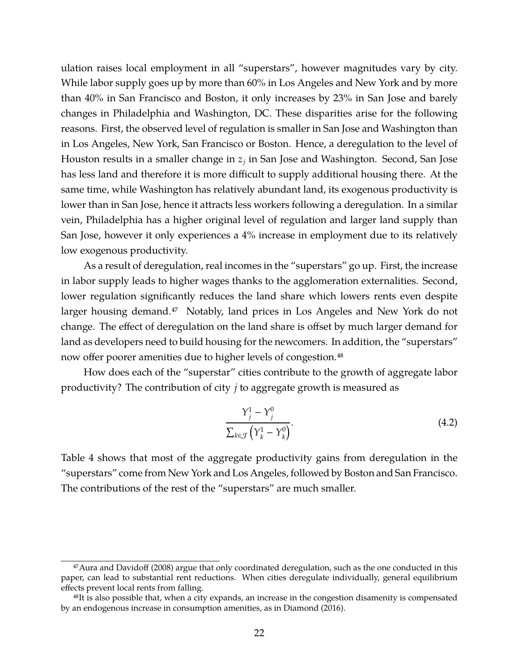ulation raises local employment in all "superstars", however magnitudes vary by city. While labor supply goes up by more than 60% in Los Angeles and New York and by more than 40% in San Francisco and Boston, it only increases by 23% in San Jose and barely changes in Philadelphia and Washington, DC. These disparities arise for the following reasons. First, the observed level of regulation is smaller in San Jose and Washington than in Los Angeles, New York, San Francisco or Boston. Hence, a deregulation to the level of Houston results in a smaller change in *z<sup>j</sup>* in San Jose and Washington. Second, San Jose has less land and therefore it is more difficult to supply additional housing there. At the same time, while Washington has relatively abundant land, its exogenous productivity is lower than in San Jose, hence it attracts less workers following a deregulation. In a similar vein, Philadelphia has a higher original level of regulation and larger land supply than San Jose, however it only experiences a 4% increase in employment due to its relatively low exogenous productivity.

As a result of deregulation, real incomes in the "superstars" go up. First, the increase in labor supply leads to higher wages thanks to the agglomeration externalities. Second, lower regulation significantly reduces the land share which lowers rents even despite larger housing demand.<sup>47</sup> Notably, land prices in Los Angeles and New York do not change. The effect of deregulation on the land share is offset by much larger demand for land as developers need to build housing for the newcomers. In addition, the "superstars" now offer poorer amenities due to higher levels of congestion.<sup>48</sup>

How does each of the "superstar" cities contribute to the growth of aggregate labor productivity? The contribution of city *j* to aggregate growth is measured as

<span id="page-21-0"></span>
$$
\frac{Y_j^1 - Y_j^0}{\sum_{k \in \mathcal{J}} \left( Y_k^1 - Y_k^0 \right)}.
$$
\n(4.2)

Table [4](#page-22-0) shows that most of the aggregate productivity gains from deregulation in the "superstars" come from New York and Los Angeles, followed by Boston and San Francisco. The contributions of the rest of the "superstars" are much smaller.

<sup>&</sup>lt;sup>47</sup> Aura and Davidoff (2008) argue that only coordinated deregulation, such as the one conducted in this paper, can lead to substantial rent reductions. When cities deregulate individually, general equilibrium effects prevent local rents from falling.

<sup>48</sup>It is also possible that, when a city expands, an increase in the congestion disamenity is compensated by an endogenous increase in consumption amenities, as in [Diamond \(2016\).](#page-39-2)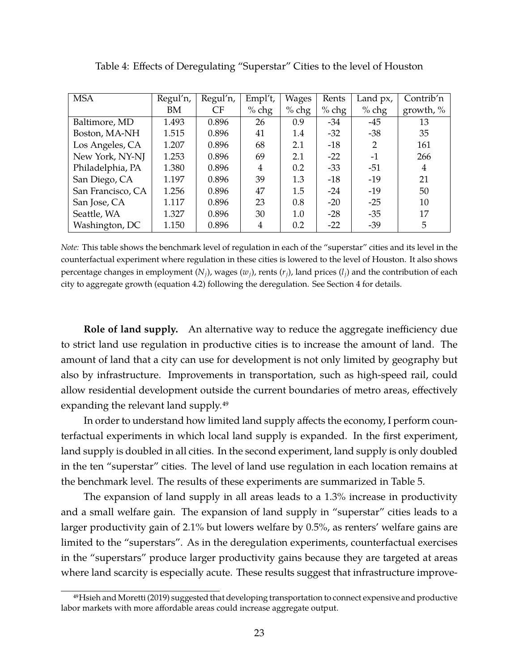| <b>MSA</b>        | Regul'n, | Regul'n, | Empl't, | Wages   | Rents   | Land px, | Contrib'n    |
|-------------------|----------|----------|---------|---------|---------|----------|--------------|
|                   | BM       | CF       | $%$ chg | $%$ chg | $%$ chg | $%$ chg  | growth, $\%$ |
| Baltimore, MD     | 1.493    | 0.896    | 26      | 0.9     | $-34$   | $-45$    | 13           |
| Boston, MA-NH     | 1.515    | 0.896    | 41      | 1.4     | $-32$   | $-38$    | 35           |
| Los Angeles, CA   | 1.207    | 0.896    | 68      | 2.1     | $-18$   | 2        | 161          |
| New York, NY-NJ   | 1.253    | 0.896    | 69      | 2.1     | $-22$   | $-1$     | 266          |
| Philadelphia, PA  | 1.380    | 0.896    | 4       | 0.2     | $-33$   | $-51$    | 4            |
| San Diego, CA     | 1.197    | 0.896    | 39      | 1.3     | $-18$   | $-19$    | 21           |
| San Francisco, CA | 1.256    | 0.896    | 47      | 1.5     | $-24$   | $-19$    | 50           |
| San Jose, CA      | 1.117    | 0.896    | 23      | 0.8     | $-20$   | $-25$    | 10           |
| Seattle, WA       | 1.327    | 0.896    | 30      | 1.0     | $-28$   | $-35$    | 17           |
| Washington, DC    | 1.150    | 0.896    | 4       | 0.2     | $-22$   | $-39$    | 5            |

<span id="page-22-0"></span>Table 4: Effects of Deregulating "Superstar" Cities to the level of Houston

*Note:* This table shows the benchmark level of regulation in each of the "superstar" cities and its level in the counterfactual experiment where regulation in these cities is lowered to the level of Houston. It also shows percentage changes in employment  $(N_i)$ , wages  $(w_i)$ , rents  $(r_i)$ , land prices  $(l_i)$  and the contribution of each city to aggregate growth (equation [4.2\)](#page-21-0) following the deregulation. See Section [4](#page-17-0) for details.

**Role of land supply.** An alternative way to reduce the aggregate inefficiency due to strict land use regulation in productive cities is to increase the amount of land. The amount of land that a city can use for development is not only limited by geography but also by infrastructure. Improvements in transportation, such as high-speed rail, could allow residential development outside the current boundaries of metro areas, effectively expanding the relevant land supply.49

In order to understand how limited land supply affects the economy, I perform counterfactual experiments in which local land supply is expanded. In the first experiment, land supply is doubled in all cities. In the second experiment, land supply is only doubled in the ten "superstar" cities. The level of land use regulation in each location remains at the benchmark level. The results of these experiments are summarized in Table [5.](#page-23-0)

The expansion of land supply in all areas leads to a 1.3% increase in productivity and a small welfare gain. The expansion of land supply in "superstar" cities leads to a larger productivity gain of 2.1% but lowers welfare by 0.5%, as renters' welfare gains are limited to the "superstars". As in the deregulation experiments, counterfactual exercises in the "superstars" produce larger productivity gains because they are targeted at areas where land scarcity is especially acute. These results suggest that infrastructure improve-

<sup>4</sup>[9Hsieh and Moretti \(2019\)](#page-41-1) suggested that developing transportation to connect expensive and productive labor markets with more affordable areas could increase aggregate output.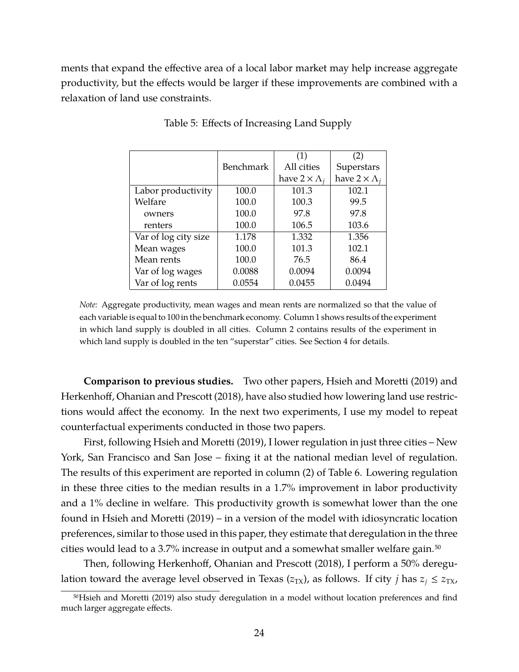ments that expand the effective area of a local labor market may help increase aggregate productivity, but the effects would be larger if these improvements are combined with a relaxation of land use constraints.

|                      |                  | (1)                       | (2)                       |
|----------------------|------------------|---------------------------|---------------------------|
|                      | <b>Benchmark</b> | All cities                | Superstars                |
|                      |                  | have $2 \times \Lambda_i$ | have $2 \times \Lambda_i$ |
| Labor productivity   | 100.0            | 101.3                     | 102.1                     |
| Welfare              | 100.0            | 100.3                     | 99.5                      |
| owners               | 100.0            | 97.8                      | 97.8                      |
| renters              | 100.0            | 106.5                     | 103.6                     |
| Var of log city size | 1.178            | 1.332                     | 1.356                     |
| Mean wages           | 100.0            | 101.3                     | 102.1                     |
| Mean rents           | 100.0            | 76.5                      | 86.4                      |
| Var of log wages     | 0.0088           | 0.0094                    | 0.0094                    |
| Var of log rents     | 0.0554           | 0.0455                    | 0.0494                    |

<span id="page-23-0"></span>Table 5: Effects of Increasing Land Supply

*Note:* Aggregate productivity, mean wages and mean rents are normalized so that the value of each variable is equal to 100 in the benchmark economy. Column 1 shows results of the experiment in which land supply is doubled in all cities. Column 2 contains results of the experiment in which land supply is doubled in the ten "superstar" cities. See Section [4](#page-17-0) for details.

**Comparison to previous studies.** Two other papers, [Hsieh and Moretti \(2019\)](#page-41-1) and [Herkenhoff, Ohanian and Prescott \(2018\),](#page-41-2) have also studied how lowering land use restrictions would affect the economy. In the next two experiments, I use my model to repeat counterfactual experiments conducted in those two papers.

First, following [Hsieh and Moretti \(2019\),](#page-41-1) I lower regulation in just three cities – New York, San Francisco and San Jose – fixing it at the national median level of regulation. The results of this experiment are reported in column (2) of Table [6.](#page-24-0) Lowering regulation in these three cities to the median results in a 1.7% improvement in labor productivity and a 1% decline in welfare. This productivity growth is somewhat lower than the one found in [Hsieh and Moretti \(2019\)](#page-41-1) – in a version of the model with idiosyncratic location preferences, similar to those used in this paper, they estimate that deregulation in the three cities would lead to a 3.7% increase in output and a somewhat smaller welfare gain.<sup>50</sup>

Then, following [Herkenhoff, Ohanian and Prescott \(2018\),](#page-41-2) I perform a 50% deregulation toward the average level observed in Texas ( $z_{TX}$ ), as follows. If city *j* has  $z_i \leq z_{TX}$ ,

<sup>5</sup>[0Hsieh and Moretti \(2019\)](#page-41-1) also study deregulation in a model without location preferences and find much larger aggregate effects.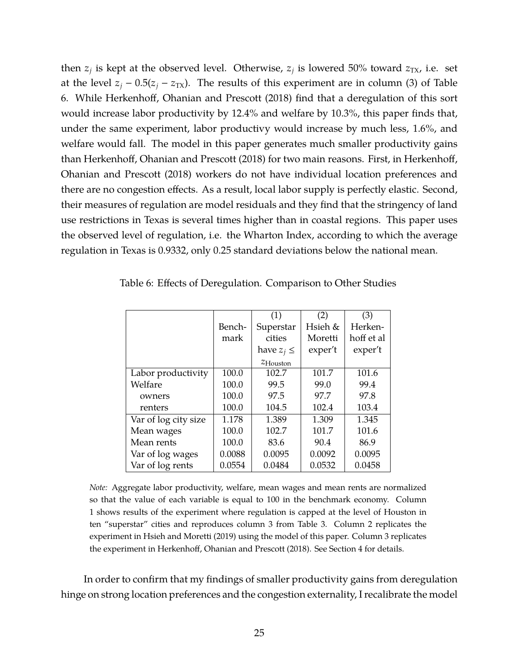then  $z_j$  is kept at the observed level. Otherwise,  $z_j$  is lowered 50% toward  $z_{\text{TX}}$ , i.e. set at the level  $z_j - 0.5(z_j - z_{TX})$ . The results of this experiment are in column (3) of Table [6.](#page-24-0) While [Herkenhoff, Ohanian and Prescott \(2018\)](#page-41-2) find that a deregulation of this sort would increase labor productivity by 12.4% and welfare by 10.3%, this paper finds that, under the same experiment, labor productivy would increase by much less, 1.6%, and welfare would fall. The model in this paper generates much smaller productivity gains than [Herkenhoff, Ohanian and Prescott \(2018\)](#page-41-2) for two main reasons. First, in [Herkenhoff,](#page-41-2) [Ohanian and Prescott \(2018\)](#page-41-2) workers do not have individual location preferences and there are no congestion effects. As a result, local labor supply is perfectly elastic. Second, their measures of regulation are model residuals and they find that the stringency of land use restrictions in Texas is several times higher than in coastal regions. This paper uses the observed level of regulation, i.e. the Wharton Index, according to which the average regulation in Texas is 0.9332, only 0.25 standard deviations below the national mean.

|                      |        | (1)                  | (2)     | (3)        |
|----------------------|--------|----------------------|---------|------------|
|                      | Bench- | Superstar            | Hsieh & | Herken-    |
|                      | mark   | cities               | Moretti | hoff et al |
|                      |        | have $z_i \leq$      | exper't | exper't    |
|                      |        | $z_{\text{Houston}}$ |         |            |
| Labor productivity   | 100.0  | 102.7                | 101.7   | 101.6      |
| Welfare              | 100.0  | 99.5                 | 99.0    | 99.4       |
| owners               | 100.0  | 97.5                 | 97.7    | 97.8       |
| renters              | 100.0  | 104.5                | 102.4   | 103.4      |
| Var of log city size | 1.178  | 1.389                | 1.309   | 1.345      |
| Mean wages           | 100.0  | 102.7                | 101.7   | 101.6      |
| Mean rents           | 100.0  | 83.6                 | 90.4    | 86.9       |
| Var of log wages     | 0.0088 | 0.0095               | 0.0092  | 0.0095     |
| Var of log rents     | 0.0554 | 0.0484               | 0.0532  | 0.0458     |

<span id="page-24-0"></span>Table 6: Effects of Deregulation. Comparison to Other Studies

*Note:* Aggregate labor productivity, welfare, mean wages and mean rents are normalized so that the value of each variable is equal to 100 in the benchmark economy. Column 1 shows results of the experiment where regulation is capped at the level of Houston in ten "superstar" cities and reproduces column 3 from Table [3.](#page-20-0) Column 2 replicates the experiment in [Hsieh and Moretti \(2019\)](#page-41-1) using the model of this paper. Column 3 replicates the experiment in [Herkenhoff, Ohanian and Prescott \(2018\).](#page-41-2) See Section [4](#page-17-0) for details.

In order to confirm that my findings of smaller productivity gains from deregulation hinge on strong location preferences and the congestion externality, I recalibrate the model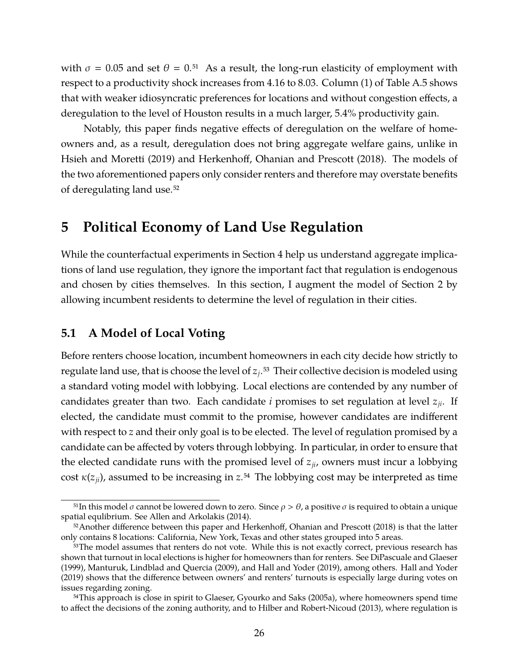with  $\sigma = 0.05$  and set  $\theta = 0.51$  As a result, the long-run elasticity of employment with respect to a productivity shock increases from 4.16 to 8.03. Column (1) of Table [A.5](#page-56-1) shows that with weaker idiosyncratic preferences for locations and without congestion effects, a deregulation to the level of Houston results in a much larger, 5.4% productivity gain.

Notably, this paper finds negative effects of deregulation on the welfare of homeowners and, as a result, deregulation does not bring aggregate welfare gains, unlike in [Hsieh and Moretti \(2019\)](#page-41-1) and [Herkenhoff, Ohanian and Prescott \(2018\).](#page-41-2) The models of the two aforementioned papers only consider renters and therefore may overstate benefits of deregulating land use.52

## <span id="page-25-0"></span>**5 Political Economy of Land Use Regulation**

While the counterfactual experiments in Section [4](#page-17-0) help us understand aggregate implications of land use regulation, they ignore the important fact that regulation is endogenous and chosen by cities themselves. In this section, I augment the model of Section [2](#page-4-0) by allowing incumbent residents to determine the level of regulation in their cities.

## **5.1 A Model of Local Voting**

Before renters choose location, incumbent homeowners in each city decide how strictly to regulate land use, that is choose the level of *z<sup>j</sup>* .53 Their collective decision is modeled using a standard voting model with lobbying. Local elections are contended by any number of candidates greater than two. Each candidate *i* promises to set regulation at level *zji*. If elected, the candidate must commit to the promise, however candidates are indifferent with respect to *z* and their only goal is to be elected. The level of regulation promised by a candidate can be affected by voters through lobbying. In particular, in order to ensure that the elected candidate runs with the promised level of  $z_{ij}$ , owners must incur a lobbying cost  $\kappa(z_{ii})$ , assumed to be increasing in  $z^{54}$ . The lobbying cost may be interpreted as time

<sup>&</sup>lt;sup>51</sup>In this model σ cannot be lowered down to zero. Since  $ρ > θ$ , a positive σ is required to obtain a unique spatial equlibrium. See [Allen and Arkolakis \(2014\).](#page-38-16)

<sup>52</sup> Another difference between this paper and [Herkenhoff, Ohanian and Prescott \(2018\)](#page-41-2) is that the latter only contains 8 locations: California, New York, Texas and other states grouped into 5 areas.

<sup>&</sup>lt;sup>53</sup>The model assumes that renters do not vote. While this is not exactly correct, previous research has shown that turnout in local elections is higher for homeowners than for renters. See [DiPascuale and Glaeser](#page-39-14) [\(1999\),](#page-39-14) [Manturuk, Lindblad and Quercia \(2009\),](#page-41-12) and [Hall and Yoder \(2019\),](#page-41-13) among others. [Hall and Yoder](#page-41-13) [\(2019\)](#page-41-13) shows that the difference between owners' and renters' turnouts is especially large during votes on issues regarding zoning.

<sup>&</sup>lt;sup>54</sup>This approach is close in spirit to [Glaeser, Gyourko and Saks \(2005a\),](#page-40-12) where homeowners spend time to affect the decisions of the zoning authority, and to [Hilber and Robert-Nicoud \(2013\),](#page-41-3) where regulation is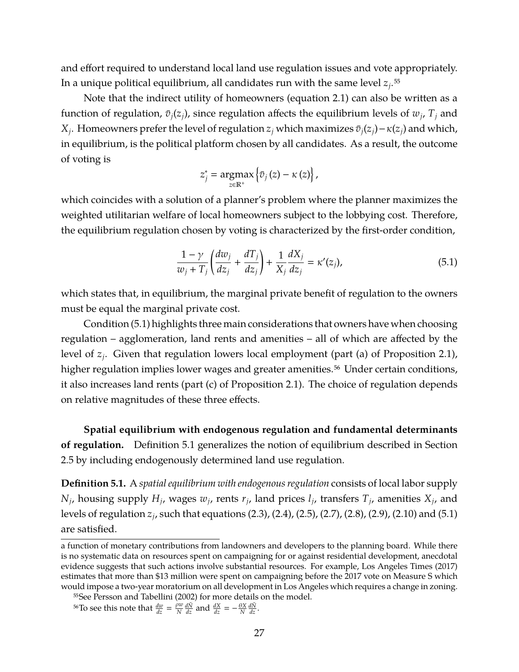and effort required to understand local land use regulation issues and vote appropriately. In a unique political equilibrium, all candidates run with the same level  $z_j$ .<sup>55</sup>

Note that the indirect utility of homeowners (equation [2.1\)](#page-6-1) can also be written as a function of regulation,  $\bar{v}_j(z_j)$ , since regulation affects the equilibrium levels of  $w_j$ ,  $T_j$  and *X*<sub>*j*</sub>. Homeowners prefer the level of regulation *z*<sub>*j*</sub> which maximizes  $\bar{v}_j(z_j) - \kappa(z_j)$  and which, in equilibrium, is the political platform chosen by all candidates. As a result, the outcome of voting is

<span id="page-26-0"></span>
$$
z_j^* = \underset{z \in \mathbb{R}^+}{\operatorname{argmax}} \left\{ \bar{v}_j(z) - \kappa(z) \right\},\,
$$

which coincides with a solution of a planner's problem where the planner maximizes the weighted utilitarian welfare of local homeowners subject to the lobbying cost. Therefore, the equilibrium regulation chosen by voting is characterized by the first-order condition,

$$
\frac{1-\gamma}{w_j+T_j}\left(\frac{dw_j}{dz_j}+\frac{dT_j}{dz_j}\right)+\frac{1}{X_j}\frac{dX_j}{dz_j}=\kappa'(z_j),\tag{5.1}
$$

which states that, in equilibrium, the marginal private benefit of regulation to the owners must be equal the marginal private cost.

Condition [\(5.1\)](#page-26-0) highlights three main considerations that owners have when choosing regulation – agglomeration, land rents and amenities – all of which are affected by the level of *z<sup>j</sup>* . Given that regulation lowers local employment (part (a) of Proposition [2.1\)](#page-10-1), higher regulation implies lower wages and greater amenities.<sup>56</sup> Under certain conditions, it also increases land rents (part (c) of Proposition [2.1\)](#page-10-1). The choice of regulation depends on relative magnitudes of these three effects.

**Spatial equilibrium with endogenous regulation and fundamental determinants of regulation.** Definition [5.1](#page-26-1) generalizes the notion of equilibrium described in Section [2.5](#page-9-3) by including endogenously determined land use regulation.

<span id="page-26-1"></span>**Definition 5.1.** A *spatial equilibrium with endogenous regulation* consists of local labor supply  $N_j$ , housing supply  $H_j$ , wages  $w_j$ , rents  $r_j$ , land prices  $l_j$ , transfers  $T_j$ , amenities  $X_j$ , and levels of regulation *z<sup>j</sup>* , such that equations [\(2.3\)](#page-6-0), [\(2.4\)](#page-7-0), [\(2.5\)](#page-7-1), [\(2.7\)](#page-8-0), [\(2.8\)](#page-8-1), [\(2.9\)](#page-8-2), [\(2.10\)](#page-8-3) and [\(5.1\)](#page-26-0) are satisfied.

a function of monetary contributions from landowners and developers to the planning board. While there is no systematic data on resources spent on campaigning for or against residential development, anecdotal evidence suggests that such actions involve substantial resources. For example, [Los Angeles Times \(2017\)](#page-41-14) estimates that more than \$13 million were spent on campaigning before the 2017 vote on Measure S which would impose a two-year moratorium on all development in Los Angeles which requires a change in zoning.

<sup>55</sup>See [Persson and Tabellini \(2002\)](#page-42-15) for more details on the model.

<sup>&</sup>lt;sup>56</sup>To see this note that  $\frac{dw}{dz} = \frac{\rho w}{N}$  $\frac{\partial w}{\partial x} \frac{d\tilde{N}}{dz}$  and  $\frac{dX}{dz} = -\frac{\theta X}{N} \frac{d\tilde{N}}{dz}$ .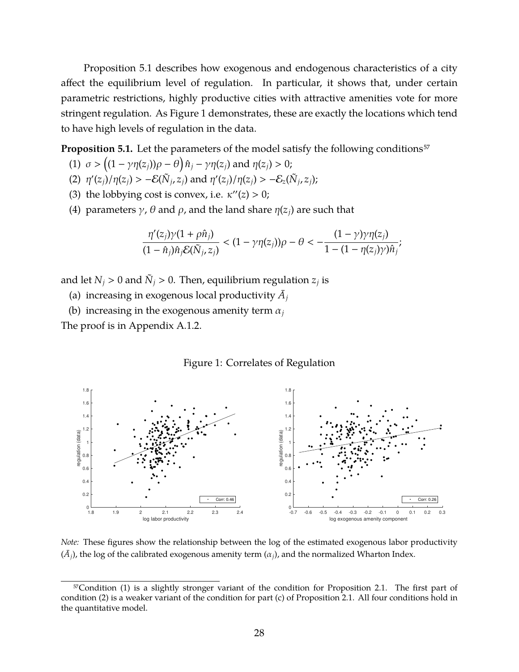Proposition [5.1](#page-27-0) describes how exogenous and endogenous characteristics of a city affect the equilibrium level of regulation. In particular, it shows that, under certain parametric restrictions, highly productive cities with attractive amenities vote for more stringent regulation. As Figure [1](#page-27-1) demonstrates, these are exactly the locations which tend to have high levels of regulation in the data.

<span id="page-27-0"></span>**Proposition 5.1.** Let the parameters of the model satisfy the following conditions<sup>57</sup>

- (1)  $\sigma > ((1 \gamma \eta(z_j))\rho \theta) \hat{n}_j \gamma \eta(z_j)$  and  $\eta(z_j) > 0$ ;
- (2)  $\eta'(z_j)/\eta(z_j) > -\mathcal{E}(\tilde{N}_j, z_j)$  and  $\eta'(z_j)/\eta(z_j) > -\mathcal{E}_z(\tilde{N}_j, z_j)$ ;
- (3) the lobbying cost is convex, i.e.  $\kappa''(z) > 0$ ;
- (4) parameters  $\gamma$ ,  $\theta$  and  $\rho$ , and the land share  $\eta(z_i)$  are such that

$$
\frac{\eta'(z_j)\gamma(1+\rho\hat{n}_j)}{(1-\hat{n}_j)\hat{n}_j\mathcal{E}(\tilde{N}_j,z_j)}<(1-\gamma\eta(z_j))\rho-\theta<-\frac{(1-\gamma)\gamma\eta(z_j)}{1-(1-\eta(z_j)\gamma)\hat{n}_j};
$$

and let  $N_j > 0$  and  $\tilde{N}_j > 0$ . Then, equilibrium regulation  $z_j$  is

- (a) increasing in exogenous local productivity  $\bar{A}_j$
- (b) increasing in the exogenous amenity term  $\alpha_i$

The proof is in Appendix [A.1.2.](#page-47-0)

#### <span id="page-27-1"></span>Figure 1: Correlates of Regulation



*Note:* These figures show the relationship between the log of the estimated exogenous labor productivity  $(\bar{A}_j)$ , the log of the calibrated exogenous amenity term  $(\alpha_j)$ , and the normalized Wharton Index.

<sup>57</sup>Condition (1) is a slightly stronger variant of the condition for Proposition [2.1.](#page-10-1) The first part of condition (2) is a weaker variant of the condition for part (c) of Proposition [2.1.](#page-10-1) All four conditions hold in the quantitative model.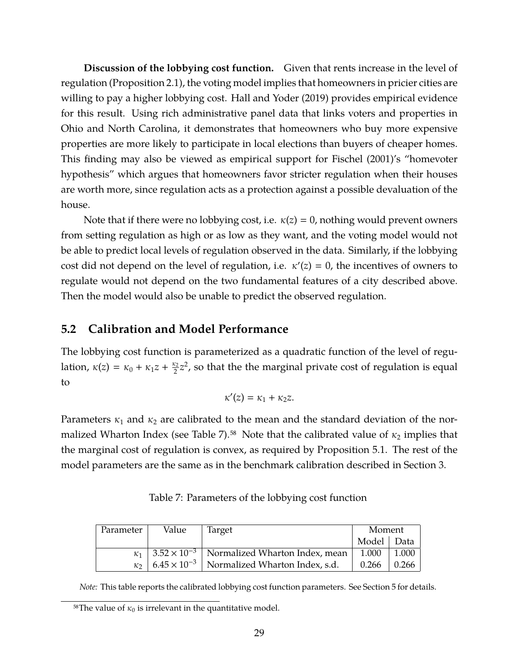**Discussion of the lobbying cost function.** Given that rents increase in the level of regulation (Proposition [2.1\)](#page-10-1), the voting model implies that homeowners in pricier cities are willing to pay a higher lobbying cost. [Hall and Yoder \(2019\)](#page-41-13) provides empirical evidence for this result. Using rich administrative panel data that links voters and properties in Ohio and North Carolina, it demonstrates that homeowners who buy more expensive properties are more likely to participate in local elections than buyers of cheaper homes. This finding may also be viewed as empirical support for [Fischel \(2001\)'](#page-40-13)s "homevoter hypothesis" which argues that homeowners favor stricter regulation when their houses are worth more, since regulation acts as a protection against a possible devaluation of the house.

Note that if there were no lobbying cost, i.e.  $\kappa(z) = 0$ , nothing would prevent owners from setting regulation as high or as low as they want, and the voting model would not be able to predict local levels of regulation observed in the data. Similarly, if the lobbying cost did not depend on the level of regulation, i.e.  $\kappa'(z) = 0$ , the incentives of owners to regulate would not depend on the two fundamental features of a city described above. Then the model would also be unable to predict the observed regulation.

## <span id="page-28-1"></span>**5.2 Calibration and Model Performance**

The lobbying cost function is parameterized as a quadratic function of the level of regulation,  $\kappa(z) = \kappa_0 + \kappa_1 z + \frac{\kappa_2}{2}$  $\frac{\epsilon_2}{2}z^2$ , so that the the marginal private cost of regulation is equal to

$$
\kappa'(z)=\kappa_1+\kappa_2z.
$$

Parameters  $\kappa_1$  and  $\kappa_2$  are calibrated to the mean and the standard deviation of the nor-malized Wharton Index (see Table [7\)](#page-28-0).<sup>58</sup> Note that the calibrated value of  $\kappa_2$  implies that the marginal cost of regulation is convex, as required by Proposition [5.1.](#page-27-0) The rest of the model parameters are the same as in the benchmark calibration described in Section [3.](#page-10-0)

| Parameter | Value | Target                                                                | Moment       |       |
|-----------|-------|-----------------------------------------------------------------------|--------------|-------|
|           |       |                                                                       | Model   Data |       |
|           |       | $\kappa_1$   3.52 × 10 <sup>-3</sup>   Normalized Wharton Index, mean | 1.000        | 1.000 |
|           |       | $\kappa_2$   6.45 × 10 <sup>-3</sup>   Normalized Wharton Index, s.d. | 0.266        | 0.266 |

<span id="page-28-0"></span>Table 7: Parameters of the lobbying cost function

*Note:* This table reports the calibrated lobbying cost function parameters. See Section [5](#page-25-0) for details.

<sup>&</sup>lt;sup>58</sup>The value of  $\kappa_0$  is irrelevant in the quantitative model.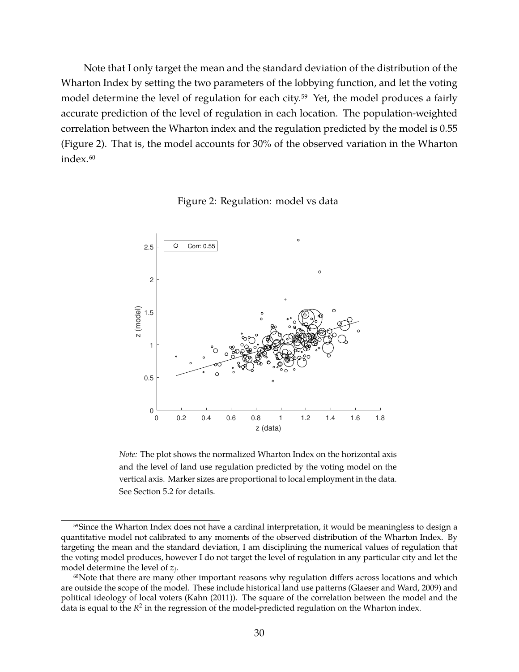Note that I only target the mean and the standard deviation of the distribution of the Wharton Index by setting the two parameters of the lobbying function, and let the voting model determine the level of regulation for each city.<sup>59</sup> Yet, the model produces a fairly accurate prediction of the level of regulation in each location. The population-weighted correlation between the Wharton index and the regulation predicted by the model is 0.55 (Figure [2\)](#page-29-0). That is, the model accounts for 30% of the observed variation in the Wharton index.<sup>60</sup>



<span id="page-29-0"></span>Figure 2: Regulation: model vs data

*Note:* The plot shows the normalized Wharton Index on the horizontal axis and the level of land use regulation predicted by the voting model on the vertical axis. Marker sizes are proportional to local employment in the data. See Section [5.2](#page-28-1) for details.

<sup>59</sup> Since the Wharton Index does not have a cardinal interpretation, it would be meaningless to design a quantitative model not calibrated to any moments of the observed distribution of the Wharton Index. By targeting the mean and the standard deviation, I am disciplining the numerical values of regulation that the voting model produces, however I do not target the level of regulation in any particular city and let the model determine the level of *z<sup>j</sup>* .

 $60$ Note that there are many other important reasons why regulation differs across locations and which are outside the scope of the model. These include historical land use patterns [\(Glaeser and Ward, 2009\)](#page-40-14) and political ideology of local voters [\(Kahn \(2011\)\)](#page-41-10). The square of the correlation between the model and the .<br>data is equal to the *R*<sup>2</sup> in the regression of the model-predicted regulation on the Wharton index.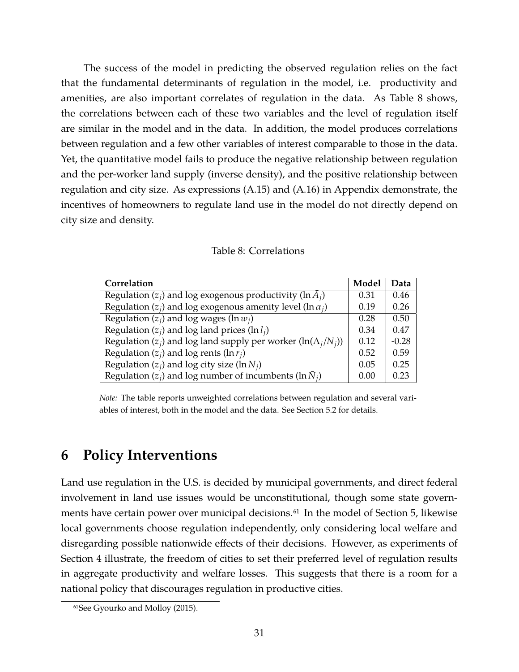The success of the model in predicting the observed regulation relies on the fact that the fundamental determinants of regulation in the model, i.e. productivity and amenities, are also important correlates of regulation in the data. As Table [8](#page-30-1) shows, the correlations between each of these two variables and the level of regulation itself are similar in the model and in the data. In addition, the model produces correlations between regulation and a few other variables of interest comparable to those in the data. Yet, the quantitative model fails to produce the negative relationship between regulation and the per-worker land supply (inverse density), and the positive relationship between regulation and city size. As expressions [\(A.15\)](#page-48-0) and [\(A.16\)](#page-48-1) in Appendix demonstrate, the incentives of homeowners to regulate land use in the model do not directly depend on city size and density.

| Model | Data    |
|-------|---------|
| 0.31  | 0.46    |
| 0.19  | 0.26    |
| 0.28  | 0.50    |
| 0.34  | 0.47    |
| 0.12  | $-0.28$ |
| 0.52  | 0.59    |
| 0.05  | 0.25    |
| 0.00  | 0.23    |
|       |         |

<span id="page-30-1"></span>Table 8: Correlations

*Note:* The table reports unweighted correlations between regulation and several variables of interest, both in the model and the data. See Section [5.2](#page-28-1) for details.

## <span id="page-30-0"></span>**6 Policy Interventions**

Land use regulation in the U.S. is decided by municipal governments, and direct federal involvement in land use issues would be unconstitutional, though some state govern-ments have certain power over municipal decisions.<sup>61</sup> In the model of Section [5,](#page-25-0) likewise local governments choose regulation independently, only considering local welfare and disregarding possible nationwide effects of their decisions. However, as experiments of Section [4](#page-17-0) illustrate, the freedom of cities to set their preferred level of regulation results in aggregate productivity and welfare losses. This suggests that there is a room for a national policy that discourages regulation in productive cities.

<sup>61</sup>See [Gyourko and Molloy \(2015\).](#page-40-0)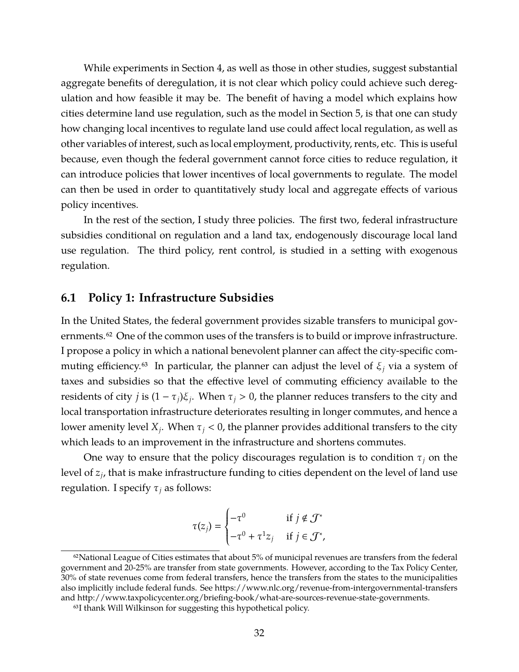While experiments in Section [4,](#page-17-0) as well as those in other studies, suggest substantial aggregate benefits of deregulation, it is not clear which policy could achieve such deregulation and how feasible it may be. The benefit of having a model which explains how cities determine land use regulation, such as the model in Section [5,](#page-25-0) is that one can study how changing local incentives to regulate land use could affect local regulation, as well as other variables of interest, such as local employment, productivity, rents, etc. This is useful because, even though the federal government cannot force cities to reduce regulation, it can introduce policies that lower incentives of local governments to regulate. The model can then be used in order to quantitatively study local and aggregate effects of various policy incentives.

In the rest of the section, I study three policies. The first two, federal infrastructure subsidies conditional on regulation and a land tax, endogenously discourage local land use regulation. The third policy, rent control, is studied in a setting with exogenous regulation.

## <span id="page-31-0"></span>**6.1 Policy 1: Infrastructure Subsidies**

In the United States, the federal government provides sizable transfers to municipal governments.<sup>62</sup> One of the common uses of the transfers is to build or improve infrastructure. I propose a policy in which a national benevolent planner can affect the city-specific commuting efficiency.<sup>63</sup> In particular, the planner can adjust the level of  $\xi$ <sub>*j*</sub> via a system of taxes and subsidies so that the effective level of commuting efficiency available to the residents of city *j* is  $(1 - \tau_j)\xi_j$ . When  $\tau_j > 0$ , the planner reduces transfers to the city and local transportation infrastructure deteriorates resulting in longer commutes, and hence a lower amenity level  $X_j$ . When  $\tau_j < 0$ , the planner provides additional transfers to the city which leads to an improvement in the infrastructure and shortens commutes.

One way to ensure that the policy discourages regulation is to condition  $\tau_i$  on the level of *z<sup>j</sup>* , that is make infrastructure funding to cities dependent on the level of land use regulation. I specify  $\tau_i$  as follows:

$$
\tau(z_j) = \begin{cases}\n-\tau^0 & \text{if } j \notin \mathcal{J}^* \\
-\tau^0 + \tau^1 z_j & \text{if } j \in \mathcal{J}^*,\n\end{cases}
$$

 $62$ National League of Cities estimates that about  $5\%$  of municipal revenues are transfers from the federal government and 20-25% are transfer from state governments. However, according to the Tax Policy Center, 30% of state revenues come from federal transfers, hence the transfers from the states to the municipalities also implicitly include federal funds. See<https://www.nlc.org/revenue-from-intergovernmental-transfers> and [http://www.taxpolicycenter.org/briefing-book/what-are-sources-revenue-state-governments.](http://www.taxpolicycenter.org/briefing-book/what-are-sources-revenue-state-governments)

<sup>63</sup>I thank Will Wilkinson for suggesting this hypothetical policy.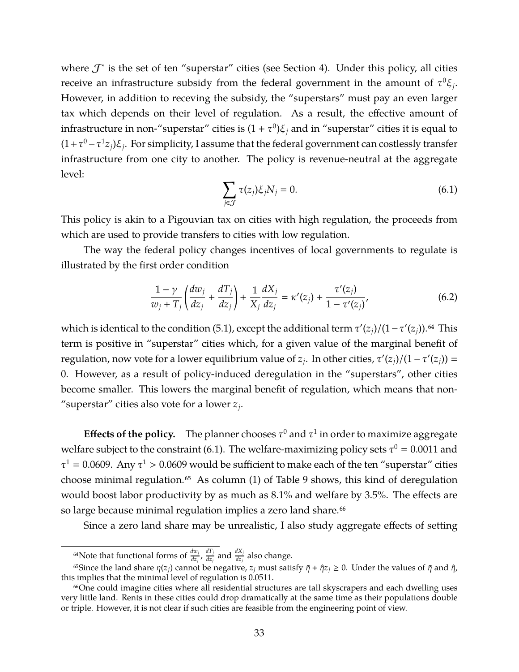where  $\mathcal{T}^*$  is the set of ten "superstar" cities (see Section [4\)](#page-17-0). Under this policy, all cities receive an infrastructure subsidy from the federal government in the amount of  $\tau^{0}\xi_{j}$ . However, in addition to receving the subsidy, the "superstars" must pay an even larger tax which depends on their level of regulation. As a result, the effective amount of infrastructure in non-"superstar" cities is  $(1 + \tau^0)\xi_j$  and in "superstar" cities it is equal to  $(1+\tau^0-\tau^1 z_j)\xi_j$ . For simplicity, I assume that the federal government can costlessly transfer infrastructure from one city to another. The policy is revenue-neutral at the aggregate level:

$$
\sum_{j \in \mathcal{J}} \tau(z_j) \xi_j N_j = 0. \tag{6.1}
$$

<span id="page-32-0"></span>This policy is akin to a Pigouvian tax on cities with high regulation, the proceeds from which are used to provide transfers to cities with low regulation.

The way the federal policy changes incentives of local governments to regulate is illustrated by the first order condition

$$
\frac{1-\gamma}{w_j+T_j} \left( \frac{dw_j}{dz_j} + \frac{dT_j}{dz_j} \right) + \frac{1}{X_j} \frac{dX_j}{dz_j} = \kappa'(z_j) + \frac{\tau'(z_j)}{1-\tau'(z_j)},
$$
(6.2)

which is identical to the condition [\(5.1\)](#page-26-0), except the additional term  $\tau'(z_j)/(1-\tau'(z_j))$ .<sup>64</sup> This term is positive in "superstar" cities which, for a given value of the marginal benefit of regulation, now vote for a lower equilibrium value of  $z_j$ . In other cities,  $\tau'(z_j)/(1-\tau'(z_j))$  = 0. However, as a result of policy-induced deregulation in the "superstars", other cities become smaller. This lowers the marginal benefit of regulation, which means that non- "superstar" cities also vote for a lower *z<sup>j</sup>* .

**Effects of the policy.** The planner chooses  $\tau^0$  and  $\tau^1$  in order to maximize aggregate welfare subject to the constraint [\(6.1\)](#page-32-0). The welfare-maximizing policy sets  $\tau^0 = 0.0011$  and  $\tau^1 = 0.0609$ . Any  $\tau^1 > 0.0609$  would be sufficient to make each of the ten "superstar" cities choose minimal regulation.<sup>65</sup> As column  $(1)$  of Table [9](#page-33-0) shows, this kind of deregulation would boost labor productivity by as much as 8.1% and welfare by 3.5%. The effects are so large because minimal regulation implies a zero land share.<sup>66</sup>

Since a zero land share may be unrealistic, I also study aggregate effects of setting

<sup>&</sup>lt;sup>64</sup>Note that functional forms of  $\frac{dw_j}{dz_j}$ ,  $\frac{dT_j}{dz_j}$  $\frac{dT_j}{dz_j}$  and  $\frac{dX_j}{dz_j}$  also change.

<sup>&</sup>lt;sup>65</sup>Since the land share  $\eta(z_j)$  cannot be negative,  $z_j$  must satisfy  $\bar{\eta} + \hat{\eta}z_j \ge 0$ . Under the values of  $\bar{\eta}$  and  $\hat{\eta}$ , this implies that the minimal level of regulation is 0.0511.

<sup>&</sup>lt;sup>66</sup>One could imagine cities where all residential structures are tall skyscrapers and each dwelling uses very little land. Rents in these cities could drop dramatically at the same time as their populations double or triple. However, it is not clear if such cities are feasible from the engineering point of view.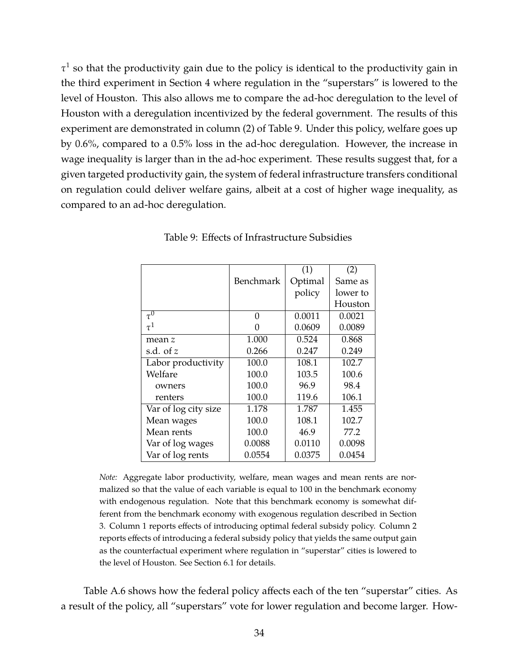$\tau^1$  so that the productivity gain due to the policy is identical to the productivity gain in the third experiment in Section [4](#page-17-0) where regulation in the "superstars" is lowered to the level of Houston. This also allows me to compare the ad-hoc deregulation to the level of Houston with a deregulation incentivized by the federal government. The results of this experiment are demonstrated in column (2) of Table [9.](#page-33-0) Under this policy, welfare goes up by 0.6%, compared to a 0.5% loss in the ad-hoc deregulation. However, the increase in wage inequality is larger than in the ad-hoc experiment. These results suggest that, for a given targeted productivity gain, the system of federal infrastructure transfers conditional on regulation could deliver welfare gains, albeit at a cost of higher wage inequality, as compared to an ad-hoc deregulation.

|                      |           | (1)     | (2)      |
|----------------------|-----------|---------|----------|
|                      | Benchmark | Optimal | Same as  |
|                      |           | policy  | lower to |
|                      |           |         | Houston  |
| $\overline{\tau^0}$  | 0         | 0.0011  | 0.0021   |
| $\tau^1$             | $\Omega$  | 0.0609  | 0.0089   |
| mean z               | 1.000     | 0.524   | 0.868    |
| s.d. of $z$          | 0.266     | 0.247   | 0.249    |
| Labor productivity   | 100.0     | 108.1   | 102.7    |
| Welfare              | 100.0     | 103.5   | 100.6    |
| owners               | 100.0     | 96.9    | 98.4     |
| renters              | 100.0     | 119.6   | 106.1    |
| Var of log city size | 1.178     | 1.787   | 1.455    |
| Mean wages           | 100.0     | 108.1   | 102.7    |
| Mean rents           | 100.0     | 46.9    | 77.2     |
| Var of log wages     | 0.0088    | 0.0110  | 0.0098   |
| Var of log rents     | 0.0554    | 0.0375  | 0.0454   |

<span id="page-33-0"></span>Table 9: Effects of Infrastructure Subsidies

*Note:* Aggregate labor productivity, welfare, mean wages and mean rents are normalized so that the value of each variable is equal to 100 in the benchmark economy with endogenous regulation. Note that this benchmark economy is somewhat different from the benchmark economy with exogenous regulation described in Section [3.](#page-10-0) Column 1 reports effects of introducing optimal federal subsidy policy. Column 2 reports effects of introducing a federal subsidy policy that yields the same output gain as the counterfactual experiment where regulation in "superstar" cities is lowered to the level of Houston. See Section [6.1](#page-31-0) for details.

Table [A.6](#page-57-0) shows how the federal policy affects each of the ten "superstar" cities. As a result of the policy, all "superstars" vote for lower regulation and become larger. How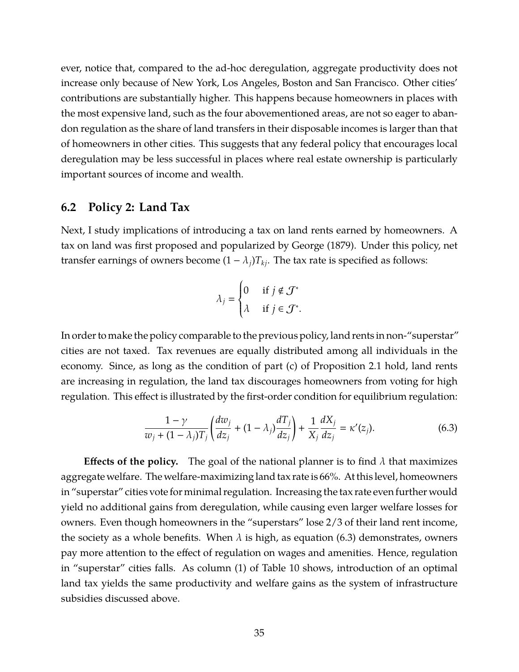ever, notice that, compared to the ad-hoc deregulation, aggregate productivity does not increase only because of New York, Los Angeles, Boston and San Francisco. Other cities' contributions are substantially higher. This happens because homeowners in places with the most expensive land, such as the four abovementioned areas, are not so eager to abandon regulation as the share of land transfers in their disposable incomes is larger than that of homeowners in other cities. This suggests that any federal policy that encourages local deregulation may be less successful in places where real estate ownership is particularly important sources of income and wealth.

## <span id="page-34-1"></span>**6.2 Policy 2: Land Tax**

Next, I study implications of introducing a tax on land rents earned by homeowners. A tax on land was first proposed and popularized by [George \(1879\).](#page-40-15) Under this policy, net transfer earnings of owners become  $(1 - \lambda_i)T_{ki}$ . The tax rate is specified as follows:

$$
\lambda_j = \begin{cases} 0 & \text{if } j \notin \mathcal{J}^* \\ \lambda & \text{if } j \in \mathcal{J}^*. \end{cases}
$$

In order to make the policy comparable to the previous policy, land rents in non-"superstar" cities are not taxed. Tax revenues are equally distributed among all individuals in the economy. Since, as long as the condition of part (c) of Proposition [2.1](#page-10-1) hold, land rents are increasing in regulation, the land tax discourages homeowners from voting for high regulation. This effect is illustrated by the first-order condition for equilibrium regulation:

$$
\frac{1-\gamma}{w_j+(1-\lambda_j)T_j} \left(\frac{dw_j}{dz_j}+(1-\lambda_j)\frac{dT_j}{dz_j}\right) + \frac{1}{X_j}\frac{dX_j}{dz_j} = \kappa'(z_j). \tag{6.3}
$$

<span id="page-34-0"></span>**Effects of the policy.** The goal of the national planner is to find  $\lambda$  that maximizes aggregate welfare. The welfare-maximizing land tax rate is 66%. At this level, homeowners in "superstar" cities vote for minimal regulation. Increasing the tax rate even further would yield no additional gains from deregulation, while causing even larger welfare losses for owners. Even though homeowners in the "superstars" lose 2/3 of their land rent income, the society as a whole benefits. When  $\lambda$  is high, as equation [\(6.3\)](#page-34-0) demonstrates, owners pay more attention to the effect of regulation on wages and amenities. Hence, regulation in "superstar" cities falls. As column (1) of Table [10](#page-35-0) shows, introduction of an optimal land tax yields the same productivity and welfare gains as the system of infrastructure subsidies discussed above.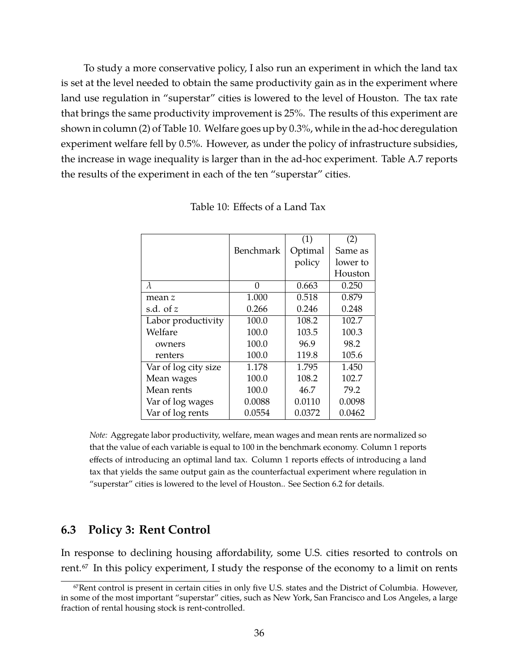To study a more conservative policy, I also run an experiment in which the land tax is set at the level needed to obtain the same productivity gain as in the experiment where land use regulation in "superstar" cities is lowered to the level of Houston. The tax rate that brings the same productivity improvement is 25%. The results of this experiment are shown in column (2) of Table [10.](#page-35-0) Welfare goes up by 0.3%, while in the ad-hoc deregulation experiment welfare fell by 0.5%. However, as under the policy of infrastructure subsidies, the increase in wage inequality is larger than in the ad-hoc experiment. Table [A.7](#page-57-1) reports the results of the experiment in each of the ten "superstar" cities.

|                      |           | (1)     | (2)      |
|----------------------|-----------|---------|----------|
|                      | Benchmark | Optimal | Same as  |
|                      |           | policy  | lower to |
|                      |           |         | Houston  |
| $\lambda$            | 0         | 0.663   | 0.250    |
| mean z               | 1.000     | 0.518   | 0.879    |
| s.d. of $z$          | 0.266     | 0.246   | 0.248    |
| Labor productivity   | 100.0     | 108.2   | 102.7    |
| Welfare              | 100.0     | 103.5   | 100.3    |
| owners               | 100.0     | 96.9    | 98.2     |
| renters              | 100.0     | 119.8   | 105.6    |
| Var of log city size | 1.178     | 1.795   | 1.450    |
| Mean wages           | 100.0     | 108.2   | 102.7    |
| Mean rents           | 100.0     | 46.7    | 79.2     |
| Var of log wages     | 0.0088    | 0.0110  | 0.0098   |
| Var of log rents     | 0.0554    | 0.0372  | 0.0462   |

<span id="page-35-0"></span>Table 10: Effects of a Land Tax

*Note:* Aggregate labor productivity, welfare, mean wages and mean rents are normalized so that the value of each variable is equal to 100 in the benchmark economy. Column 1 reports effects of introducing an optimal land tax. Column 1 reports effects of introducing a land tax that yields the same output gain as the counterfactual experiment where regulation in "superstar" cities is lowered to the level of Houston.. See Section [6.2](#page-34-1) for details.

## <span id="page-35-1"></span>**6.3 Policy 3: Rent Control**

In response to declining housing affordability, some U.S. cities resorted to controls on rent.<sup>67</sup> In this policy experiment, I study the response of the economy to a limit on rents

<sup>67</sup>Rent control is present in certain cities in only five U.S. states and the District of Columbia. However, in some of the most important "superstar" cities, such as New York, San Francisco and Los Angeles, a large fraction of rental housing stock is rent-controlled.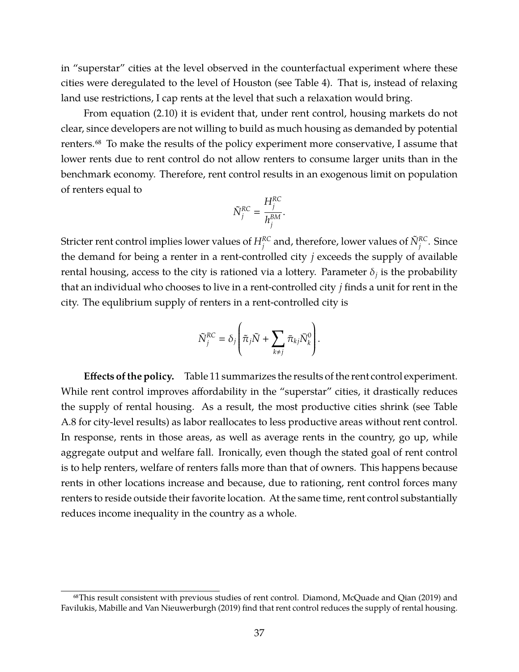in "superstar" cities at the level observed in the counterfactual experiment where these cities were deregulated to the level of Houston (see Table [4\)](#page-22-0). That is, instead of relaxing land use restrictions, I cap rents at the level that such a relaxation would bring.

From equation [\(2.10\)](#page-8-3) it is evident that, under rent control, housing markets do not clear, since developers are not willing to build as much housing as demanded by potential renters.<sup>68</sup> To make the results of the policy experiment more conservative, I assume that lower rents due to rent control do not allow renters to consume larger units than in the benchmark economy. Therefore, rent control results in an exogenous limit on population of renters equal to

$$
\tilde{N}_j^{RC} = \frac{H_j^{RC}}{h_j^{BM}}.
$$

Stricter rent control implies lower values of  $H_j^{RC}$  and, therefore, lower values of  $\tilde{N}_j^{RC}$ . Since the demand for being a renter in a rent-controlled city *j* exceeds the supply of available rental housing, access to the city is rationed via a lottery. Parameter  $\delta_j$  is the probability that an individual who chooses to live in a rent-controlled city *j* finds a unit for rent in the city. The equlibrium supply of renters in a rent-controlled city is

$$
\tilde{N}_j^{RC} = \delta_j \left( \tilde{\pi}_j \tilde{N} + \sum_{k \neq j} \bar{\pi}_{kj} \bar{N}_k^0 \right).
$$

**Effects of the policy.** Table [11](#page-37-1) summarizes the results of the rent control experiment. While rent control improves affordability in the "superstar" cities, it drastically reduces the supply of rental housing. As a result, the most productive cities shrink (see Table [A.8](#page-58-0) for city-level results) as labor reallocates to less productive areas without rent control. In response, rents in those areas, as well as average rents in the country, go up, while aggregate output and welfare fall. Ironically, even though the stated goal of rent control is to help renters, welfare of renters falls more than that of owners. This happens because rents in other locations increase and because, due to rationing, rent control forces many renters to reside outside their favorite location. At the same time, rent control substantially reduces income inequality in the country as a whole.

<sup>68</sup>This result consistent with previous studies of rent control. [Diamond, McQuade and Qian \(2019\)](#page-39-15) and [Favilukis, Mabille and Van Nieuwerburgh \(2019\)](#page-40-16) find that rent control reduces the supply of rental housing.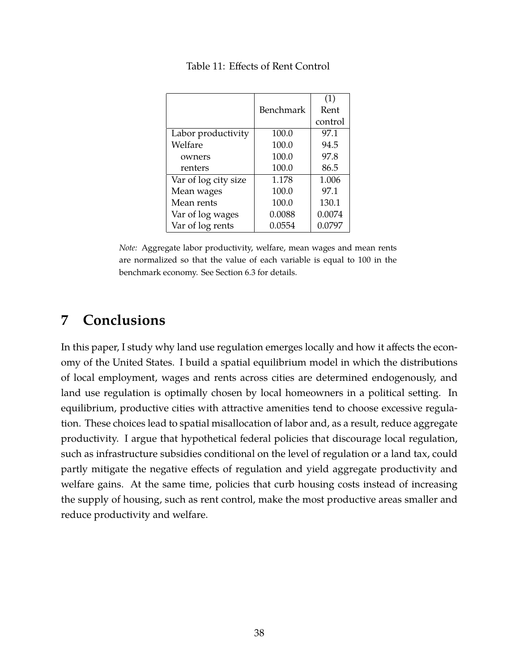|                      |           | (1)     |
|----------------------|-----------|---------|
|                      | Benchmark | Rent    |
|                      |           | control |
| Labor productivity   | 100.0     | 97.1    |
| Welfare              | 100.0     | 94.5    |
| owners               | 100.0     | 97.8    |
| renters              | 100.0     | 86.5    |
| Var of log city size | 1.178     | 1.006   |
| Mean wages           | 100.0     | 97.1    |
| Mean rents           | 100.0     | 130.1   |
| Var of log wages     | 0.0088    | 0.0074  |
| Var of log rents     | 0.0554    | 0.0797  |

<span id="page-37-1"></span>Table 11: Effects of Rent Control

*Note:* Aggregate labor productivity, welfare, mean wages and mean rents are normalized so that the value of each variable is equal to 100 in the benchmark economy. See Section [6.3](#page-35-1) for details.

## <span id="page-37-0"></span>**7 Conclusions**

In this paper, I study why land use regulation emerges locally and how it affects the economy of the United States. I build a spatial equilibrium model in which the distributions of local employment, wages and rents across cities are determined endogenously, and land use regulation is optimally chosen by local homeowners in a political setting. In equilibrium, productive cities with attractive amenities tend to choose excessive regulation. These choices lead to spatial misallocation of labor and, as a result, reduce aggregate productivity. I argue that hypothetical federal policies that discourage local regulation, such as infrastructure subsidies conditional on the level of regulation or a land tax, could partly mitigate the negative effects of regulation and yield aggregate productivity and welfare gains. At the same time, policies that curb housing costs instead of increasing the supply of housing, such as rent control, make the most productive areas smaller and reduce productivity and welfare.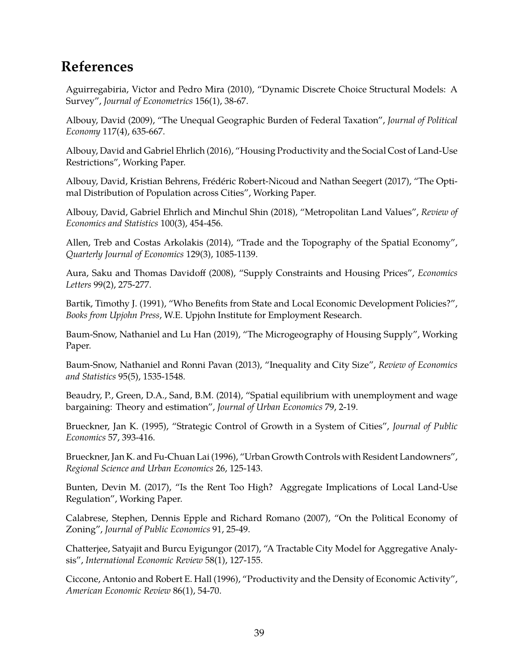## **References**

<span id="page-38-14"></span>Aguirregabiria, Victor and Pedro Mira (2010), "Dynamic Discrete Choice Structural Models: A Survey", *Journal of Econometrics* 156(1), 38-67.

<span id="page-38-7"></span>Albouy, David (2009), "The Unequal Geographic Burden of Federal Taxation", *Journal of Political Economy* 117(4), 635-667.

<span id="page-38-5"></span>Albouy, David and Gabriel Ehrlich (2016), "Housing Productivity and the Social Cost of Land-Use Restrictions", Working Paper.

<span id="page-38-4"></span>Albouy, David, Kristian Behrens, Frédéric Robert-Nicoud and Nathan Seegert (2017), "The Optimal Distribution of Population across Cities", Working Paper.

<span id="page-38-9"></span>Albouy, David, Gabriel Ehrlich and Minchul Shin (2018), "Metropolitan Land Values", *Review of Economics and Statistics* 100(3), 454-456.

<span id="page-38-16"></span>Allen, Treb and Costas Arkolakis (2014), "Trade and the Topography of the Spatial Economy", *Quarterly Journal of Economics* 129(3), 1085-1139.

<span id="page-38-15"></span>Aura, Saku and Thomas Davidoff (2008), "Supply Constraints and Housing Prices", *Economics Letters* 99(2), 275-277.

<span id="page-38-11"></span>Bartik, Timothy J. (1991), "Who Benefits from State and Local Economic Development Policies?", *Books from Upjohn Press*, W.E. Upjohn Institute for Employment Research.

<span id="page-38-10"></span>Baum-Snow, Nathaniel and Lu Han (2019), "The Microgeography of Housing Supply", Working Paper.

<span id="page-38-6"></span>Baum-Snow, Nathaniel and Ronni Pavan (2013), "Inequality and City Size", *Review of Economics and Statistics* 95(5), 1535-1548.

<span id="page-38-13"></span>Beaudry, P., Green, D.A., Sand, B.M. (2014), "Spatial equilibrium with unemployment and wage bargaining: Theory and estimation", *Journal of Urban Economics* 79, 2-19.

<span id="page-38-2"></span>Brueckner, Jan K. (1995), "Strategic Control of Growth in a System of Cities", *Journal of Public Economics* 57, 393-416.

<span id="page-38-1"></span>Brueckner, Jan K. and Fu-Chuan Lai (1996), "Urban Growth Controls with Resident Landowners", *Regional Science and Urban Economics* 26, 125-143.

<span id="page-38-0"></span>Bunten, Devin M. (2017), "Is the Rent Too High? Aggregate Implications of Local Land-Use Regulation", Working Paper.

<span id="page-38-3"></span>Calabrese, Stephen, Dennis Epple and Richard Romano (2007), "On the Political Economy of Zoning", *Journal of Public Economics* 91, 25-49.

<span id="page-38-8"></span>Chatterjee, Satyajit and Burcu Eyigungor (2017), "A Tractable City Model for Aggregative Analysis", *International Economic Review* 58(1), 127-155.

<span id="page-38-12"></span>Ciccone, Antonio and Robert E. Hall (1996), "Productivity and the Density of Economic Activity", *American Economic Review* 86(1), 54-70.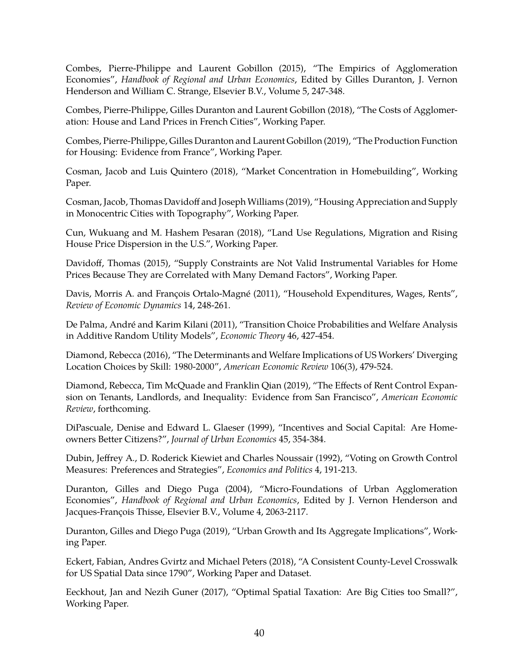<span id="page-39-5"></span>Combes, Pierre-Philippe and Laurent Gobillon (2015), "The Empirics of Agglomeration Economies", *Handbook of Regional and Urban Economics*, Edited by Gilles Duranton, J. Vernon Henderson and William C. Strange, Elsevier B.V., Volume 5, 247-348.

<span id="page-39-12"></span>Combes, Pierre-Philippe, Gilles Duranton and Laurent Gobillon (2018), "The Costs of Agglomeration: House and Land Prices in French Cities", Working Paper.

<span id="page-39-7"></span>Combes, Pierre-Philippe, Gilles Duranton and Laurent Gobillon (2019), "The Production Function for Housing: Evidence from France", Working Paper.

<span id="page-39-6"></span>Cosman, Jacob and Luis Quintero (2018), "Market Concentration in Homebuilding", Working Paper.

<span id="page-39-8"></span>Cosman, Jacob, Thomas Davidoff and Joseph Williams (2019), "Housing Appreciation and Supply in Monocentric Cities with Topography", Working Paper.

<span id="page-39-1"></span>Cun, Wukuang and M. Hashem Pesaran (2018), "Land Use Regulations, Migration and Rising House Price Dispersion in the U.S.", Working Paper.

<span id="page-39-11"></span>Davidoff, Thomas (2015), "Supply Constraints are Not Valid Instrumental Variables for Home Prices Because They are Correlated with Many Demand Factors", Working Paper.

<span id="page-39-9"></span>Davis, Morris A. and François Ortalo-Magné (2011), "Household Expenditures, Wages, Rents", *Review of Economic Dynamics* 14, 248-261.

<span id="page-39-13"></span>De Palma, André and Karim Kilani (2011), "Transition Choice Probabilities and Welfare Analysis in Additive Random Utility Models", *Economic Theory* 46, 427-454.

<span id="page-39-2"></span>Diamond, Rebecca (2016), "The Determinants and Welfare Implications of US Workers' Diverging Location Choices by Skill: 1980-2000", *American Economic Review* 106(3), 479-524.

<span id="page-39-15"></span>Diamond, Rebecca, Tim McQuade and Franklin Qian (2019), "The Effects of Rent Control Expansion on Tenants, Landlords, and Inequality: Evidence from San Francisco", *American Economic Review*, forthcoming.

<span id="page-39-14"></span>DiPascuale, Denise and Edward L. Glaeser (1999), "Incentives and Social Capital: Are Homeowners Better Citizens?", *Journal of Urban Economics* 45, 354-384.

Dubin, Jeffrey A., D. Roderick Kiewiet and Charles Noussair (1992), "Voting on Growth Control Measures: Preferences and Strategies", *Economics and Politics* 4, 191-213.

<span id="page-39-4"></span>Duranton, Gilles and Diego Puga (2004), "Micro-Foundations of Urban Agglomeration Economies", *Handbook of Regional and Urban Economics*, Edited by J. Vernon Henderson and Jacques-François Thisse, Elsevier B.V., Volume 4, 2063-2117.

<span id="page-39-0"></span>Duranton, Gilles and Diego Puga (2019), "Urban Growth and Its Aggregate Implications", Working Paper.

<span id="page-39-10"></span>Eckert, Fabian, Andres Gvirtz and Michael Peters (2018), "A Consistent County-Level Crosswalk for US Spatial Data since 1790", Working Paper and Dataset.

<span id="page-39-3"></span>Eeckhout, Jan and Nezih Guner (2017), "Optimal Spatial Taxation: Are Big Cities too Small?", Working Paper.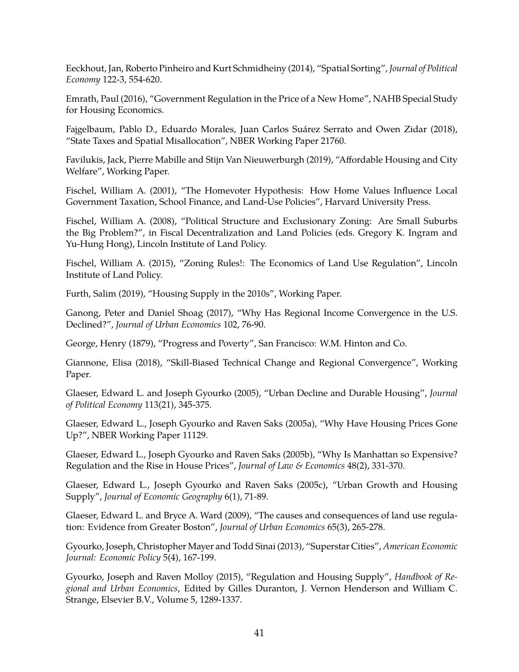<span id="page-40-11"></span>Eeckhout, Jan, Roberto Pinheiro and Kurt Schmidheiny (2014), "Spatial Sorting", *Journal of Political Economy* 122-3, 554-620.

<span id="page-40-9"></span>Emrath, Paul (2016), "Government Regulation in the Price of a New Home", NAHB Special Study for Housing Economics.

<span id="page-40-5"></span>Fajgelbaum, Pablo D., Eduardo Morales, Juan Carlos Suárez Serrato and Owen Zidar (2018), "State Taxes and Spatial Misallocation", NBER Working Paper 21760.

<span id="page-40-16"></span>Favilukis, Jack, Pierre Mabille and Stijn Van Nieuwerburgh (2019), "Affordable Housing and City Welfare", Working Paper.

<span id="page-40-13"></span>Fischel, William A. (2001), "The Homevoter Hypothesis: How Home Values Influence Local Government Taxation, School Finance, and Land-Use Policies", Harvard University Press.

<span id="page-40-17"></span>Fischel, William A. (2008), "Political Structure and Exclusionary Zoning: Are Small Suburbs the Big Problem?", in Fiscal Decentralization and Land Policies (eds. Gregory K. Ingram and Yu-Hung Hong), Lincoln Institute of Land Policy.

<span id="page-40-8"></span>Fischel, William A. (2015), "Zoning Rules!: The Economics of Land Use Regulation", Lincoln Institute of Land Policy.

<span id="page-40-6"></span>Furth, Salim (2019), "Housing Supply in the 2010s", Working Paper.

<span id="page-40-1"></span>Ganong, Peter and Daniel Shoag (2017), "Why Has Regional Income Convergence in the U.S. Declined?", *Journal of Urban Economics* 102, 76-90.

<span id="page-40-15"></span>George, Henry (1879), "Progress and Poverty", San Francisco: W.M. Hinton and Co.

<span id="page-40-4"></span>Giannone, Elisa (2018), "Skill-Biased Technical Change and Regional Convergence", Working Paper.

<span id="page-40-10"></span>Glaeser, Edward L. and Joseph Gyourko (2005), "Urban Decline and Durable Housing", *Journal of Political Economy* 113(21), 345-375.

<span id="page-40-12"></span>Glaeser, Edward L., Joseph Gyourko and Raven Saks (2005a), "Why Have Housing Prices Gone Up?", NBER Working Paper 11129.

<span id="page-40-2"></span>Glaeser, Edward L., Joseph Gyourko and Raven Saks (2005b), "Why Is Manhattan so Expensive? Regulation and the Rise in House Prices", *Journal of Law & Economics* 48(2), 331-370.

<span id="page-40-7"></span>Glaeser, Edward L., Joseph Gyourko and Raven Saks (2005c), "Urban Growth and Housing Supply", *Journal of Economic Geography* 6(1), 71-89.

<span id="page-40-14"></span>Glaeser, Edward L. and Bryce A. Ward (2009), "The causes and consequences of land use regulation: Evidence from Greater Boston", *Journal of Urban Economics* 65(3), 265-278.

<span id="page-40-3"></span>Gyourko, Joseph, Christopher Mayer and Todd Sinai (2013), "Superstar Cities", *American Economic Journal: Economic Policy* 5(4), 167-199.

<span id="page-40-0"></span>Gyourko, Joseph and Raven Molloy (2015), "Regulation and Housing Supply", *Handbook of Regional and Urban Economics*, Edited by Gilles Duranton, J. Vernon Henderson and William C. Strange, Elsevier B.V., Volume 5, 1289-1337.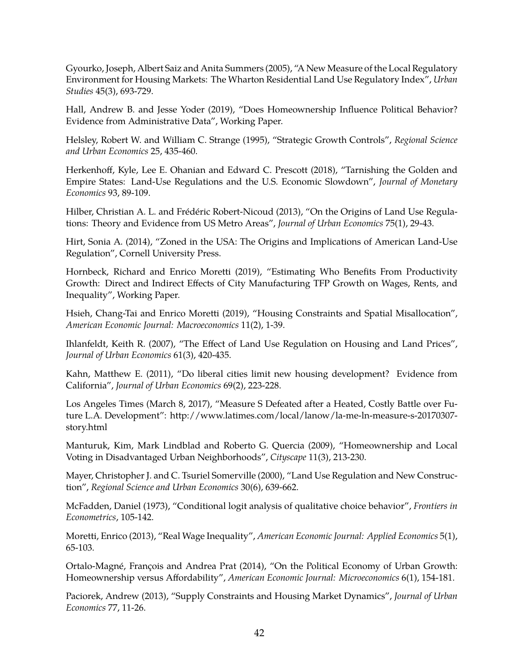<span id="page-41-0"></span>Gyourko, Joseph, Albert Saiz and Anita Summers (2005), "A New Measure of the Local Regulatory Environment for Housing Markets: The Wharton Residential Land Use Regulatory Index", *Urban Studies* 45(3), 693-729.

<span id="page-41-13"></span>Hall, Andrew B. and Jesse Yoder (2019), "Does Homeownership Influence Political Behavior? Evidence from Administrative Data", Working Paper.

<span id="page-41-5"></span>Helsley, Robert W. and William C. Strange (1995), "Strategic Growth Controls", *Regional Science and Urban Economics* 25, 435-460.

<span id="page-41-2"></span>Herkenhoff, Kyle, Lee E. Ohanian and Edward C. Prescott (2018), "Tarnishing the Golden and Empire States: Land-Use Regulations and the U.S. Economic Slowdown", *Journal of Monetary Economics* 93, 89-109.

<span id="page-41-3"></span>Hilber, Christian A. L. and Frédéric Robert-Nicoud (2013), "On the Origins of Land Use Regulations: Theory and Evidence from US Metro Areas", *Journal of Urban Economics* 75(1), 29-43.

Hirt, Sonia A. (2014), "Zoned in the USA: The Origins and Implications of American Land-Use Regulation", Cornell University Press.

<span id="page-41-11"></span>Hornbeck, Richard and Enrico Moretti (2019), "Estimating Who Benefits From Productivity Growth: Direct and Indirect Effects of City Manufacturing TFP Growth on Wages, Rents, and Inequality", Working Paper.

<span id="page-41-1"></span>Hsieh, Chang-Tai and Enrico Moretti (2019), "Housing Constraints and Spatial Misallocation", *American Economic Journal: Macroeconomics* 11(2), 1-39.

<span id="page-41-9"></span>Ihlanfeldt, Keith R. (2007), "The Effect of Land Use Regulation on Housing and Land Prices", *Journal of Urban Economics* 61(3), 420-435.

<span id="page-41-10"></span>Kahn, Matthew E. (2011), "Do liberal cities limit new housing development? Evidence from California", *Journal of Urban Economics* 69(2), 223-228.

<span id="page-41-14"></span>Los Angeles Times (March 8, 2017), "Measure S Defeated after a Heated, Costly Battle over Future L.A. Development": [http://www.latimes.com/local/lanow/la-me-ln-measure-s-20170307](.http://www.latimes.com/local/lanow/la-me-ln-measure-s-20170307-story.html) [story.html](.http://www.latimes.com/local/lanow/la-me-ln-measure-s-20170307-story.html)

<span id="page-41-12"></span>Manturuk, Kim, Mark Lindblad and Roberto G. Quercia (2009), "Homeownership and Local Voting in Disadvantaged Urban Neighborhoods", *Cityscape* 11(3), 213-230.

<span id="page-41-8"></span>Mayer, Christopher J. and C. Tsuriel Somerville (2000), "Land Use Regulation and New Construction", *Regional Science and Urban Economics* 30(6), 639-662.

<span id="page-41-7"></span>McFadden, Daniel (1973), "Conditional logit analysis of qualitative choice behavior", *Frontiers in Econometrics*, 105-142.

<span id="page-41-6"></span>Moretti, Enrico (2013), "Real Wage Inequality", *American Economic Journal: Applied Economics* 5(1), 65-103.

<span id="page-41-4"></span>Ortalo-Magné, François and Andrea Prat (2014), "On the Political Economy of Urban Growth: Homeownership versus Affordability", *American Economic Journal: Microeconomics* 6(1), 154-181.

Paciorek, Andrew (2013), "Supply Constraints and Housing Market Dynamics", *Journal of Urban Economics* 77, 11-26.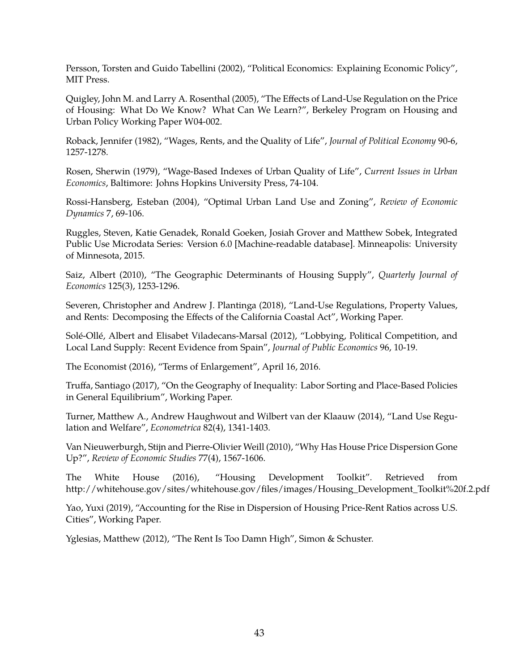<span id="page-42-15"></span>Persson, Torsten and Guido Tabellini (2002), "Political Economics: Explaining Economic Policy", MIT Press.

<span id="page-42-11"></span>Quigley, John M. and Larry A. Rosenthal (2005), "The Effects of Land-Use Regulation on the Price of Housing: What Do We Know? What Can We Learn?", Berkeley Program on Housing and Urban Policy Working Paper W04-002.

<span id="page-42-9"></span>Roback, Jennifer (1982), "Wages, Rents, and the Quality of Life", *Journal of Political Economy* 90-6, 1257-1278.

<span id="page-42-8"></span>Rosen, Sherwin (1979), "Wage-Based Indexes of Urban Quality of Life", *Current Issues in Urban Economics*, Baltimore: Johns Hopkins University Press, 74-104.

<span id="page-42-4"></span>Rossi-Hansberg, Esteban (2004), "Optimal Urban Land Use and Zoning", *Review of Economic Dynamics* 7, 69-106.

<span id="page-42-12"></span>Ruggles, Steven, Katie Genadek, Ronald Goeken, Josiah Grover and Matthew Sobek, Integrated Public Use Microdata Series: Version 6.0 [Machine-readable database]. Minneapolis: University of Minnesota, 2015.

<span id="page-42-13"></span>Saiz, Albert (2010), "The Geographic Determinants of Housing Supply", *Quarterly Journal of Economics* 125(3), 1253-1296.

<span id="page-42-10"></span>Severen, Christopher and Andrew J. Plantinga (2018), "Land-Use Regulations, Property Values, and Rents: Decomposing the Effects of the California Coastal Act", Working Paper.

<span id="page-42-5"></span>Solé-Ollé, Albert and Elisabet Viladecans-Marsal (2012), "Lobbying, Political Competition, and Local Land Supply: Recent Evidence from Spain", *Journal of Public Economics* 96, 10-19.

<span id="page-42-1"></span>The Economist (2016), "Terms of Enlargement", April 16, 2016.

<span id="page-42-14"></span>Truffa, Santiago (2017), "On the Geography of Inequality: Labor Sorting and Place-Based Policies in General Equilibrium", Working Paper.

<span id="page-42-3"></span>Turner, Matthew A., Andrew Haughwout and Wilbert van der Klaauw (2014), "Land Use Regulation and Welfare", *Econometrica* 82(4), 1341-1403.

<span id="page-42-6"></span>Van Nieuwerburgh, Stijn and Pierre-Olivier Weill (2010), "Why Has House Price Dispersion Gone Up?", *Review of Economic Studies* 77(4), 1567-1606.

<span id="page-42-2"></span>The White House (2016), "Housing Development Toolkit". Retrieved from [http://whitehouse.gov/sites/whitehouse.gov/files/images/Housing\\_Development\\_Toolkit%20f.2.pdf](http://whitehouse.gov/sites/whitehouse.gov/files/images/Housing_Development_Toolkit%20f.2.pdf)

<span id="page-42-7"></span>Yao, Yuxi (2019), "Accounting for the Rise in Dispersion of Housing Price-Rent Ratios across U.S. Cities", Working Paper.

<span id="page-42-0"></span>Yglesias, Matthew (2012), "The Rent Is Too Damn High", Simon & Schuster.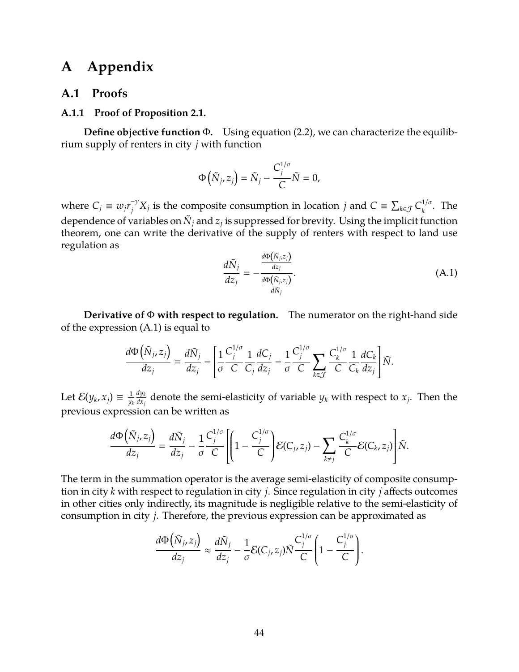## **A Appendix**

### **A.1 Proofs**

#### <span id="page-43-0"></span>**A.1.1 Proof of Proposition [2.1.](#page-10-1)**

**Define objective function** Φ**.** Using equation [\(2.2\)](#page-6-2), we can characterize the equilibrium supply of renters in city *j* with function

$$
\Phi\left(\tilde{N}_{j}, z_{j}\right) = \tilde{N}_{j} - \frac{C_{j}^{1/\sigma}}{C} \tilde{N} = 0,
$$

<span id="page-43-1"></span>where  $C_j \equiv w_j r_j^{-\gamma} X_j$  is the composite consumption in location *j* and  $C \equiv \sum_{k \in \mathcal{J}} C_k^{1/\sigma}$  $\frac{1}{6}$ . The dependence of variables on  $\tilde{N}_j$  and  $z_j$  is suppressed for brevity. Using the implicit function theorem, one can write the derivative of the supply of renters with respect to land use regulation as  $\overline{\mathcal{L}}$ 

$$
\frac{d\tilde{N}_j}{dz_j} = -\frac{\frac{d\Phi(\tilde{N}_j, z_j)}{dz_j}}{\frac{d\Phi(\tilde{N}_j, z_j)}{d\tilde{N}_j}}.\tag{A.1}
$$

**Derivative of** Φ **with respect to regulation.** The numerator on the right-hand side of the expression [\(A.1\)](#page-43-1) is equal to

$$
\frac{d\Phi\left(\tilde{N}_j,z_j\right)}{dz_j}=\frac{d\tilde{N}_j}{dz_j}-\left[\frac{1}{\sigma}\frac{C_j^{1/\sigma}}{C}\frac{1}{C_j}\frac{dC_j}{dz_j}-\frac{1}{\sigma}\frac{C_j^{1/\sigma}}{C}\sum_{k\in\mathcal{J}}\frac{C_k^{1/\sigma}}{C}\frac{1}{C_k}\frac{dC_k}{dz_j}\right]\tilde{N}.
$$

Let  $\mathcal{E}(y_k, x_j) \equiv \frac{1}{y_k}$ *yk dy<sup>k</sup>*  $\frac{dy_k}{dx_j}$  denote the semi-elasticity of variable  $y_k$  with respect to  $x_j$ . Then the previous expression can be written as

$$
\frac{d\Phi\left(\tilde{N}_{j},z_{j}\right)}{dz_{j}}=\frac{d\tilde{N}_{j}}{dz_{j}}-\frac{1}{\sigma}\frac{C_{j}^{1/\sigma}}{C}\left[1-\frac{C_{j}^{1/\sigma}}{C}\right]\mathcal{E}(C_{j},z_{j})-\sum_{k\neq j}\frac{C_{k}^{1/\sigma}}{C}\mathcal{E}(C_{k},z_{j})\right]\tilde{N}.
$$

The term in the summation operator is the average semi-elasticity of composite consumption in city *k* with respect to regulation in city *j*. Since regulation in city *j* affects outcomes in other cities only indirectly, its magnitude is negligible relative to the semi-elasticity of consumption in city *j*. Therefore, the previous expression can be approximated as

$$
\frac{d\Phi\left(\tilde{N}_{j},z_{j}\right)}{dz_{j}}\approx\frac{d\tilde{N}_{j}}{dz_{j}}-\frac{1}{\sigma}\mathcal{E}(C_{j},z_{j})\tilde{N}\frac{C_{j}^{1/\sigma}}{C}\left(1-\frac{C_{j}^{1/\sigma}}{C}\right).
$$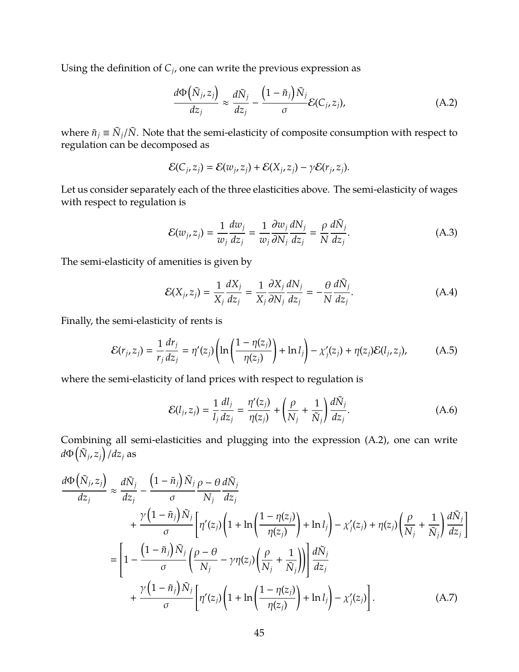Using the definition of  $C_j$ , one can write the previous expression as

<span id="page-44-0"></span>
$$
\frac{d\Phi\left(\tilde{N}_{j},z_{j}\right)}{dz_{j}} \approx \frac{d\tilde{N}_{j}}{dz_{j}} - \frac{\left(1-\tilde{n}_{j}\right)\tilde{N}_{j}}{\sigma} \mathcal{E}(C_{j},z_{j}),\tag{A.2}
$$

where  $\tilde{n}_j \equiv \tilde{N}_j/\tilde{N}$ . Note that the semi-elasticity of composite consumption with respect to regulation can be decomposed as

$$
\mathcal{E}(C_j,z_j)=\mathcal{E}(w_j,z_j)+\mathcal{E}(X_j,z_j)-\gamma\mathcal{E}(r_j,z_j).
$$

Let us consider separately each of the three elasticities above. The semi-elasticity of wages with respect to regulation is

<span id="page-44-5"></span><span id="page-44-4"></span>
$$
\mathcal{E}(w_j, z_j) = \frac{1}{w_j} \frac{dw_j}{dz_j} = \frac{1}{w_j} \frac{\partial w_j}{\partial N_j} \frac{dN_j}{dz_j} = \frac{\rho}{N} \frac{d\tilde{N}_j}{dz_j}.
$$
\n(A.3)

The semi-elasticity of amenities is given by

<span id="page-44-2"></span>
$$
\mathcal{E}(X_j, z_j) = \frac{1}{X_j} \frac{dX_j}{dz_j} = \frac{1}{X_j} \frac{\partial X_j}{\partial N_j} \frac{dN_j}{dz_j} = -\frac{\theta}{N} \frac{d\tilde{N}_j}{dz_j}.
$$
 (A.4)

Finally, the semi-elasticity of rents is

$$
\mathcal{E}(r_j, z_j) = \frac{1}{r_j} \frac{dr_j}{dz_j} = \eta'(z_j) \left( \ln \left( \frac{1 - \eta(z_j)}{\eta(z_j)} \right) + \ln l_j \right) - \chi'_j(z_j) + \eta(z_j) \mathcal{E}(l_j, z_j), \tag{A.5}
$$

where the semi-elasticity of land prices with respect to regulation is

<span id="page-44-3"></span><span id="page-44-1"></span>
$$
\mathcal{E}(l_j, z_j) = \frac{1}{l_j} \frac{dl_j}{dz_j} = \frac{\eta'(z_j)}{\eta(z_j)} + \left(\frac{\rho}{N_j} + \frac{1}{\tilde{N}_j}\right) \frac{d\tilde{N}_j}{dz_j}.
$$
\n(A.6)

Combining all semi-elasticities and plugging into the expression [\(A.2\)](#page-44-0), one can write  $d\Phi\left(\tilde{N}_{j},z_{j}\right)/dz_{j}$  as

$$
\frac{d\Phi\left(\tilde{N}_{j},z_{j}\right)}{dz_{j}} \approx \frac{d\tilde{N}_{j}}{dz_{j}} - \frac{\left(1-\tilde{n}_{j}\right)\tilde{N}_{j}}{\sigma} \frac{\rho-\theta}{N_{j}} \frac{d\tilde{N}_{j}}{dz_{j}} + \frac{\gamma\left(1-\tilde{n}_{j}\right)\tilde{N}_{j}}{\sigma} \left[\eta'(z_{j})\left(1+\ln\left(\frac{1-\eta(z_{j})}{\eta(z_{j})}\right)+\ln l_{j}\right)-\chi'_{j}(z_{j})+\eta(z_{j})\left(\frac{\rho}{N_{j}}+\frac{1}{\tilde{N}_{j}}\right)\frac{d\tilde{N}_{j}}{dz_{j}}\right]
$$
\n
$$
= \left[1-\frac{\left(1-\tilde{n}_{j}\right)\tilde{N}_{j}}{\sigma}\left(\frac{\rho-\theta}{N_{j}}-\gamma\eta(z_{j})\left(\frac{\rho}{N_{j}}+\frac{1}{\tilde{N}_{j}}\right)\right)\right] \frac{d\tilde{N}_{j}}{dz_{j}}
$$
\n
$$
+ \frac{\gamma\left(1-\tilde{n}_{j}\right)\tilde{N}_{j}}{\sigma} \left[\eta'(z_{j})\left(1+\ln\left(\frac{1-\eta(z_{j})}{\eta(z_{j})}\right)+\ln l_{j}\right)-\chi'_{j}(z_{j})\right]. \tag{A.7}
$$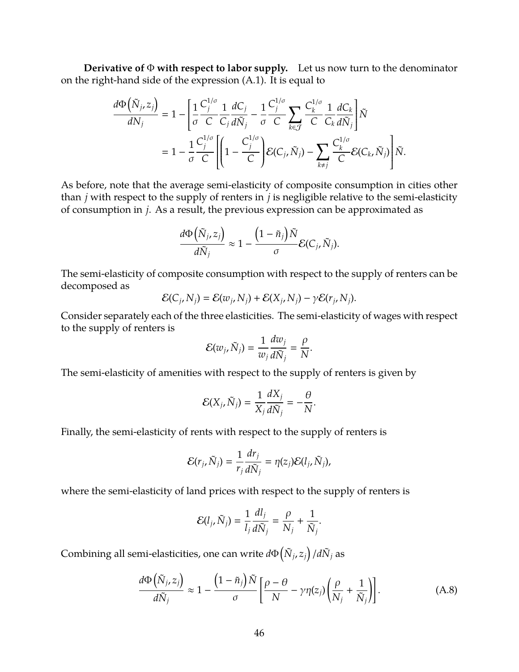**Derivative of** Φ **with respect to labor supply.** Let us now turn to the denominator on the right-hand side of the expression [\(A.1\)](#page-43-1). It is equal to

$$
\frac{d\Phi\left(\tilde{N}_{j},z_{j}\right)}{dN_{j}}=1-\left[\frac{1}{\sigma}\frac{C_{j}^{1/\sigma}}{C}\frac{1}{C_{j}}\frac{dC_{j}}{d\tilde{N}_{j}}-\frac{1}{\sigma}\frac{C_{j}^{1/\sigma}}{C}\sum_{k\in\mathcal{J}}\frac{C_{k}^{1/\sigma}}{C}\frac{1}{C_{k}}\frac{dC_{k}}{d\tilde{N}_{j}}\right]\tilde{N}
$$
\n
$$
=1-\frac{1}{\sigma}\frac{C_{j}^{1/\sigma}}{C}\left[\left(1-\frac{C_{j}^{1/\sigma}}{C}\right)\mathcal{E}(C_{j},\tilde{N}_{j})-\sum_{k\neq j}\frac{C_{k}^{1/\sigma}}{C}\mathcal{E}(C_{k},\tilde{N}_{j})\right]\tilde{N}.
$$

As before, note that the average semi-elasticity of composite consumption in cities other than *j* with respect to the supply of renters in *j* is negligible relative to the semi-elasticity of consumption in *j*. As a result, the previous expression can be approximated as

$$
\frac{d\Phi\big(\tilde{N}_j,z_j\big)}{d\tilde{N}_j}\approx 1-\frac{\big(1-\tilde{n}_j\big)\tilde{N}}{\sigma}\mathcal{E}(C_j,\tilde{N}_j).
$$

The semi-elasticity of composite consumption with respect to the supply of renters can be decomposed as

$$
\mathcal{E}(C_j, N_j) = \mathcal{E}(w_j, N_j) + \mathcal{E}(X_j, N_j) - \gamma \mathcal{E}(r_j, N_j).
$$

Consider separately each of the three elasticities. The semi-elasticity of wages with respect to the supply of renters is

$$
\mathcal{E}(w_j,\tilde{N}_j)=\frac{1}{w_j}\frac{dw_j}{d\tilde{N}_j}=\frac{\rho}{N}.
$$

The semi-elasticity of amenities with respect to the supply of renters is given by

$$
\mathcal{E}(X_j,\tilde{N}_j)=\frac{1}{X_j}\frac{dX_j}{d\tilde{N}_j}=-\frac{\theta}{N}.
$$

Finally, the semi-elasticity of rents with respect to the supply of renters is

$$
\mathcal{E}(r_j,\tilde{N}_j)=\frac{1}{r_j}\frac{dr_j}{d\tilde{N}_j}=\eta(z_j)\mathcal{E}(l_j,\tilde{N}_j),
$$

where the semi-elasticity of land prices with respect to the supply of renters is

<span id="page-45-0"></span>
$$
\mathcal{E}(l_j,\tilde{N}_j)=\frac{1}{l_j}\frac{dl_j}{d\tilde{N}_j}=\frac{\rho}{N_j}+\frac{1}{\tilde{N}_j}.
$$

 $\mathsf{Combining}$  all semi-elasticities, one can write  $d\Phi\big(\tilde{N}_{j},z_{j}\big)/d\tilde{N}_{j}$  as

$$
\frac{d\Phi\left(\tilde{N}_j, z_j\right)}{d\tilde{N}_j} \approx 1 - \frac{\left(1 - \tilde{n}_j\right)\tilde{N}}{\sigma} \left[\frac{\rho - \theta}{N} - \gamma\eta(z_j)\left(\frac{\rho}{N_j} + \frac{1}{\tilde{N}_j}\right)\right].\tag{A.8}
$$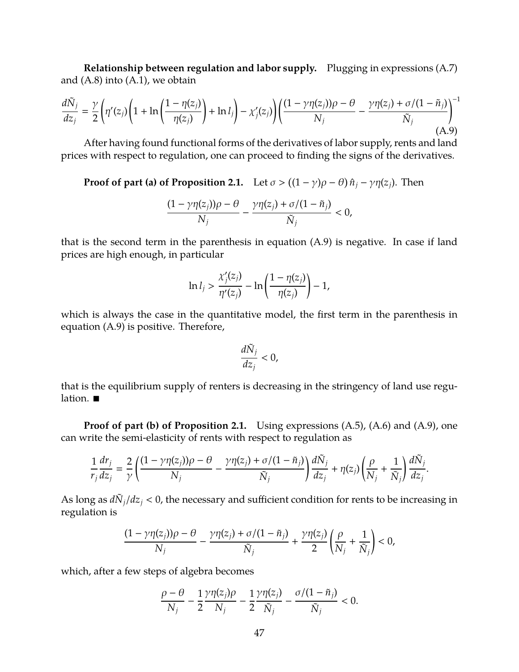**Relationship between regulation and labor supply.** Plugging in expressions [\(A.7\)](#page-44-1) and  $(A.8)$  into  $(A.1)$ , we obtain

$$
\frac{d\tilde{N}_j}{dz_j} = \frac{\gamma}{2} \left( \eta'(z_j) \left( 1 + \ln \left( \frac{1 - \eta(z_j)}{\eta(z_j)} \right) + \ln l_j \right) - \chi'_j(z_j) \right) \left( \frac{(1 - \gamma \eta(z_j))\rho - \theta}{N_j} - \frac{\gamma \eta(z_j) + \sigma/(1 - \tilde{n}_j)}{\tilde{N}_j} \right)^{-1} \tag{A.9}
$$

After having found functional forms of the derivatives of labor supply, rents and land prices with respect to regulation, one can proceed to finding the signs of the derivatives.

**Proof of part (a) of Proposition [2.1.](#page-10-1)** Let  $\sigma$  >  $((1 - \gamma)\rho - \theta)\hat{n}_j - \gamma\eta(z_j)$ . Then

<span id="page-46-0"></span>
$$
\frac{(1-\gamma\eta(z_j))\rho-\theta}{N_j}-\frac{\gamma\eta(z_j)+\sigma/(1-\tilde{n}_j)}{\tilde{N}_j}<0,
$$

that is the second term in the parenthesis in equation [\(A.9\)](#page-46-0) is negative. In case if land prices are high enough, in particular

$$
\ln l_j > \frac{\chi'_j(z_j)}{\eta'(z_j)} - \ln\left(\frac{1-\eta(z_j)}{\eta(z_j)}\right) - 1,
$$

which is always the case in the quantitative model, the first term in the parenthesis in equation [\(A.9\)](#page-46-0) is positive. Therefore,

$$
\frac{d\tilde{N}_j}{dz_j} < 0,
$$

that is the equilibrium supply of renters is decreasing in the stringency of land use regulation.

**Proof of part (b) of Proposition [2.1.](#page-10-1)** Using expressions  $(A.5)$ ,  $(A.6)$  and  $(A.9)$ , one can write the semi-elasticity of rents with respect to regulation as

$$
\frac{1}{r_j}\frac{dr_j}{dz_j}=\frac{2}{\gamma}\left(\frac{(1-\gamma\eta(z_j))\rho-\theta}{N_j}-\frac{\gamma\eta(z_j)+\sigma/(1-\tilde{n}_j)}{\tilde{N}_j}\right)\frac{d\tilde{N}_j}{dz_j}+\eta(z_j)\left(\frac{\rho}{N_j}+\frac{1}{\tilde{N}_j}\right)\frac{d\tilde{N}_j}{dz_j}.
$$

As long as  $d\tilde{N}_j/dz_j < 0$ , the necessary and sufficient condition for rents to be increasing in regulation is

$$
\frac{(1-\gamma\eta(z_j))\rho-\theta}{N_j}-\frac{\gamma\eta(z_j)+\sigma/(1-\tilde{n}_j)}{\tilde{N}_j}+\frac{\gamma\eta(z_j)}{2}\left(\frac{\rho}{N_j}+\frac{1}{\tilde{N}_j}\right)<0,
$$

which, after a few steps of algebra becomes

$$
\frac{\rho-\theta}{N_j}-\frac{1}{2}\frac{\gamma\eta(z_j)\rho}{N_j}-\frac{1}{2}\frac{\gamma\eta(z_j)}{\tilde{N}_j}-\frac{\sigma/(1-\tilde{n}_j)}{\tilde{N}_j}<0.
$$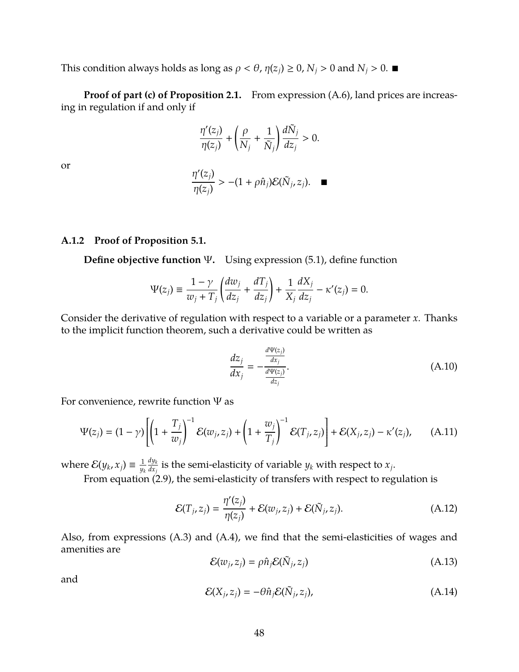This condition always holds as long as  $\rho < \theta$ ,  $\eta(z_i) \geq 0$ ,  $N_i > 0$  and  $N_i > 0$ .

**Proof of part (c) of Proposition [2.1.](#page-10-1)** From expression [\(A.6\)](#page-44-3), land prices are increasing in regulation if and only if

$$
\frac{\eta'(z_j)}{\eta(z_j)} + \left(\frac{\rho}{N_j} + \frac{1}{\tilde{N}_j}\right) \frac{d\tilde{N}_j}{dz_j} > 0.
$$

or

$$
\frac{\eta'(z_j)}{\eta(z_j)} > -(1 + \rho \hat{n}_j) \mathcal{E}(\tilde{N}_j, z_j). \quad \blacksquare
$$

#### <span id="page-47-0"></span>**A.1.2 Proof of Proposition [5.1.](#page-27-0)**

**Define objective function** Ψ**.** Using expression [\(5.1\)](#page-26-0), define function

$$
\Psi(z_j) \equiv \frac{1-\gamma}{w_j+T_j}\left(\frac{dw_j}{dz_j}+\frac{dT_j}{dz_j}\right)+\frac{1}{X_j}\frac{dX_j}{dz_j}-\kappa'(z_j)=0.
$$

Consider the derivative of regulation with respect to a variable or a parameter *x*. Thanks to the implicit function theorem, such a derivative could be written as

<span id="page-47-5"></span><span id="page-47-4"></span><span id="page-47-1"></span>
$$
\frac{dz_j}{dx_j} = -\frac{\frac{d\Psi(z_j)}{dx_j}}{\frac{d\Psi(z_j)}{dz_j}}.\tag{A.10}
$$

For convenience, rewrite function  $\Psi$  as

$$
\Psi(z_j) = (1 - \gamma) \left[ \left( 1 + \frac{T_j}{w_j} \right)^{-1} \mathcal{E}(w_j, z_j) + \left( 1 + \frac{w_j}{T_j} \right)^{-1} \mathcal{E}(T_j, z_j) \right] + \mathcal{E}(X_j, z_j) - \kappa'(z_j), \tag{A.11}
$$

where  $\mathcal{E}(y_k, x_j) \equiv \frac{1}{w}$ *yk dy<sup>k</sup>*  $\frac{dy_k}{dx_j}$  is the semi-elasticity of variable  $y_k$  with respect to  $x_j.$ 

From equation [\(2.9\)](#page-8-2), the semi-elasticity of transfers with respect to regulation is

$$
\mathcal{E}(T_j, z_j) = \frac{\eta'(z_j)}{\eta(z_j)} + \mathcal{E}(w_j, z_j) + \mathcal{E}(\tilde{N}_j, z_j). \tag{A.12}
$$

<span id="page-47-2"></span>Also, from expressions [\(A.3\)](#page-44-4) and [\(A.4\)](#page-44-5), we find that the semi-elasticities of wages and amenities are

$$
\mathcal{E}(w_j, z_j) = \rho \hat{n}_j \mathcal{E}(\tilde{N}_j, z_j)
$$
\n(A.13)

<span id="page-47-3"></span>and

$$
\mathcal{E}(X_j, z_j) = -\theta \hat{n}_j \mathcal{E}(\tilde{N}_j, z_j),\tag{A.14}
$$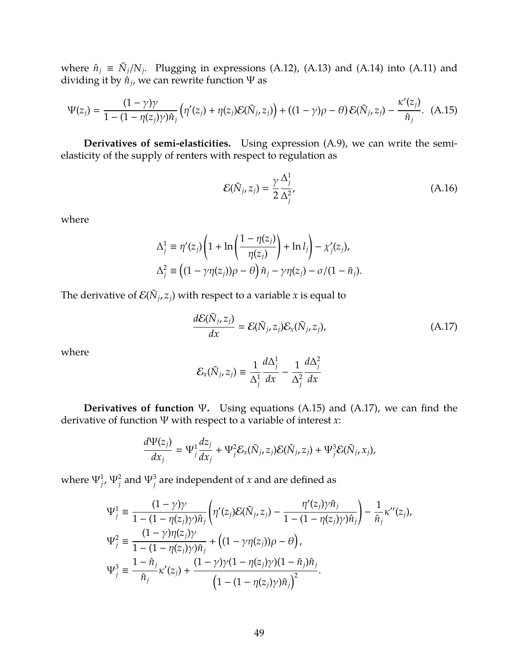where  $\hat{n}_j \equiv \tilde{N}_j/N_j$ . Plugging in expressions [\(A.12\)](#page-47-1), [\(A.13\)](#page-47-2) and [\(A.14\)](#page-47-3) into [\(A.11\)](#page-47-4) and dividing it by  $\hat{n}_j$ , we can rewrite function  $\Psi$  as

$$
\Psi(z_j) = \frac{(1-\gamma)\gamma}{1-(1-\eta(z_j)\gamma)\hat{n}_j} \left( \eta'(z_j) + \eta(z_j)\mathcal{E}(\tilde{N}_j, z_j) \right) + ((1-\gamma)\rho - \theta) \mathcal{E}(\tilde{N}_j, z_j) - \frac{\kappa'(z_j)}{\hat{n}_j}.
$$
 (A.15)

**Derivatives of semi-elasticities.** Using expression [\(A.9\)](#page-46-0), we can write the semielasticity of the supply of renters with respect to regulation as

<span id="page-48-1"></span><span id="page-48-0"></span>
$$
\mathcal{E}(\tilde{N}_j, z_j) = \frac{\gamma}{2} \frac{\Delta_j^1}{\Delta_j^2},\tag{A.16}
$$

where

$$
\Delta_j^1 \equiv \eta'(z_j) \left( 1 + \ln \left( \frac{1 - \eta(z_j)}{\eta(z_j)} \right) + \ln l_j \right) - \chi'_j(z_j),
$$
  

$$
\Delta_j^2 \equiv \left( (1 - \gamma \eta(z_j)) \rho - \theta \right) \hat{n}_j - \gamma \eta(z_j) - \sigma / (1 - \tilde{n}_j).
$$

The derivative of  $\mathcal{E}(\tilde{N}_j, z_j)$  with respect to a variable *x* is equal to

<span id="page-48-2"></span>
$$
\frac{d\mathcal{E}(\tilde{N}_j, z_j)}{dx} = \mathcal{E}(\tilde{N}_j, z_j)\mathcal{E}_x(\tilde{N}_j, z_j),\tag{A.17}
$$

where

$$
\mathcal{E}_x(\tilde{N}_j, z_j) \equiv \frac{1}{\Delta_j^1} \frac{d\Delta_j^1}{dx} - \frac{1}{\Delta_j^2} \frac{d\Delta_j^2}{dx}
$$

**Derivatives of function** Ψ**.** Using equations [\(A.15\)](#page-48-0) and [\(A.17\)](#page-48-2), we can find the derivative of function Ψ with respect to a variable of interest *x*:

$$
\frac{d\Psi(z_j)}{dx_j} = \Psi_j^1 \frac{dz_j}{dx_j} + \Psi_j^2 \mathcal{E}_x(\tilde{N}_j, z_j) \mathcal{E}(\tilde{N}_j, z_j) + \Psi_j^3 \mathcal{E}(\tilde{N}_j, x_j),
$$

where  $\Psi^1_{j}$ ,  $\Psi^2_{j}$  and  $\Psi^3_{j}$  are independent of *x* and are defined as

$$
\Psi_j^1 \equiv \frac{(1-\gamma)\gamma}{1-(1-\eta(z_j)\gamma)\hat{n}_j} \left( \eta'(z_j) \mathcal{E}(\tilde{N}_j, z_j) - \frac{\eta'(z_j)\gamma \hat{n}_j}{1-(1-\eta(z_j)\gamma)\hat{n}_j} \right) - \frac{1}{\hat{n}_j} \kappa''(z_j),
$$
  
\n
$$
\Psi_j^2 \equiv \frac{(1-\gamma)\eta(z_j)\gamma}{1-(1-\eta(z_j)\gamma)\hat{n}_j} + \left( (1-\gamma\eta(z_j))\rho - \theta \right),
$$
  
\n
$$
\Psi_j^3 \equiv \frac{1-\hat{n}_j}{\hat{n}_j} \kappa'(z_j) + \frac{(1-\gamma)\gamma(1-\eta(z_j)\gamma)(1-\hat{n}_j)\hat{n}_j}{\left( 1-(1-\eta(z_j)\gamma)\hat{n}_j \right)^2}.
$$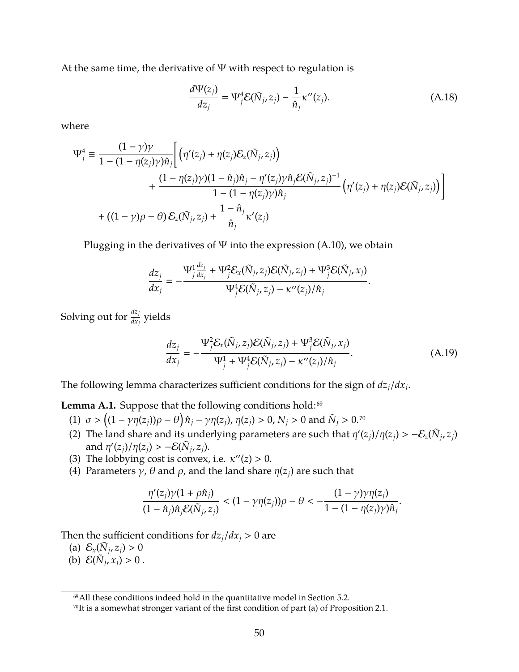At the same time, the derivative of  $\Psi$  with respect to regulation is

<span id="page-49-0"></span>
$$
\frac{d\Psi(z_j)}{dz_j} = \Psi_j^4 \mathcal{E}(\tilde{N}_j, z_j) - \frac{1}{\hat{n}_j} \kappa''(z_j). \tag{A.18}
$$

where

$$
\Psi_j^4 \equiv \frac{(1-\gamma)\gamma}{1 - (1 - \eta(z_j)\gamma)\hat{n}_j} \Bigg[ \left( \eta'(z_j) + \eta(z_j) \mathcal{E}_z(\tilde{N}_j, z_j) \right) + \frac{(1 - \eta(z_j)\gamma)(1 - \hat{n}_j)\hat{n}_j - \eta'(z_j)\gamma \hat{n}_j \mathcal{E}(\tilde{N}_j, z_j)^{-1}}{1 - (1 - \eta(z_j)\gamma)\hat{n}_j} \left( \eta'(z_j) + \eta(z_j)\mathcal{E}(\tilde{N}_j, z_j) \right) \Bigg] + \left( (1 - \gamma)\rho - \theta \right) \mathcal{E}_z(\tilde{N}_j, z_j) + \frac{1 - \hat{n}_j}{\hat{n}_j} \kappa'(z_j)
$$

Plugging in the derivatives of  $\Psi$  into the expression [\(A.10\)](#page-47-5), we obtain

$$
\frac{dz_j}{dx_j}=-\frac{\Psi_j^1\frac{dz_j}{dx_j}+\Psi_j^2\mathcal{E}_x(\tilde{N}_j,z_j)\mathcal{E}(\tilde{N}_j,z_j)+\Psi_j^3\mathcal{E}(\tilde{N}_j,x_j)}{\Psi_j^4\mathcal{E}(\tilde{N}_j,z_j)-\kappa''(z_j)/\hat{n}_j}.
$$

Solving out for  $\frac{dz_j}{dx_j}$  yields

<span id="page-49-1"></span>
$$
\frac{dz_j}{dx_j} = -\frac{\Psi_j^2 \mathcal{E}_x(\tilde{N}_j, z_j) \mathcal{E}(\tilde{N}_j, z_j) + \Psi_j^3 \mathcal{E}(\tilde{N}_j, x_j)}{\Psi_j^1 + \Psi_j^4 \mathcal{E}(\tilde{N}_j, z_j) - \kappa''(z_j)/\hat{n}_j}.
$$
\n(A.19)

The following lemma characterizes sufficient conditions for the sign of *dzj*/*dx<sup>j</sup>* .

<span id="page-49-2"></span>Lemma A.1. Suppose that the following conditions hold:<sup>69</sup>

- (1)  $\sigma > ((1 \gamma \eta(z_j))\rho \theta) \hat{n}_j \gamma \eta(z_j)$ ,  $\eta(z_j) > 0$ ,  $N_j > 0$  and  $\tilde{N}_j > 0$ .<sup>70</sup>
- (2) The land share and its underlying parameters are such that  $\eta'(z_j)/\eta(z_j) > -\mathcal{E}_z(\tilde{N}_j, z_j)$ and  $\eta'(z_j)/\eta(z_j) > -\mathcal{E}(\tilde{N}_j, z_j)$ .
- (3) The lobbying cost is convex, i.e.  $\kappa''(z) > 0$ .
- (4) Parameters  $\gamma$ ,  $\theta$  and  $\rho$ , and the land share  $\eta(z_i)$  are such that

$$
\frac{\eta'(z_j)\gamma(1+\rho\hat{n}_j)}{(1-\hat{n}_j)\hat{n}_j\mathcal{E}(\tilde{N}_j,z_j)}<(1-\gamma\eta(z_j))\rho-\theta<-\frac{(1-\gamma)\gamma\eta(z_j)}{1-(1-\eta(z_j)\gamma)\hat{n}_j}.
$$

Then the sufficient conditions for  $dz_j/dx_j > 0$  are

- (a)  $\mathcal{E}_x(\tilde{N}_j, z_j) > 0$
- (b)  $\mathcal{E}(\tilde{N}_j, x_j) > 0$ .

<sup>69</sup>All these conditions indeed hold in the quantitative model in Section [5.2.](#page-28-1)

<sup>70</sup>It is a somewhat stronger variant of the first condition of part (a) of Proposition [2.1.](#page-10-1)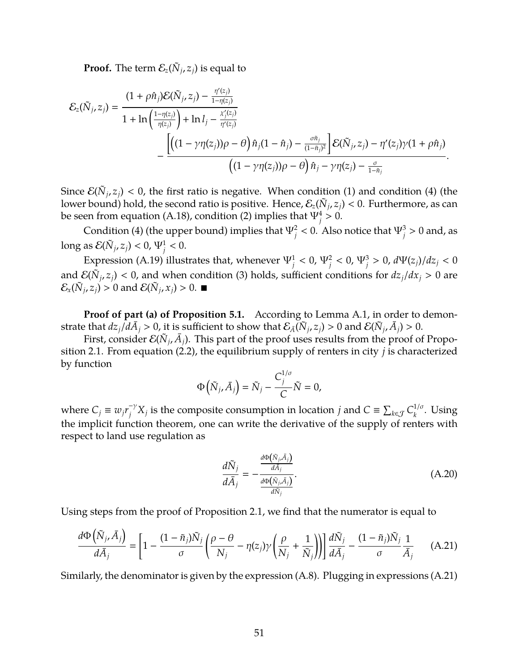**Proof.** The term  $\mathcal{E}_z(\tilde{N}_j, z_j)$  is equal to

$$
\mathcal{E}_z(\tilde{N}_j,z_j) = \frac{(1+\rho\hat{n}_j)\mathcal{E}(\tilde{N}_j,z_j) - \frac{\eta'(z_j)}{1-\eta(z_j)}}{1+\ln\left(\frac{1-\eta(z_j)}{\eta(z_j)}\right)+\ln l_j - \frac{\chi'_j(z_j)}{\eta'(z_j)}}{\left[\left((1-\gamma\eta(z_j))\rho-\theta\right)\hat{n}_j(1-\hat{n}_j) - \frac{\sigma\tilde{n}_j}{(1-\tilde{n}_j)^2}\right] \mathcal{E}(\tilde{N}_j,z_j) - \eta'(z_j)\gamma(1+\rho\hat{n}_j)}{\left((1-\gamma\eta(z_j))\rho-\theta\right)\hat{n}_j - \gamma\eta(z_j) - \frac{\sigma}{1-\tilde{n}_j}}.
$$

Since  $\mathcal{E}(\tilde{N}_j, z_j) < 0$ , the first ratio is negative. When condition (1) and condition (4) (the lower bound) hold, the second ratio is positive. Hence,  $\mathcal{E}_z(\tilde N_j,z_j) < 0$ . Furthermore, as can be seen from equation [\(A.18\)](#page-49-0), condition (2) implies that  $\Psi_j^4 > 0$ .

Condition (4) (the upper bound) implies that  $\Psi_j^2 < 0$ . Also notice that  $\Psi_j^3 > 0$  and, as long as  $\mathcal{E}(\tilde{N}_j, z_j) < 0$ ,  $\Psi_j^1 < 0$ .

Expression [\(A.19\)](#page-49-1) illustrates that, whenever  $\Psi_j^1 < 0$ ,  $\Psi_j^2 < 0$ ,  $\Psi_j^3 > 0$ ,  $d\Psi(z_j)/dz_j < 0$ and  $\mathcal{E}(\tilde{N}_j, z_j) < 0$ , and when condition (3) holds, sufficient conditions for  $dz_j/dx_j > 0$  are  $\mathcal{E}_x(\tilde{N}_j, z_j) > 0$  and  $\mathcal{E}(\tilde{N}_j, x_j) > 0$ .

**Proof of part (a) of Proposition [5.1.](#page-27-0)** According to Lemma [A.1,](#page-49-2) in order to demonstrate that  $dz_j/d\bar{A}_j > 0$ , it is sufficient to show that  $\mathcal{E}_{\bar{A}}(\tilde{N}_j,z_j) > 0$  and  $\mathcal{E}(\tilde{N}_j,\bar{A}_j) > 0$ .

First, consider  $\mathcal{E}(\tilde{N}_j, \bar{A}_j)$ . This part of the proof uses results from the proof of Proposition [2.1.](#page-10-1) From equation [\(2.2\)](#page-6-2), the equilibrium supply of renters in city *j* is characterized by function

$$
\Phi\left(\tilde{N}_j,\bar{A}_j\right)=\tilde{N}_j-\frac{C_j^{1/\sigma}}{C}\tilde{N}=0,
$$

where  $C_j \equiv w_j r_j^{-\gamma} X_j$  is the composite consumption in location *j* and  $C \equiv \sum_{k \in \mathcal{J}} C_k^{1/\sigma}$  $\frac{1}{6}$ . Using the implicit function theorem, one can write the derivative of the supply of renters with respect to land use regulation as

<span id="page-50-1"></span><span id="page-50-0"></span>
$$
\frac{d\tilde{N}_j}{d\tilde{A}_j} = -\frac{\frac{d\Phi(\tilde{N}_j, \tilde{A}_j)}{d\tilde{A}_j}}{\frac{d\Phi(\tilde{N}_j, \tilde{A}_j)}{d\tilde{N}_j}}.\tag{A.20}
$$

Using steps from the proof of Proposition [2.1,](#page-10-1) we find that the numerator is equal to

$$
\frac{d\Phi\left(\tilde{N}_{j},\bar{A}_{j}\right)}{d\tilde{A}_{j}} = \left[1 - \frac{(1-\tilde{n}_{j})\tilde{N}_{j}}{\sigma}\left(\frac{\rho-\theta}{N_{j}} - \eta(z_{j})\gamma\left(\frac{\rho}{N_{j}} + \frac{1}{\tilde{N}_{j}}\right)\right)\right] \frac{d\tilde{N}_{j}}{d\tilde{A}_{j}} - \frac{(1-\tilde{n}_{j})\tilde{N}_{j}}{\sigma}\frac{1}{\tilde{A}_{j}} \tag{A.21}
$$

Similarly, the denominator is given by the expression [\(A.8\)](#page-45-0). Plugging in expressions [\(A.21\)](#page-50-0)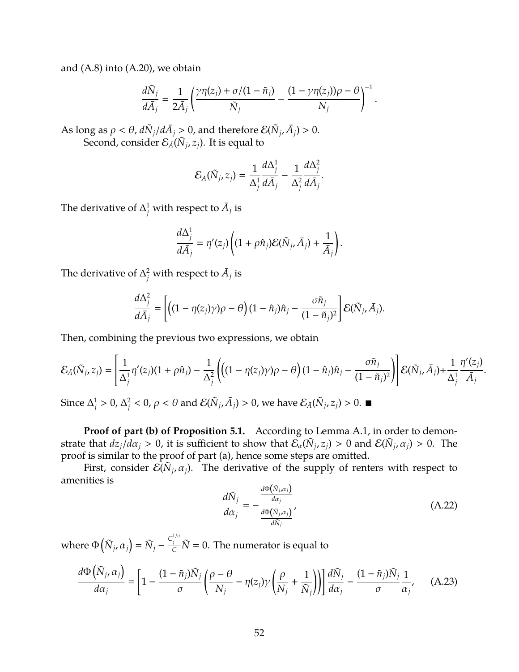and [\(A.8\)](#page-45-0) into [\(A.20\)](#page-50-1), we obtain

$$
\frac{d\tilde{N}_j}{d\bar{A}_j} = \frac{1}{2\bar{A}_j} \left( \frac{\gamma\eta(z_j) + \sigma/(1-\tilde{n}_j)}{\tilde{N}_j} - \frac{(1-\gamma\eta(z_j))\rho - \theta}{N_j} \right)^{-1}.
$$

As long as  $\rho < \theta$ ,  $d\tilde{N}_j/d\bar{A}_j > 0$ , and therefore  $\mathcal{E}(\tilde{N}_j, \bar{A}_j) > 0$ . Second, consider  $\mathcal{E}_{\bar{A}}(\tilde{N}_j,z_j)$ . It is equal to

$$
\mathcal{E}_{\bar{A}}(\tilde{N}_j,z_j)=\frac{1}{\Delta_j^1}\frac{d\Delta_j^1}{d\bar{A}_j}-\frac{1}{\Delta_j^2}\frac{d\Delta_j^2}{d\bar{A}_j}.
$$

The derivative of  $\Delta^1_j$  with respect to  $\bar{A}_j$  is

$$
\frac{d\Delta_j^1}{d\bar{A}_j} = \eta'(z_j) \left( (1 + \rho \hat{n}_j) \mathcal{E}(\tilde{N}_j, \bar{A}_j) + \frac{1}{\bar{A}_j} \right).
$$

The derivative of  $\Delta_j^2$  with respect to  $\bar{A}_j$  is

$$
\frac{d\Delta_j^2}{d\bar{A}_j} = \left[ \left( (1 - \eta(z_j)\gamma)\rho - \theta \right) (1 - \hat{n}_j)\hat{n}_j - \frac{\sigma \tilde{n}_j}{(1 - \tilde{n}_j)^2} \right] \mathcal{E}(\tilde{N}_j, \bar{A}_j).
$$

Then, combining the previous two expressions, we obtain

$$
\mathcal{E}_{\bar{A}}(\tilde{N}_j, z_j) = \left[ \frac{1}{\Delta_j^1} \eta'(z_j)(1 + \rho \hat{n}_j) - \frac{1}{\Delta_j^2} \left( \left( (1 - \eta(z_j)\gamma) \rho - \theta \right) (1 - \hat{n}_j) \hat{n}_j - \frac{\sigma \tilde{n}_j}{(1 - \tilde{n}_j)^2} \right) \right] \mathcal{E}(\tilde{N}_j, \bar{A}_j) + \frac{1}{\Delta_j^1} \frac{\eta'(z_j)}{\bar{A}_j}
$$

Since  $\Delta_i^1$  $j^1 > 0, \Delta_j^2$  $\frac{2}{j}$  < 0,  $\rho$  <  $\theta$  and  $\mathcal{E}(\tilde{N}_j, \bar{A}_j) > 0$ , we have  $\mathcal{E}_{\bar{A}}(\tilde{N}_j, z_j) > 0$ .

**Proof of part (b) of Proposition [5.1.](#page-27-0)** According to Lemma [A.1,](#page-49-2) in order to demonstrate that  $dz_j/d\alpha_j > 0$ , it is sufficient to show that  $\mathcal{E}_\alpha(\tilde{N}_j, z_j) > 0$  and  $\mathcal{E}(\tilde{N}_j, \alpha_j) > 0$ . The proof is similar to the proof of part (a), hence some steps are omitted.

<span id="page-51-1"></span>First, consider  $\mathcal{E}(\tilde{N}_j, \alpha_j)$ . The derivative of the supply of renters with respect to amenities is

<span id="page-51-0"></span>
$$
\frac{d\tilde{N}_j}{d\alpha_j} = -\frac{\frac{d\Phi(\tilde{N}_j,\alpha_j)}{d\alpha_j}}{\frac{d\Phi(\tilde{N}_j,\alpha_j)}{d\tilde{N}_j}},
$$
(A.22)

.

where  $\Phi\left(\tilde{N}_j, \alpha_j\right) = \tilde{N}_j - \frac{C_j^{1/\sigma}}{C} \tilde{N} = 0$ . The numerator is equal to

$$
\frac{d\Phi\left(\tilde{N}_{j},\alpha_{j}\right)}{d\alpha_{j}}=\left[1-\frac{(1-\tilde{n}_{j})\tilde{N}_{j}}{\sigma}\left(\frac{\rho-\theta}{N_{j}}-\eta(z_{j})\gamma\left(\frac{\rho}{N_{j}}+\frac{1}{\tilde{N}_{j}}\right)\right)\right]\frac{d\tilde{N}_{j}}{d\alpha_{j}}-\frac{(1-\tilde{n}_{j})\tilde{N}_{j}}{\sigma}\frac{1}{\alpha_{j}},\quad (A.23)
$$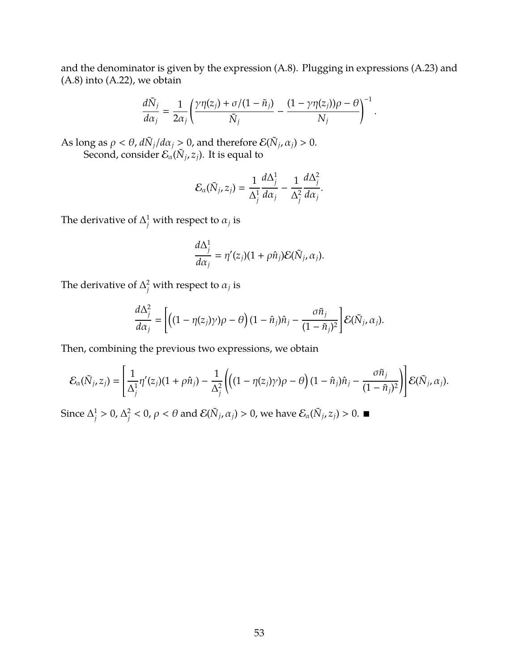and the denominator is given by the expression [\(A.8\)](#page-45-0). Plugging in expressions [\(A.23\)](#page-51-0) and [\(A.8\)](#page-45-0) into [\(A.22\)](#page-51-1), we obtain

$$
\frac{d\tilde{N}_j}{d\alpha_j} = \frac{1}{2\alpha_j} \left( \frac{\gamma\eta(z_j) + \sigma/(1-\tilde{n}_j)}{\tilde{N}_j} - \frac{(1-\gamma\eta(z_j))\rho - \theta}{N_j} \right)^{-1}
$$

.

As long as  $\rho < \theta$ ,  $d\tilde{N}_j/d\alpha_j > 0$ , and therefore  $\mathcal{E}(\tilde{N}_j, \alpha_j) > 0$ . Second, consider  $\mathcal{E}_{\alpha}(\tilde N_j,z_j)$ . It is equal to

$$
\mathcal{E}_{\alpha}(\tilde{N}_j, z_j) = \frac{1}{\Delta_j^1} \frac{d \Delta_j^1}{d \alpha_j} - \frac{1}{\Delta_j^2} \frac{d \Delta_j^2}{d \alpha_j}.
$$

The derivative of  $\Delta_j^1$  with respect to  $\alpha_j$  is

$$
\frac{d\Delta_j^1}{d\alpha_j} = \eta'(z_j)(1+\rho\hat{n}_j)\mathcal{E}(\tilde{N}_j,\alpha_j).
$$

The derivative of  $\Delta_j^2$  with respect to  $\alpha_j$  is

$$
\frac{d\Delta_j^2}{d\alpha_j} = \left[ \left( (1 - \eta(z_j)\gamma) \rho - \theta \right) (1 - \hat{n}_j) \hat{n}_j - \frac{\sigma \tilde{n}_j}{(1 - \tilde{n}_j)^2} \right] \mathcal{E}(\tilde{N}_j, \alpha_j).
$$

Then, combining the previous two expressions, we obtain

$$
\mathcal{E}_{\alpha}(\tilde{N}_j,z_j)=\left[\frac{1}{\Delta_j^1}\eta'(z_j)(1+\rho\hat{n}_j)-\frac{1}{\Delta_j^2}\left(\left((1-\eta(z_j)\gamma)\rho-\theta\right)(1-\hat{n}_j)\hat{n}_j-\frac{\sigma\tilde{n}_j}{(1-\tilde{n}_j)^2}\right)\right]\mathcal{E}(\tilde{N}_j,\alpha_j).
$$

Since  $\Delta_i^1$  $j^1 > 0, \Delta_j^2$  $\frac{2}{j}$  < 0,  $\rho$  <  $\theta$  and  $\mathcal{E}(\tilde{N}_j, \alpha_j) > 0$ , we have  $\mathcal{E}_{\alpha}(\tilde{N}_j, z_j) > 0$ .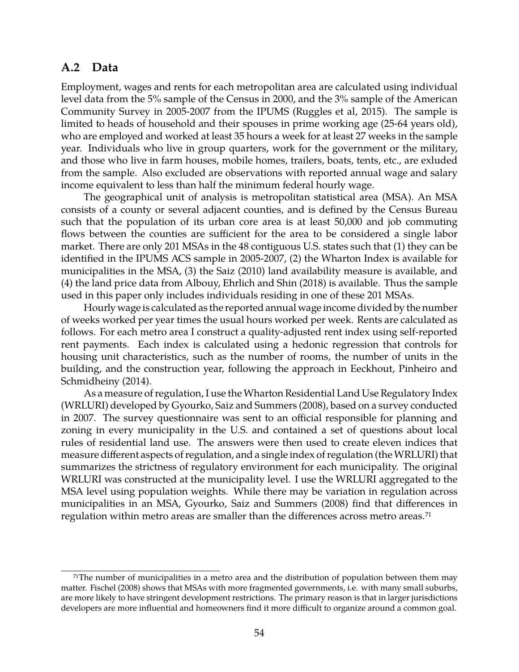## <span id="page-53-0"></span>**A.2 Data**

Employment, wages and rents for each metropolitan area are calculated using individual level data from the 5% sample of the Census in 2000, and the 3% sample of the American Community Survey in 2005-2007 from the IPUMS [\(Ruggles et al, 2015\)](#page-42-12). The sample is limited to heads of household and their spouses in prime working age (25-64 years old), who are employed and worked at least 35 hours a week for at least 27 weeks in the sample year. Individuals who live in group quarters, work for the government or the military, and those who live in farm houses, mobile homes, trailers, boats, tents, etc., are exluded from the sample. Also excluded are observations with reported annual wage and salary income equivalent to less than half the minimum federal hourly wage.

The geographical unit of analysis is metropolitan statistical area (MSA). An MSA consists of a county or several adjacent counties, and is defined by the Census Bureau such that the population of its urban core area is at least 50,000 and job commuting flows between the counties are sufficient for the area to be considered a single labor market. There are only 201 MSAs in the 48 contiguous U.S. states such that (1) they can be identified in the IPUMS ACS sample in 2005-2007, (2) the Wharton Index is available for municipalities in the MSA, (3) the [Saiz \(2010\)](#page-42-13) land availability measure is available, and (4) the land price data from [Albouy, Ehrlich and Shin \(2018\)](#page-38-9) is available. Thus the sample used in this paper only includes individuals residing in one of these 201 MSAs.

Hourly wage is calculated as the reported annual wage income divided by the number of weeks worked per year times the usual hours worked per week. Rents are calculated as follows. For each metro area I construct a quality-adjusted rent index using self-reported rent payments. Each index is calculated using a hedonic regression that controls for housing unit characteristics, such as the number of rooms, the number of units in the building, and the construction year, following the approach in [Eeckhout, Pinheiro and](#page-40-11) [Schmidheiny \(2014\).](#page-40-11)

As a measure of regulation, I use the Wharton Residential Land Use Regulatory Index (WRLURI) developed by [Gyourko, Saiz and Summers \(2008\),](#page-41-0) based on a survey conducted in 2007. The survey questionnaire was sent to an official responsible for planning and zoning in every municipality in the U.S. and contained a set of questions about local rules of residential land use. The answers were then used to create eleven indices that measure different aspects of regulation, and a single index of regulation (theWRLURI) that summarizes the strictness of regulatory environment for each municipality. The original WRLURI was constructed at the municipality level. I use the WRLURI aggregated to the MSA level using population weights. While there may be variation in regulation across municipalities in an MSA, [Gyourko, Saiz and Summers \(2008\)](#page-41-0) find that differences in regulation within metro areas are smaller than the differences across metro areas.<sup>71</sup>

<sup>&</sup>lt;sup>71</sup>The number of municipalities in a metro area and the distribution of population between them may matter. [Fischel \(2008\)](#page-40-17) shows that MSAs with more fragmented governments, i.e. with many small suburbs, are more likely to have stringent development restrictions. The primary reason is that in larger jurisdictions developers are more influential and homeowners find it more difficult to organize around a common goal.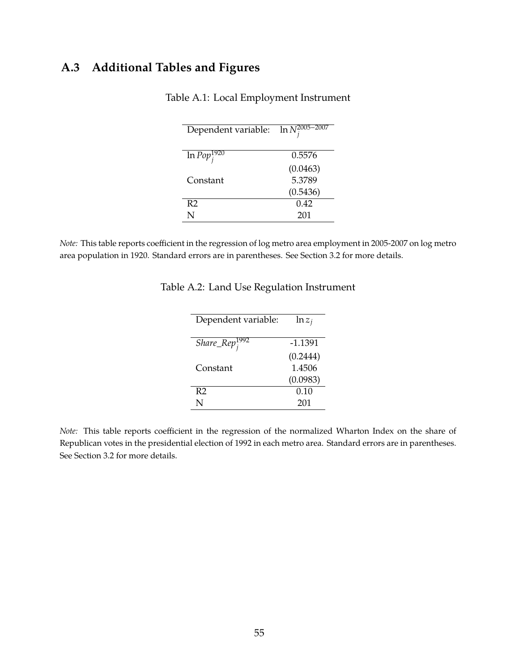## **A.3 Additional Tables and Figures**

<span id="page-54-0"></span>

| Dependent variable: | $\ln N_i^{2005-2007}$ |
|---------------------|-----------------------|
| $\ln Pop_i^{1920}$  | 0.5576                |
|                     | (0.0463)              |
| Constant            | 5.3789                |
|                     | (0.5436)              |
| R <sub>2</sub>      | 0.42                  |
| N                   | 201                   |

Table A.1: Local Employment Instrument

*Note:* This table reports coefficient in the regression of log metro area employment in 2005-2007 on log metro area population in 1920. Standard errors are in parentheses. See Section [3.2](#page-11-2) for more details.

<span id="page-54-1"></span>

| Dependent variable:       | $\ln z_i$ |
|---------------------------|-----------|
|                           |           |
| Share_Rep <sup>1992</sup> | $-1.1391$ |
|                           | (0.2444)  |
| Constant                  | 1.4506    |
|                           | (0.0983)  |
| R <sub>2</sub>            | 0.10      |
| N                         | 201       |

Table A.2: Land Use Regulation Instrument

*Note:* This table reports coefficient in the regression of the normalized Wharton Index on the share of Republican votes in the presidential election of 1992 in each metro area. Standard errors are in parentheses. See Section [3.2](#page-11-2) for more details.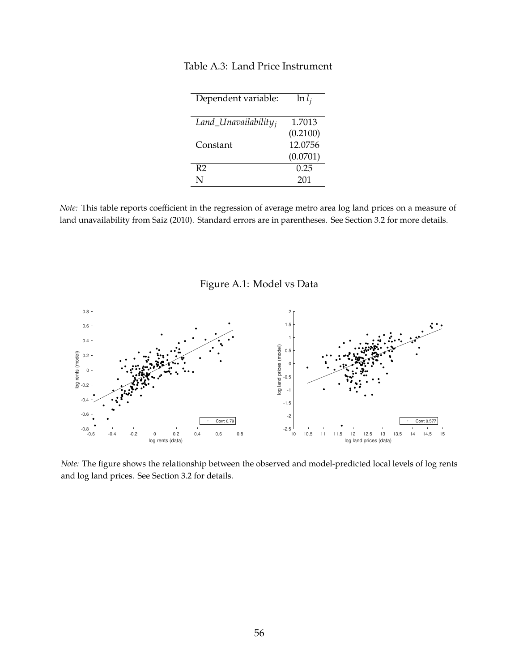| Dependent variable:     | $\ln l_i$ |
|-------------------------|-----------|
| $Land\_Unavailabilityi$ | 1.7013    |
|                         | (0.2100)  |
| Constant                | 12.0756   |
|                         | (0.0701)  |
| R <sub>2</sub>          | 0.25      |
| N                       | 201       |

#### <span id="page-55-0"></span>Table A.3: Land Price Instrument

*Note:* This table reports coefficient in the regression of average metro area log land prices on a measure of land unavailability from [Saiz \(2010\).](#page-42-13) Standard errors are in parentheses. See Section [3.2](#page-11-2) for more details.

<span id="page-55-1"></span>Figure A.1: Model vs Data



*Note:* The figure shows the relationship between the observed and model-predicted local levels of log rents and log land prices. See Section [3.2](#page-11-2) for details.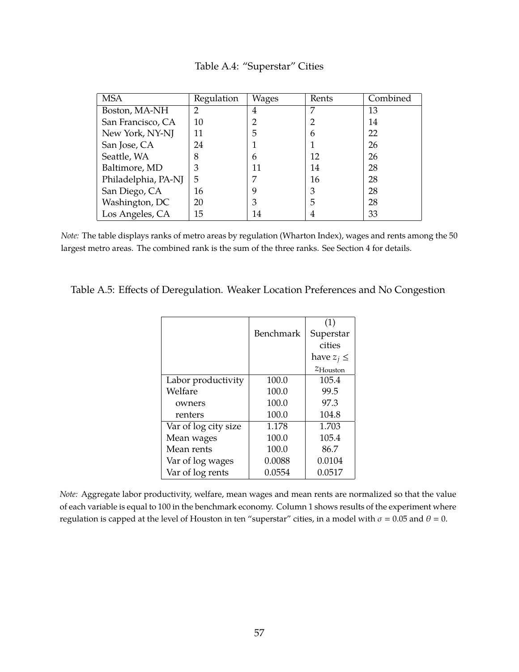| <b>MSA</b>          | Regulation | Wages | Rents | Combined |
|---------------------|------------|-------|-------|----------|
| Boston, MA-NH       | າ          | 4     | 7     | 13       |
| San Francisco, CA   | 10         |       |       | 14       |
| New York, NY-NJ     | 11         | 5     | 6     | 22       |
| San Jose, CA        | 24         |       |       | 26       |
| Seattle, WA         | 8          | 6     | 12    | 26       |
| Baltimore, MD       | 3          | 11    | 14    | 28       |
| Philadelphia, PA-NJ | 5          | 7     | 16    | 28       |
| San Diego, CA       | 16         | 9     | 3     | 28       |
| Washington, DC      | 20         | 3     | 5     | 28       |
| Los Angeles, CA     | 15         | 14    | 4     | 33       |

<span id="page-56-0"></span>Table A.4: "Superstar" Cities

*Note:* The table displays ranks of metro areas by regulation (Wharton Index), wages and rents among the 50 largest metro areas. The combined rank is the sum of the three ranks. See Section [4](#page-17-0) for details.

<span id="page-56-1"></span>

| Table A.5: Effects of Deregulation. Weaker Location Preferences and No Congestion |  |  |
|-----------------------------------------------------------------------------------|--|--|
|                                                                                   |  |  |

|                      |           | (1)                  |
|----------------------|-----------|----------------------|
|                      | Benchmark | Superstar            |
|                      |           | cities               |
|                      |           | have $z_j \leq$      |
|                      |           | $z_{\text{Houston}}$ |
| Labor productivity   | 100.0     | 105.4                |
| Welfare              | 100.0     | 99.5                 |
| owners               | 100.0     | 97.3                 |
| renters              | 100.0     | 104.8                |
| Var of log city size | 1.178     | 1.703                |
| Mean wages           | 100.0     | 105.4                |
| Mean rents           | 100.0     | 86.7                 |
| Var of log wages     | 0.0088    | 0.0104               |
| Var of log rents     | 0.0554    | 0.0517               |

*Note:* Aggregate labor productivity, welfare, mean wages and mean rents are normalized so that the value of each variable is equal to 100 in the benchmark economy. Column 1 shows results of the experiment where regulation is capped at the level of Houston in ten "superstar" cities, in a model with  $\sigma = 0.05$  and  $\theta = 0$ .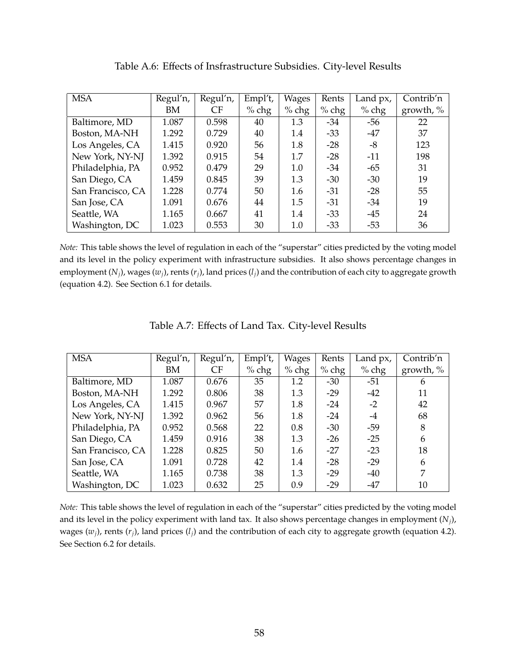| <b>MSA</b>        | Regul'n, | Regul'n, | Empl't, | Wages   | Rents   | Land px, | Contrib'n    |
|-------------------|----------|----------|---------|---------|---------|----------|--------------|
|                   | BM       | CF       | $%$ chg | $%$ chg | $%$ chg | $%$ chg  | growth, $\%$ |
| Baltimore, MD     | 1.087    | 0.598    | 40      | 1.3     | $-34$   | $-56$    | 22           |
| Boston, MA-NH     | 1.292    | 0.729    | 40      | 1.4     | $-33$   | $-47$    | 37           |
| Los Angeles, CA   | 1.415    | 0.920    | 56      | 1.8     | $-28$   | -8       | 123          |
| New York, NY-NJ   | 1.392    | 0.915    | 54      | 1.7     | $-28$   | $-11$    | 198          |
| Philadelphia, PA  | 0.952    | 0.479    | 29      | 1.0     | $-34$   | $-65$    | 31           |
| San Diego, CA     | 1.459    | 0.845    | 39      | 1.3     | $-30$   | $-30$    | 19           |
| San Francisco, CA | 1.228    | 0.774    | 50      | 1.6     | $-31$   | $-28$    | 55           |
| San Jose, CA      | 1.091    | 0.676    | 44      | 1.5     | $-31$   | $-34$    | 19           |
| Seattle, WA       | 1.165    | 0.667    | 41      | 1.4     | $-33$   | $-45$    | 24           |
| Washington, DC    | 1.023    | 0.553    | 30      | 1.0     | $-33$   | $-53$    | 36           |

<span id="page-57-0"></span>Table A.6: Effects of Insfrastructure Subsidies. City-level Results

*Note:* This table shows the level of regulation in each of the "superstar" cities predicted by the voting model and its level in the policy experiment with infrastructure subsidies. It also shows percentage changes in employment  $(N_i)$ , wages  $(w_i)$ , rents  $(r_i)$ , land prices  $(l_i)$  and the contribution of each city to aggregate growth (equation [4.2\)](#page-21-0). See Section [6.1](#page-31-0) for details.

| <b>MSA</b>        | Regul'n, | Regul'n,  | Empl't, | Wages   | Rents   | Land px, | Contrib'n    |
|-------------------|----------|-----------|---------|---------|---------|----------|--------------|
|                   | BM       | <b>CF</b> | $%$ chg | $%$ chg | $%$ chg | $%$ chg  | growth, $\%$ |
| Baltimore, MD     | 1.087    | 0.676     | 35      | 1.2     | $-30$   | $-51$    | 6            |
| Boston, MA-NH     | 1.292    | 0.806     | 38      | 1.3     | $-29$   | $-42$    | 11           |
| Los Angeles, CA   | 1.415    | 0.967     | 57      | 1.8     | $-24$   | $-2$     | 42           |
| New York, NY-NJ   | 1.392    | 0.962     | 56      | 1.8     | $-24$   | $-4$     | 68           |
| Philadelphia, PA  | 0.952    | 0.568     | 22      | 0.8     | $-30$   | $-59$    | 8            |
| San Diego, CA     | 1.459    | 0.916     | 38      | 1.3     | $-26$   | $-25$    | 6            |
| San Francisco, CA | 1.228    | 0.825     | 50      | 1.6     | $-27$   | $-23$    | 18           |
| San Jose, CA      | 1.091    | 0.728     | 42      | 1.4     | $-28$   | $-29$    | 6            |
| Seattle, WA       | 1.165    | 0.738     | 38      | 1.3     | $-29$   | $-40$    | 7            |
| Washington, DC    | 1.023    | 0.632     | 25      | 0.9     | $-29$   | -47      | 10           |

<span id="page-57-1"></span>Table A.7: Effects of Land Tax. City-level Results

*Note:* This table shows the level of regulation in each of the "superstar" cities predicted by the voting model and its level in the policy experiment with land tax. It also shows percentage changes in employment (*Nj*), wages  $(w_i)$ , rents  $(r_i)$ , land prices  $(l_i)$  and the contribution of each city to aggregate growth (equation [4.2\)](#page-21-0). See Section [6.2](#page-34-1) for details.